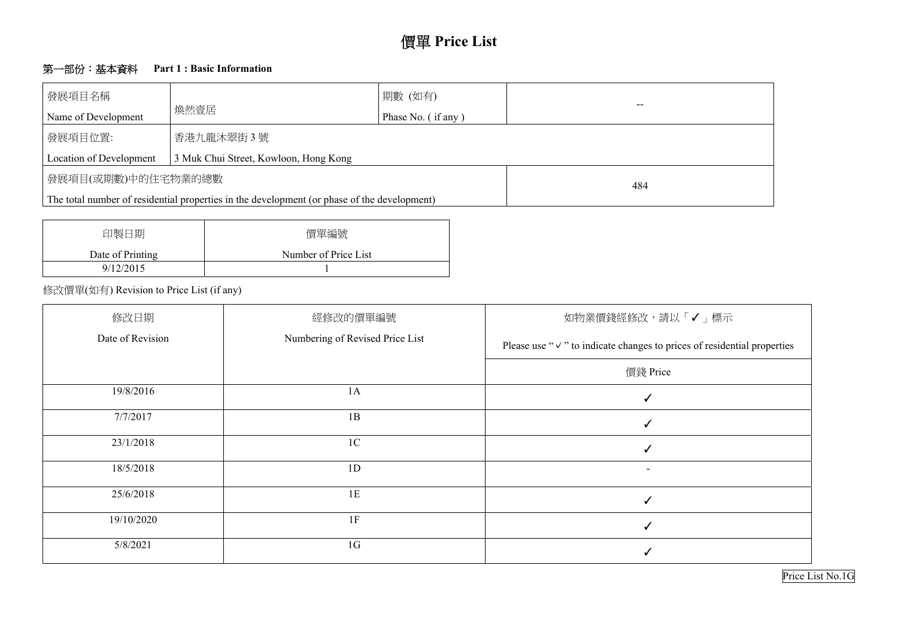# 價單 **Price List**

## 第一部份:基本資料 **Part 1 : Basic Information**

| 發展項目名稱<br>Name of Development | 煥然壹居                                                                                        | 期數 (如有)<br>Phase No. (if any) | $- -$ |
|-------------------------------|---------------------------------------------------------------------------------------------|-------------------------------|-------|
| 發展項目位置:                       | 香港九龍沐翠街3號                                                                                   |                               |       |
| Location of Development       | 3 Muk Chui Street, Kowloon, Hong Kong                                                       |                               |       |
| 發展項目(或期數)中的住宅物業的總數            |                                                                                             |                               | 484   |
|                               | The total number of residential properties in the development (or phase of the development) |                               |       |

| 印製日期             | 價單編號                 |
|------------------|----------------------|
| Date of Printing | Number of Price List |
| 9/12/2015        |                      |

## 修改價單(如有) Revision to Price List (if any)



| 修改日期             | 經修改的價單編號                        | 如物業價錢經修改,請以                                       |
|------------------|---------------------------------|---------------------------------------------------|
| Date of Revision | Numbering of Revised Price List | Please use " $\vee$ " to indicate changes to pri- |
|                  |                                 | 價錢 Price                                          |
| 19/8/2016        | 1A                              |                                                   |
| 7/7/2017         | 1B                              |                                                   |
| 23/1/2018        | 1 <sup>C</sup>                  |                                                   |
| 18/5/2018        | 1D                              |                                                   |
| 25/6/2018        | 1E                              |                                                   |
| 19/10/2020       | 1F                              |                                                   |
| 5/8/2021         | 1 <sub>G</sub>                  |                                                   |

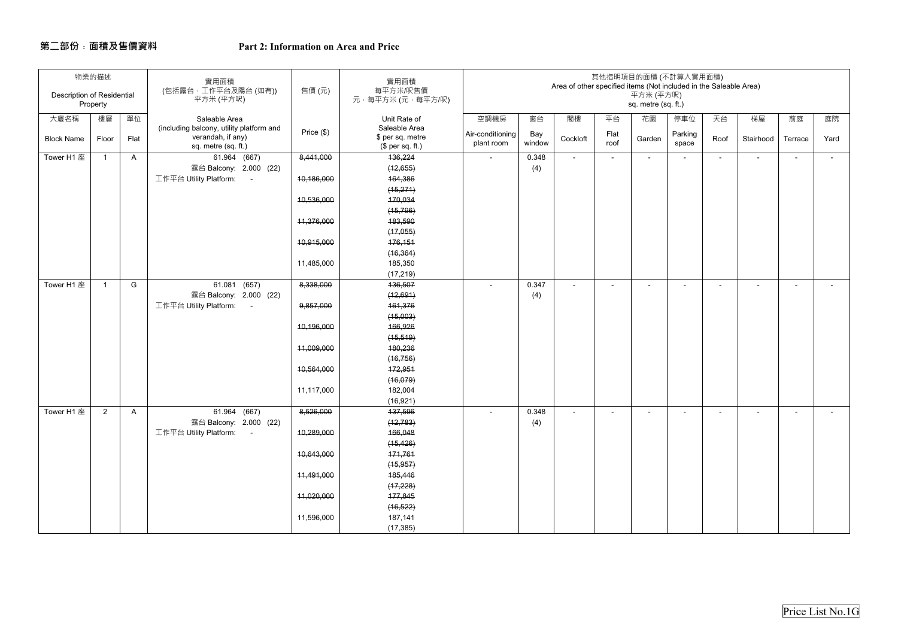## **第二部份﹕面積及售價資料**

## **Part 2: Information on Area and Price**

| <b>Description of Residential</b> | 物業的描述<br>Property |      | 實用面積<br>(包括露台,工作平台及陽台(如有))<br>平方米 (平方呎)                                              | 售價(元)      | 實用面積<br>每平方米/呎售價<br>元·每平方米 (元·每平方/呎)                  |                                |               | Area of other specified items (Not included in the Saleable Area) |              | 平方米 (平方呎)<br>sq. metre (sq. ft.) | 其他指明項目的面積 (不計算入實用面積) |                |                          |                          |        |
|-----------------------------------|-------------------|------|--------------------------------------------------------------------------------------|------------|-------------------------------------------------------|--------------------------------|---------------|-------------------------------------------------------------------|--------------|----------------------------------|----------------------|----------------|--------------------------|--------------------------|--------|
| 大廈名稱                              | 樓層                | 單位   | Saleable Area                                                                        |            | Unit Rate of                                          | 空調機房                           | 窗台            | 閣樓                                                                | 平台           | 花園                               | 停車位                  | 天台             | 梯屋                       | 前庭                       | 庭院     |
| <b>Block Name</b>                 | Floor             | Flat | (including balcony, utility platform and<br>verandah, if any)<br>sq. metre (sq. ft.) | Price (\$) | Saleable Area<br>\$ per sq. metre<br>(\$ per sq. ft.) | Air-conditioning<br>plant room | Bay<br>window | Cockloft                                                          | Flat<br>roof | Garden                           | Parking<br>space     | Roof           | Stairhood                | Terrace                  | Yard   |
| Tower H1 座                        | -1                | A    | 61.964 (667)                                                                         | 8,441,000  | 136,224                                               | $\sim$                         | 0.348         | $\sim$                                                            | $\sim$       | $\sim$                           | $\blacksquare$       | $\blacksquare$ | $\sim$                   | $\sim$                   | $\sim$ |
|                                   |                   |      | 露台 Balcony: 2.000 (22)                                                               |            | (12,655)                                              |                                | (4)           |                                                                   |              |                                  |                      |                |                          |                          |        |
|                                   |                   |      | 工作平台 Utility Platform: -                                                             | 10,186,000 | 164,386                                               |                                |               |                                                                   |              |                                  |                      |                |                          |                          |        |
|                                   |                   |      |                                                                                      |            | (15, 271)                                             |                                |               |                                                                   |              |                                  |                      |                |                          |                          |        |
|                                   |                   |      |                                                                                      | 10,536,000 | 170,034                                               |                                |               |                                                                   |              |                                  |                      |                |                          |                          |        |
|                                   |                   |      |                                                                                      |            | (15, 796)                                             |                                |               |                                                                   |              |                                  |                      |                |                          |                          |        |
|                                   |                   |      |                                                                                      | 11,376,000 | 183,590                                               |                                |               |                                                                   |              |                                  |                      |                |                          |                          |        |
|                                   |                   |      |                                                                                      |            | (17,055)                                              |                                |               |                                                                   |              |                                  |                      |                |                          |                          |        |
|                                   |                   |      |                                                                                      | 10,915,000 | 176,151                                               |                                |               |                                                                   |              |                                  |                      |                |                          |                          |        |
|                                   |                   |      |                                                                                      |            | (16, 364)                                             |                                |               |                                                                   |              |                                  |                      |                |                          |                          |        |
|                                   |                   |      |                                                                                      | 11,485,000 | 185,350                                               |                                |               |                                                                   |              |                                  |                      |                |                          |                          |        |
|                                   |                   |      |                                                                                      |            | (17, 219)                                             |                                |               |                                                                   |              |                                  |                      |                |                          |                          |        |
| Tower H1 座                        | -1                | G    | 61.081 (657)                                                                         | 8,338,000  | 136,507                                               | $\sim$                         | 0.347         | $\sim$                                                            | $\sim$       | $\sim$                           | $\blacksquare$       | $\blacksquare$ | $\overline{\phantom{0}}$ | $\overline{\phantom{0}}$ | $\sim$ |
|                                   |                   |      | 露台 Balcony: 2.000 (22)                                                               |            | (12,691)                                              |                                | (4)           |                                                                   |              |                                  |                      |                |                          |                          |        |
|                                   |                   |      | 工作平台 Utility Platform: -                                                             | 9,857,000  | 161,376                                               |                                |               |                                                                   |              |                                  |                      |                |                          |                          |        |
|                                   |                   |      |                                                                                      |            | (15,003)                                              |                                |               |                                                                   |              |                                  |                      |                |                          |                          |        |
|                                   |                   |      |                                                                                      | 10,196,000 | 166,926                                               |                                |               |                                                                   |              |                                  |                      |                |                          |                          |        |
|                                   |                   |      |                                                                                      |            | (15, 519)                                             |                                |               |                                                                   |              |                                  |                      |                |                          |                          |        |
|                                   |                   |      |                                                                                      | 11,009,000 | 180,236<br>(16, 756)                                  |                                |               |                                                                   |              |                                  |                      |                |                          |                          |        |
|                                   |                   |      |                                                                                      | 10,564,000 | 172,951                                               |                                |               |                                                                   |              |                                  |                      |                |                          |                          |        |
|                                   |                   |      |                                                                                      |            | (16,079)                                              |                                |               |                                                                   |              |                                  |                      |                |                          |                          |        |
|                                   |                   |      |                                                                                      | 11,117,000 | 182,004                                               |                                |               |                                                                   |              |                                  |                      |                |                          |                          |        |
|                                   |                   |      |                                                                                      |            | (16, 921)                                             |                                |               |                                                                   |              |                                  |                      |                |                          |                          |        |
| Tower H1 $\overline{\mathbb{E}}$  | $\overline{2}$    | A    | 61.964 (667)                                                                         | 8,526,000  | 137,596                                               |                                | 0.348         |                                                                   |              |                                  |                      |                |                          |                          |        |
|                                   |                   |      | 露台 Balcony: 2.000 (22)                                                               |            | (12, 783)                                             |                                | (4)           |                                                                   |              |                                  |                      |                |                          |                          |        |
|                                   |                   |      | 工作平台 Utility Platform: -                                                             | 10,289,000 | 166,048                                               |                                |               |                                                                   |              |                                  |                      |                |                          |                          |        |
|                                   |                   |      |                                                                                      |            | (15, 426)                                             |                                |               |                                                                   |              |                                  |                      |                |                          |                          |        |
|                                   |                   |      |                                                                                      | 10,643,000 | 171,761                                               |                                |               |                                                                   |              |                                  |                      |                |                          |                          |        |
|                                   |                   |      |                                                                                      |            | (15, 957)                                             |                                |               |                                                                   |              |                                  |                      |                |                          |                          |        |
|                                   |                   |      |                                                                                      | 11,491,000 | 185,446                                               |                                |               |                                                                   |              |                                  |                      |                |                          |                          |        |
|                                   |                   |      |                                                                                      |            | (17, 228)                                             |                                |               |                                                                   |              |                                  |                      |                |                          |                          |        |
|                                   |                   |      |                                                                                      | 11,020,000 | 177,845                                               |                                |               |                                                                   |              |                                  |                      |                |                          |                          |        |
|                                   |                   |      |                                                                                      |            | (16, 522)                                             |                                |               |                                                                   |              |                                  |                      |                |                          |                          |        |
|                                   |                   |      |                                                                                      | 11,596,000 | 187,141                                               |                                |               |                                                                   |              |                                  |                      |                |                          |                          |        |
|                                   |                   |      |                                                                                      |            | (17, 385)                                             |                                |               |                                                                   |              |                                  |                      |                |                          |                          |        |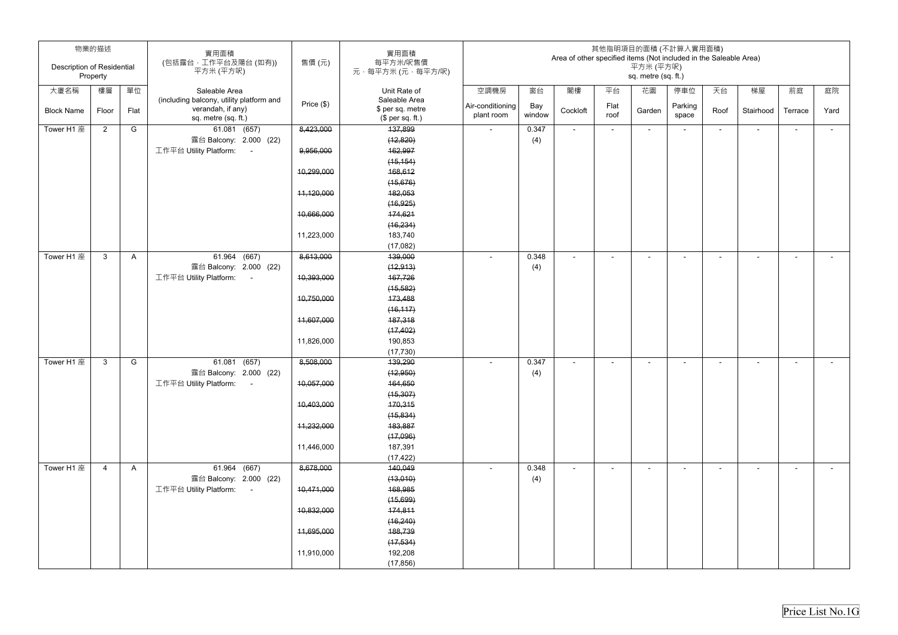| <b>Description of Residential</b> | 物業的描述<br>Property |      | 實用面積<br>(包括露台,工作平台及陽台(如有))<br>平方米 (平方呎)  | 售價(元)        | 實用面積<br>每平方米/呎售價<br>元·每平方米(元·每平方/呎) |                                |               | Area of other specified items (Not included in the Saleable Area) |                          | 平方米 (平方呎)<br>sq. metre (sq. ft.) | 其他指明項目的面積 (不計算入實用面積)     |        |                |                |        |
|-----------------------------------|-------------------|------|------------------------------------------|--------------|-------------------------------------|--------------------------------|---------------|-------------------------------------------------------------------|--------------------------|----------------------------------|--------------------------|--------|----------------|----------------|--------|
| 大廈名稱                              | 樓層                | 單位   | Saleable Area                            |              | Unit Rate of                        | 空調機房                           | 窗台            | 閣樓                                                                | 平台                       | 花園                               | 停車位                      | 天台     | 梯屋             | 前庭             | 庭院     |
|                                   |                   |      | (including balcony, utility platform and |              | Saleable Area                       |                                |               |                                                                   |                          |                                  |                          |        |                |                |        |
| <b>Block Name</b>                 | Floor             | Flat | verandah, if any)                        | Price $(\$)$ | \$ per sq. metre                    | Air-conditioning<br>plant room | Bay<br>window | Cockloft                                                          | Flat<br>roof             | Garden                           | Parking<br>space         | Roof   | Stairhood      | Terrace        | Yard   |
|                                   |                   |      | sq. metre (sq. ft.)                      |              | \$per sq. ft.)                      |                                |               |                                                                   |                          |                                  |                          |        |                |                |        |
| Tower H1 座                        | $\overline{2}$    | G    | 61.081 (657)<br>露台 Balcony: 2.000 (22)   | 8,423,000    | 137,899<br>(12, 820)                | $\sim$                         | 0.347         | $\sim$                                                            | $\sim$                   | $\sim$                           | $\overline{\phantom{a}}$ | $\sim$ | $\blacksquare$ | $\sim$         | $\sim$ |
|                                   |                   |      | 工作平台 Utility Platform:<br>$\sim$         | 9,956,000    | 162,997                             |                                | (4)           |                                                                   |                          |                                  |                          |        |                |                |        |
|                                   |                   |      |                                          |              | (15, 154)                           |                                |               |                                                                   |                          |                                  |                          |        |                |                |        |
|                                   |                   |      |                                          | 10,299,000   | 168,612                             |                                |               |                                                                   |                          |                                  |                          |        |                |                |        |
|                                   |                   |      |                                          |              | (15,676)                            |                                |               |                                                                   |                          |                                  |                          |        |                |                |        |
|                                   |                   |      |                                          | 11,120,000   | 182,053                             |                                |               |                                                                   |                          |                                  |                          |        |                |                |        |
|                                   |                   |      |                                          |              | (16, 925)                           |                                |               |                                                                   |                          |                                  |                          |        |                |                |        |
|                                   |                   |      |                                          | 10,666,000   | 174,621                             |                                |               |                                                                   |                          |                                  |                          |        |                |                |        |
|                                   |                   |      |                                          |              | (16, 234)                           |                                |               |                                                                   |                          |                                  |                          |        |                |                |        |
|                                   |                   |      |                                          | 11,223,000   | 183,740                             |                                |               |                                                                   |                          |                                  |                          |        |                |                |        |
|                                   |                   |      |                                          |              | (17,082)                            |                                |               |                                                                   |                          |                                  |                          |        |                |                |        |
| Tower H1 座                        | 3                 | A    | 61.964 (667)                             | 8,613,000    | 139,000                             | $\sim$                         | 0.348         | $\blacksquare$                                                    | $\sim$                   | $\blacksquare$                   | $\overline{\phantom{0}}$ | ۰.     | $\blacksquare$ | $\blacksquare$ | $\sim$ |
|                                   |                   |      | 露台 Balcony: 2.000 (22)                   |              | (12, 913)                           |                                | (4)           |                                                                   |                          |                                  |                          |        |                |                |        |
|                                   |                   |      | 工作平台 Utility Platform:<br>$\sim$ $-$     | 10,393,000   | 167,726                             |                                |               |                                                                   |                          |                                  |                          |        |                |                |        |
|                                   |                   |      |                                          |              | (15, 582)                           |                                |               |                                                                   |                          |                                  |                          |        |                |                |        |
|                                   |                   |      |                                          | 10,750,000   | 173,488                             |                                |               |                                                                   |                          |                                  |                          |        |                |                |        |
|                                   |                   |      |                                          |              | (16, 117)                           |                                |               |                                                                   |                          |                                  |                          |        |                |                |        |
|                                   |                   |      |                                          | 11,607,000   | 187,318                             |                                |               |                                                                   |                          |                                  |                          |        |                |                |        |
|                                   |                   |      |                                          |              | (17, 402)                           |                                |               |                                                                   |                          |                                  |                          |        |                |                |        |
|                                   |                   |      |                                          | 11,826,000   | 190,853                             |                                |               |                                                                   |                          |                                  |                          |        |                |                |        |
|                                   |                   |      |                                          |              | (17, 730)                           |                                |               |                                                                   |                          |                                  |                          |        |                |                |        |
| Tower H1 座                        | 3                 | G    | 61.081 (657)                             | 8,508,000    | 139,290                             |                                | 0.347         |                                                                   | $\overline{\phantom{0}}$ | $\sim$                           |                          | ٠      | $\sim$         | ٠              | $\sim$ |
|                                   |                   |      | 露台 Balcony: 2.000 (22)                   |              | (12,950)                            |                                | (4)           |                                                                   |                          |                                  |                          |        |                |                |        |
|                                   |                   |      | 工作平台 Utility Platform: -                 | 10,057,000   | 164,650                             |                                |               |                                                                   |                          |                                  |                          |        |                |                |        |
|                                   |                   |      |                                          |              | (15, 307)                           |                                |               |                                                                   |                          |                                  |                          |        |                |                |        |
|                                   |                   |      |                                          | 10,403,000   | 170,315                             |                                |               |                                                                   |                          |                                  |                          |        |                |                |        |
|                                   |                   |      |                                          |              | (15, 834)                           |                                |               |                                                                   |                          |                                  |                          |        |                |                |        |
|                                   |                   |      |                                          | 11,232,000   | 183,887                             |                                |               |                                                                   |                          |                                  |                          |        |                |                |        |
|                                   |                   |      |                                          |              | (17,096)                            |                                |               |                                                                   |                          |                                  |                          |        |                |                |        |
|                                   |                   |      |                                          | 11,446,000   | 187,391                             |                                |               |                                                                   |                          |                                  |                          |        |                |                |        |
| Tower H1 座                        | $\overline{4}$    | A    | 61.964 (667)                             | 8,678,000    | (17, 422)<br>140,049                | $\sim$                         | 0.348         | $\blacksquare$                                                    | $\sim$                   | $\blacksquare$                   | $\overline{\phantom{a}}$ | $\sim$ | $\blacksquare$ | $\sim$         | $\sim$ |
|                                   |                   |      | 露台 Balcony: 2.000 (22)                   |              | (13,010)                            |                                | (4)           |                                                                   |                          |                                  |                          |        |                |                |        |
|                                   |                   |      | 工作平台 Utility Platform:<br>$\sim 100$     | 10,471,000   | 168,985                             |                                |               |                                                                   |                          |                                  |                          |        |                |                |        |
|                                   |                   |      |                                          |              | (15,699)                            |                                |               |                                                                   |                          |                                  |                          |        |                |                |        |
|                                   |                   |      |                                          | 10,832,000   | 174,811                             |                                |               |                                                                   |                          |                                  |                          |        |                |                |        |
|                                   |                   |      |                                          |              | (16, 240)                           |                                |               |                                                                   |                          |                                  |                          |        |                |                |        |
|                                   |                   |      |                                          | 11,695,000   | 188,739                             |                                |               |                                                                   |                          |                                  |                          |        |                |                |        |
|                                   |                   |      |                                          |              | (17, 534)                           |                                |               |                                                                   |                          |                                  |                          |        |                |                |        |
|                                   |                   |      |                                          | 11,910,000   | 192,208                             |                                |               |                                                                   |                          |                                  |                          |        |                |                |        |
|                                   |                   |      |                                          |              | (17, 856)                           |                                |               |                                                                   |                          |                                  |                          |        |                |                |        |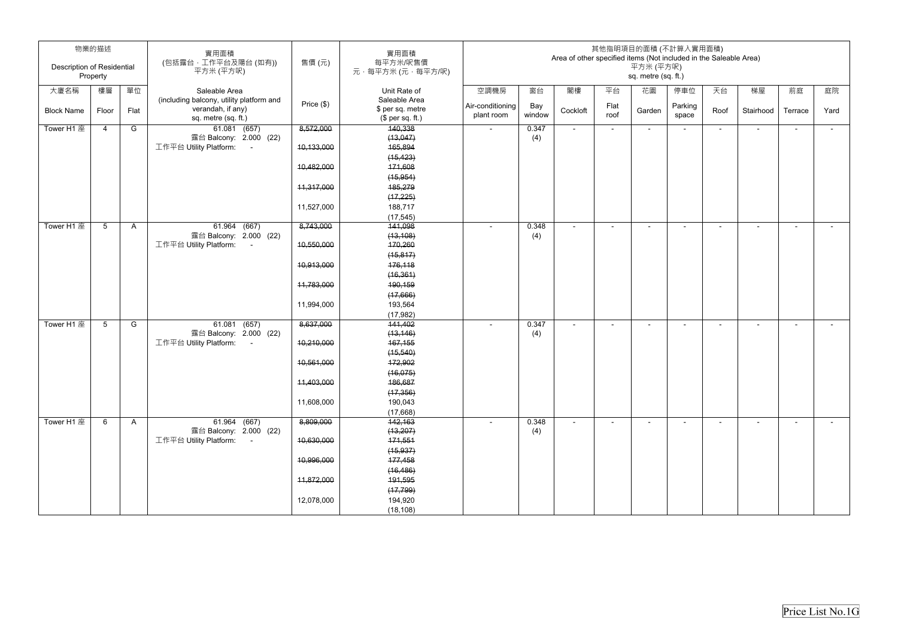|                                   | 物業的描述           |              | 實用面積<br>(包括露台,工作平台及陽台(如有))                                     | 售價(元)        | 實用面積<br>每平方米/呎售價                  |                  |              | Area of other specified items (Not included in the Saleable Area) |        |                                  | 其他指明項目的面積 (不計算入實用面積)     |                          |                          |                |        |
|-----------------------------------|-----------------|--------------|----------------------------------------------------------------|--------------|-----------------------------------|------------------|--------------|-------------------------------------------------------------------|--------|----------------------------------|--------------------------|--------------------------|--------------------------|----------------|--------|
| <b>Description of Residential</b> | Property        |              | 平方米 (平方呎)                                                      |              | 元·每平方米(元·每平方/呎)                   |                  |              |                                                                   |        | 平方米 (平方呎)<br>sq. metre (sq. ft.) |                          |                          |                          |                |        |
| 大廈名稱                              | 樓層              | 單位           | Saleable Area                                                  |              | Unit Rate of                      | 空調機房             | 窗台           | 閣樓                                                                | 平台     | 花園                               | 停車位                      | 天台                       | 梯屋                       | 前庭             | 庭院     |
| <b>Block Name</b>                 | Floor           | Flat         | (including balcony, utility platform and<br>verandah, if any)  | Price $(\$)$ | Saleable Area<br>\$ per sq. metre | Air-conditioning | Bay          | Cockloft                                                          | Flat   | Garden                           | Parking                  | Roof                     | Stairhood                | Terrace        | Yard   |
|                                   |                 |              | sq. metre (sq. ft.)                                            |              | $$$ per sq. ft.)                  | plant room       | window       |                                                                   | roof   |                                  | space                    |                          |                          |                |        |
| Tower H1 座                        | $\overline{4}$  | G            | 61.081 (657)                                                   | 8,572,000    | 140,338                           | $\sim$           | 0.347        | $\sim$                                                            | $\sim$ | $\sim$                           | $\sim$                   | $\overline{\phantom{0}}$ | $\blacksquare$           | $\sim$         | $\sim$ |
|                                   |                 |              | 露台 Balcony: 2.000 (22)<br>工作平台 Utility Platform:<br>$\sim$ $-$ | 10,133,000   | (13,047)<br>165,894               |                  | (4)          |                                                                   |        |                                  |                          |                          |                          |                |        |
|                                   |                 |              |                                                                |              | (15, 423)                         |                  |              |                                                                   |        |                                  |                          |                          |                          |                |        |
|                                   |                 |              |                                                                | 10,482,000   | 171,608                           |                  |              |                                                                   |        |                                  |                          |                          |                          |                |        |
|                                   |                 |              |                                                                |              | (15, 954)                         |                  |              |                                                                   |        |                                  |                          |                          |                          |                |        |
|                                   |                 |              |                                                                | 11,317,000   | 185,279                           |                  |              |                                                                   |        |                                  |                          |                          |                          |                |        |
|                                   |                 |              |                                                                |              | (17, 225)                         |                  |              |                                                                   |        |                                  |                          |                          |                          |                |        |
|                                   |                 |              |                                                                | 11,527,000   | 188,717                           |                  |              |                                                                   |        |                                  |                          |                          |                          |                |        |
|                                   |                 |              |                                                                |              | (17, 545)                         |                  |              |                                                                   |        |                                  |                          |                          |                          |                |        |
| Tower H1 座                        | $5\overline{)}$ | $\mathsf{A}$ | $61.964$ $(667)$                                               | 8,743,000    | 141,098                           |                  | 0.348        |                                                                   |        |                                  |                          |                          | $\overline{\phantom{0}}$ |                | $\sim$ |
|                                   |                 |              | 露台 Balcony: 2.000 (22)                                         |              | (13, 108)                         |                  | (4)          |                                                                   |        |                                  |                          |                          |                          |                |        |
|                                   |                 |              | 工作平台 Utility Platform:<br>$\sim$ $-$                           | 10,550,000   | 170,260                           |                  |              |                                                                   |        |                                  |                          |                          |                          |                |        |
|                                   |                 |              |                                                                |              | (15, 817)                         |                  |              |                                                                   |        |                                  |                          |                          |                          |                |        |
|                                   |                 |              |                                                                | 10,913,000   | 176,118                           |                  |              |                                                                   |        |                                  |                          |                          |                          |                |        |
|                                   |                 |              |                                                                | 11,783,000   | (16, 361)<br>190,159              |                  |              |                                                                   |        |                                  |                          |                          |                          |                |        |
|                                   |                 |              |                                                                |              | (17,666)                          |                  |              |                                                                   |        |                                  |                          |                          |                          |                |        |
|                                   |                 |              |                                                                | 11,994,000   | 193,564                           |                  |              |                                                                   |        |                                  |                          |                          |                          |                |        |
|                                   |                 |              |                                                                |              | (17, 982)                         |                  |              |                                                                   |        |                                  |                          |                          |                          |                |        |
| Tower H1 座                        | $5\overline{)}$ | G            | $61.081$ $(657)$                                               | 8,637,000    | 141,402                           |                  | 0.347        | $\blacksquare$                                                    | $\sim$ | $\overline{\phantom{a}}$         | $\overline{\phantom{a}}$ | ۰                        | $\sim$                   | $\blacksquare$ | $\sim$ |
|                                   |                 |              | 露台 Balcony: 2.000 (22)                                         |              | (13, 146)                         |                  | (4)          |                                                                   |        |                                  |                          |                          |                          |                |        |
|                                   |                 |              | 工作平台 Utility Platform:<br>$\sim 100$                           | 10,210,000   | 167,155                           |                  |              |                                                                   |        |                                  |                          |                          |                          |                |        |
|                                   |                 |              |                                                                |              | (15, 540)                         |                  |              |                                                                   |        |                                  |                          |                          |                          |                |        |
|                                   |                 |              |                                                                | 10,561,000   | 172,902                           |                  |              |                                                                   |        |                                  |                          |                          |                          |                |        |
|                                   |                 |              |                                                                |              | (16, 075)                         |                  |              |                                                                   |        |                                  |                          |                          |                          |                |        |
|                                   |                 |              |                                                                | 11,403,000   | 186,687                           |                  |              |                                                                   |        |                                  |                          |                          |                          |                |        |
|                                   |                 |              |                                                                |              | (17, 356)                         |                  |              |                                                                   |        |                                  |                          |                          |                          |                |        |
|                                   |                 |              |                                                                | 11,608,000   | 190,043                           |                  |              |                                                                   |        |                                  |                          |                          |                          |                |        |
| Tower H1 座                        |                 |              |                                                                | 8,809,000    | (17,668)                          |                  |              |                                                                   |        |                                  |                          |                          |                          |                |        |
|                                   | 6               | $\mathsf{A}$ | 61.964 (667)<br>露台 Balcony: 2.000 (22)                         |              | 142,163<br>(13, 207)              |                  | 0.348<br>(4) | $\blacksquare$                                                    | $\sim$ | $\sim$                           | $\overline{\phantom{a}}$ | $\sim$                   | $\blacksquare$           | $\blacksquare$ | $\sim$ |
|                                   |                 |              | 工作平台 Utility Platform:<br>$\sim 100$                           | 10,630,000   | 171,551                           |                  |              |                                                                   |        |                                  |                          |                          |                          |                |        |
|                                   |                 |              |                                                                |              | (15, 937)                         |                  |              |                                                                   |        |                                  |                          |                          |                          |                |        |
|                                   |                 |              |                                                                | 10,996,000   | 177,458                           |                  |              |                                                                   |        |                                  |                          |                          |                          |                |        |
|                                   |                 |              |                                                                |              | (16, 486)                         |                  |              |                                                                   |        |                                  |                          |                          |                          |                |        |
|                                   |                 |              |                                                                | 11,872,000   | 191,595                           |                  |              |                                                                   |        |                                  |                          |                          |                          |                |        |
|                                   |                 |              |                                                                |              | (17, 799)                         |                  |              |                                                                   |        |                                  |                          |                          |                          |                |        |
|                                   |                 |              |                                                                | 12,078,000   | 194,920                           |                  |              |                                                                   |        |                                  |                          |                          |                          |                |        |
|                                   |                 |              |                                                                |              | (18, 108)                         |                  |              |                                                                   |        |                                  |                          |                          |                          |                |        |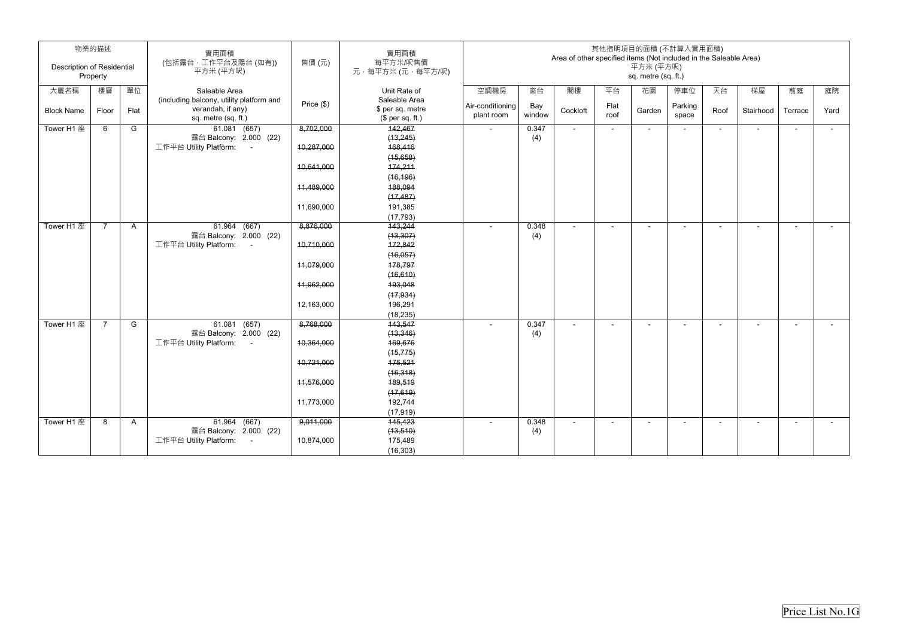|                            | 物業的描述          |              | 實用面積                                     |            | 實用面積                        |                          |        | Area of other specified items (Not included in the Saleable Area) |        | 其他指明項目的面積 (不計算入實用面積)             |         |        |                          |         |        |
|----------------------------|----------------|--------------|------------------------------------------|------------|-----------------------------|--------------------------|--------|-------------------------------------------------------------------|--------|----------------------------------|---------|--------|--------------------------|---------|--------|
| Description of Residential | Property       |              | (包括露台,工作平台及陽台(如有))<br>平方米 (平方呎)          | 售價(元)      | 每平方米/呎售價<br>元·每平方米(元·每平方/呎) |                          |        |                                                                   |        | 平方米 (平方呎)<br>sq. metre (sq. ft.) |         |        |                          |         |        |
| 大廈名稱                       | 樓層             | 單位           | Saleable Area                            |            | Unit Rate of                | 空調機房                     | 窗台     | 閣樓                                                                | 平台     | 花園                               | 停車位     | 天台     | 梯屋                       | 前庭      | 庭院     |
|                            |                |              | (including balcony, utility platform and | Price (\$) | Saleable Area               | Air-conditioning         | Bay    |                                                                   | Flat   |                                  | Parking |        |                          |         |        |
| <b>Block Name</b>          | Floor          | Flat         | verandah, if any)                        |            | \$ per sq. metre            | plant room               | window | Cockloft                                                          | roof   | Garden                           | space   | Roof   | Stairhood                | Terrace | Yard   |
|                            |                |              | sq. metre (sq. ft.)                      |            | $$$ per sq. ft.)            |                          |        |                                                                   |        |                                  |         |        |                          |         |        |
| Tower H1 座                 | 6              | G            | 61.081 (657)<br>露台 Balcony: 2.000 (22)   | 8,702,000  | 142,467                     | $\sim$                   | 0.347  | $\blacksquare$                                                    | $\sim$ | $\sim$                           |         | $\sim$ | $\sim$                   | $\sim$  | $\sim$ |
|                            |                |              | 工作平台 Utility Platform:<br>$\sim 100$     | 10,287,000 | (13, 245)<br>168,416        |                          | (4)    |                                                                   |        |                                  |         |        |                          |         |        |
|                            |                |              |                                          |            | (15,658)                    |                          |        |                                                                   |        |                                  |         |        |                          |         |        |
|                            |                |              |                                          | 10,641,000 | 174,211                     |                          |        |                                                                   |        |                                  |         |        |                          |         |        |
|                            |                |              |                                          |            | (16, 196)                   |                          |        |                                                                   |        |                                  |         |        |                          |         |        |
|                            |                |              |                                          | 11,489,000 | 188,094                     |                          |        |                                                                   |        |                                  |         |        |                          |         |        |
|                            |                |              |                                          |            | (17, 487)                   |                          |        |                                                                   |        |                                  |         |        |                          |         |        |
|                            |                |              |                                          | 11,690,000 | 191,385                     |                          |        |                                                                   |        |                                  |         |        |                          |         |        |
|                            |                |              |                                          |            | (17, 793)                   |                          |        |                                                                   |        |                                  |         |        |                          |         |        |
| Tower H1 座                 | $\overline{7}$ | A            | 61.964 (667)                             | 8,876,000  | 143,244                     |                          | 0.348  | $\blacksquare$                                                    |        |                                  |         |        |                          |         | $\sim$ |
|                            |                |              | 露台 Balcony: 2.000 (22)                   |            | (13, 307)                   |                          | (4)    |                                                                   |        |                                  |         |        |                          |         |        |
|                            |                |              | 工作平台 Utility Platform:<br>$\sim 100$     | 10,710,000 | 172,842                     |                          |        |                                                                   |        |                                  |         |        |                          |         |        |
|                            |                |              |                                          |            | (16,057)                    |                          |        |                                                                   |        |                                  |         |        |                          |         |        |
|                            |                |              |                                          | 11,079,000 | 178,797                     |                          |        |                                                                   |        |                                  |         |        |                          |         |        |
|                            |                |              |                                          |            | (16, 610)                   |                          |        |                                                                   |        |                                  |         |        |                          |         |        |
|                            |                |              |                                          | 11,962,000 | 193,048                     |                          |        |                                                                   |        |                                  |         |        |                          |         |        |
|                            |                |              |                                          |            | (17, 934)                   |                          |        |                                                                   |        |                                  |         |        |                          |         |        |
|                            |                |              |                                          | 12,163,000 | 196,291                     |                          |        |                                                                   |        |                                  |         |        |                          |         |        |
|                            |                |              |                                          |            | (18, 235)                   |                          |        |                                                                   |        |                                  |         |        |                          |         |        |
| Tower H1 座                 | $\overline{7}$ | G            | 61.081 (657)                             | 8,768,000  | 143,547                     | $\overline{\phantom{a}}$ | 0.347  | $\overline{\phantom{a}}$                                          | $\sim$ | $\sim$                           |         | $\sim$ | $\overline{\phantom{a}}$ |         | $\sim$ |
|                            |                |              | 露台 Balcony: 2.000 (22)                   |            | (13, 346)                   |                          | (4)    |                                                                   |        |                                  |         |        |                          |         |        |
|                            |                |              | 工作平台 Utility Platform:<br>$\sim 100$     | 10,364,000 | 169,676                     |                          |        |                                                                   |        |                                  |         |        |                          |         |        |
|                            |                |              |                                          |            | (15, 775)                   |                          |        |                                                                   |        |                                  |         |        |                          |         |        |
|                            |                |              |                                          | 10,721,000 | 175,521                     |                          |        |                                                                   |        |                                  |         |        |                          |         |        |
|                            |                |              |                                          |            | (16, 318)                   |                          |        |                                                                   |        |                                  |         |        |                          |         |        |
|                            |                |              |                                          | 11,576,000 | 189,519                     |                          |        |                                                                   |        |                                  |         |        |                          |         |        |
|                            |                |              |                                          |            | (17,619)                    |                          |        |                                                                   |        |                                  |         |        |                          |         |        |
|                            |                |              |                                          | 11,773,000 | 192,744<br>(17, 919)        |                          |        |                                                                   |        |                                  |         |        |                          |         |        |
| Tower H1 座                 | 8              | $\mathsf{A}$ | 61.964 (667)                             | 9,011,000  | 145,423                     |                          | 0.348  | $\blacksquare$                                                    | $\sim$ | $\sim$                           |         | $\sim$ | $\sim$                   | $\sim$  | $\sim$ |
|                            |                |              | 露台 Balcony: 2.000 (22)                   |            | (13, 510)                   |                          | (4)    |                                                                   |        |                                  |         |        |                          |         |        |
|                            |                |              | 工作平台 Utility Platform:<br>$\sim 100$     | 10,874,000 | 175,489                     |                          |        |                                                                   |        |                                  |         |        |                          |         |        |
|                            |                |              |                                          |            | (16, 303)                   |                          |        |                                                                   |        |                                  |         |        |                          |         |        |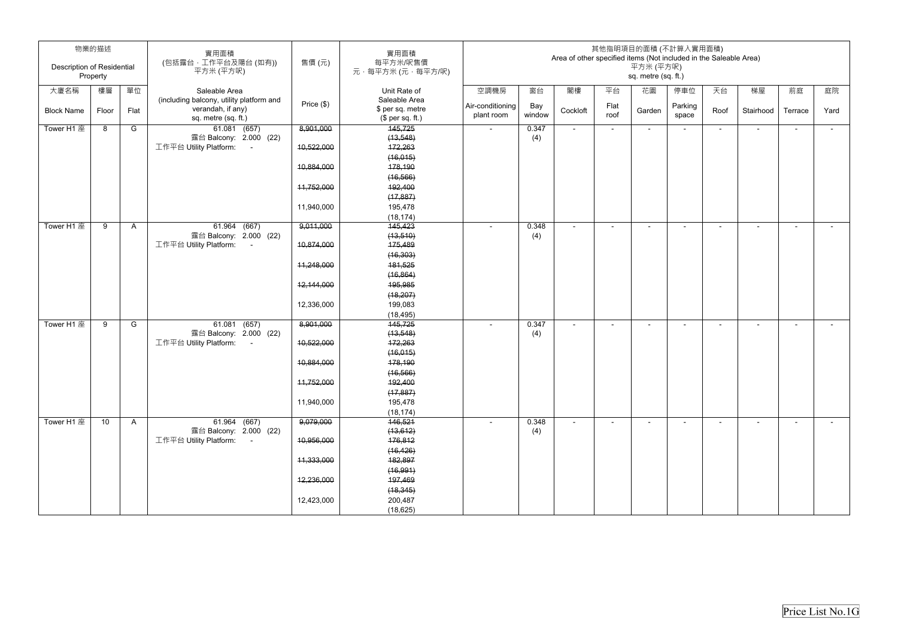|                                   | 物業的描述    |              | 實用面積<br>(包括露台,工作平台及陽台(如有))                                     | 售價(元)        | 實用面積<br>每平方米/呎售價                  |                  |        | Area of other specified items (Not included in the Saleable Area) |        |                                  | 其他指明項目的面積 (不計算入實用面積)     |                          |                          |                |        |
|-----------------------------------|----------|--------------|----------------------------------------------------------------|--------------|-----------------------------------|------------------|--------|-------------------------------------------------------------------|--------|----------------------------------|--------------------------|--------------------------|--------------------------|----------------|--------|
| <b>Description of Residential</b> | Property |              | 平方米 (平方呎)                                                      |              | 元·每平方米(元·每平方/呎)                   |                  |        |                                                                   |        | 平方米 (平方呎)<br>sq. metre (sq. ft.) |                          |                          |                          |                |        |
| 大廈名稱                              | 樓層       | 單位           | Saleable Area                                                  |              | Unit Rate of                      | 空調機房             | 窗台     | 閣樓                                                                | 平台     | 花園                               | 停車位                      | 天台                       | 梯屋                       | 前庭             | 庭院     |
| <b>Block Name</b>                 | Floor    | Flat         | (including balcony, utility platform and<br>verandah, if any)  | Price $(\$)$ | Saleable Area<br>\$ per sq. metre | Air-conditioning | Bay    | Cockloft                                                          | Flat   | Garden                           | Parking                  | Roof                     | Stairhood                | Terrace        | Yard   |
|                                   |          |              | sq. metre (sq. ft.)                                            |              | $$$ per sq. ft.)                  | plant room       | window |                                                                   | roof   |                                  | space                    |                          |                          |                |        |
| Tower H1 座                        | 8        | G            | 61.081 (657)                                                   | 8,901,000    | 145,725                           | $\sim$           | 0.347  | $\sim$                                                            | $\sim$ | $\sim$                           | $\sim$                   | $\overline{\phantom{0}}$ | $\blacksquare$           | $\sim$         | $\sim$ |
|                                   |          |              | 露台 Balcony: 2.000 (22)<br>工作平台 Utility Platform:<br>$\sim$ $-$ | 10,522,000   | (13, 548)<br>172,263              |                  | (4)    |                                                                   |        |                                  |                          |                          |                          |                |        |
|                                   |          |              |                                                                |              | (16, 015)                         |                  |        |                                                                   |        |                                  |                          |                          |                          |                |        |
|                                   |          |              |                                                                | 10,884,000   | 178,190                           |                  |        |                                                                   |        |                                  |                          |                          |                          |                |        |
|                                   |          |              |                                                                |              | (16, 566)                         |                  |        |                                                                   |        |                                  |                          |                          |                          |                |        |
|                                   |          |              |                                                                | 11,752,000   | 192,400                           |                  |        |                                                                   |        |                                  |                          |                          |                          |                |        |
|                                   |          |              |                                                                |              | (17, 887)                         |                  |        |                                                                   |        |                                  |                          |                          |                          |                |        |
|                                   |          |              |                                                                | 11,940,000   | 195,478                           |                  |        |                                                                   |        |                                  |                          |                          |                          |                |        |
|                                   |          |              |                                                                |              | (18, 174)                         |                  |        |                                                                   |        |                                  |                          |                          |                          |                |        |
| Tower H1 座                        | 9        | $\mathsf{A}$ | $61.964$ $(667)$                                               | 9,011,000    | 145,423                           |                  | 0.348  |                                                                   |        |                                  |                          |                          | $\overline{\phantom{0}}$ |                | $\sim$ |
|                                   |          |              | 露台 Balcony: 2.000 (22)                                         |              | (13, 510)                         |                  | (4)    |                                                                   |        |                                  |                          |                          |                          |                |        |
|                                   |          |              | 工作平台 Utility Platform:<br>$\sim$ $-$                           | 10,874,000   | 175,489<br>(16, 303)              |                  |        |                                                                   |        |                                  |                          |                          |                          |                |        |
|                                   |          |              |                                                                | 11,248,000   | 181,525                           |                  |        |                                                                   |        |                                  |                          |                          |                          |                |        |
|                                   |          |              |                                                                |              | (16, 864)                         |                  |        |                                                                   |        |                                  |                          |                          |                          |                |        |
|                                   |          |              |                                                                | 12,144,000   | 195,985                           |                  |        |                                                                   |        |                                  |                          |                          |                          |                |        |
|                                   |          |              |                                                                |              | (18, 207)                         |                  |        |                                                                   |        |                                  |                          |                          |                          |                |        |
|                                   |          |              |                                                                | 12,336,000   | 199,083                           |                  |        |                                                                   |        |                                  |                          |                          |                          |                |        |
|                                   |          |              |                                                                |              | (18, 495)                         |                  |        |                                                                   |        |                                  |                          |                          |                          |                |        |
| Tower H1 座                        | 9        | G            | $61.081$ $(657)$                                               | 8,901,000    | 145,725                           |                  | 0.347  | $\blacksquare$                                                    | $\sim$ | $\overline{\phantom{a}}$         | $\overline{\phantom{a}}$ | ۰                        | $\sim$                   | $\blacksquare$ | $\sim$ |
|                                   |          |              | 露台 Balcony: 2.000 (22)                                         |              | (13, 548)                         |                  | (4)    |                                                                   |        |                                  |                          |                          |                          |                |        |
|                                   |          |              | 工作平台 Utility Platform:<br>$\sim 100$                           | 10,522,000   | 172,263                           |                  |        |                                                                   |        |                                  |                          |                          |                          |                |        |
|                                   |          |              |                                                                |              | (16, 015)                         |                  |        |                                                                   |        |                                  |                          |                          |                          |                |        |
|                                   |          |              |                                                                | 10,884,000   | 178,190                           |                  |        |                                                                   |        |                                  |                          |                          |                          |                |        |
|                                   |          |              |                                                                | 11,752,000   | (16, 566)<br>192,400              |                  |        |                                                                   |        |                                  |                          |                          |                          |                |        |
|                                   |          |              |                                                                |              | (17, 887)                         |                  |        |                                                                   |        |                                  |                          |                          |                          |                |        |
|                                   |          |              |                                                                | 11,940,000   | 195,478                           |                  |        |                                                                   |        |                                  |                          |                          |                          |                |        |
|                                   |          |              |                                                                |              | (18, 174)                         |                  |        |                                                                   |        |                                  |                          |                          |                          |                |        |
| Tower H1 座                        | 10       | $\mathsf{A}$ | 61.964 (667)                                                   | 9,079,000    | 146,521                           |                  | 0.348  | $\blacksquare$                                                    | $\sim$ | $\sim$                           | $\overline{\phantom{a}}$ | $\sim$                   | $\blacksquare$           | $\blacksquare$ | $\sim$ |
|                                   |          |              | 露台 Balcony: 2.000 (22)                                         |              | (13, 612)                         |                  | (4)    |                                                                   |        |                                  |                          |                          |                          |                |        |
|                                   |          |              | 工作平台 Utility Platform:<br>$\sim 100$                           | 10,956,000   | 176,812                           |                  |        |                                                                   |        |                                  |                          |                          |                          |                |        |
|                                   |          |              |                                                                |              | (16, 426)                         |                  |        |                                                                   |        |                                  |                          |                          |                          |                |        |
|                                   |          |              |                                                                | 44,333,000   | 182,897                           |                  |        |                                                                   |        |                                  |                          |                          |                          |                |        |
|                                   |          |              |                                                                |              | (16, 991)                         |                  |        |                                                                   |        |                                  |                          |                          |                          |                |        |
|                                   |          |              |                                                                | 12,236,000   | 197,469                           |                  |        |                                                                   |        |                                  |                          |                          |                          |                |        |
|                                   |          |              |                                                                | 12,423,000   | (18, 345)<br>200,487              |                  |        |                                                                   |        |                                  |                          |                          |                          |                |        |
|                                   |          |              |                                                                |              | (18, 625)                         |                  |        |                                                                   |        |                                  |                          |                          |                          |                |        |
|                                   |          |              |                                                                |              |                                   |                  |        |                                                                   |        |                                  |                          |                          |                          |                |        |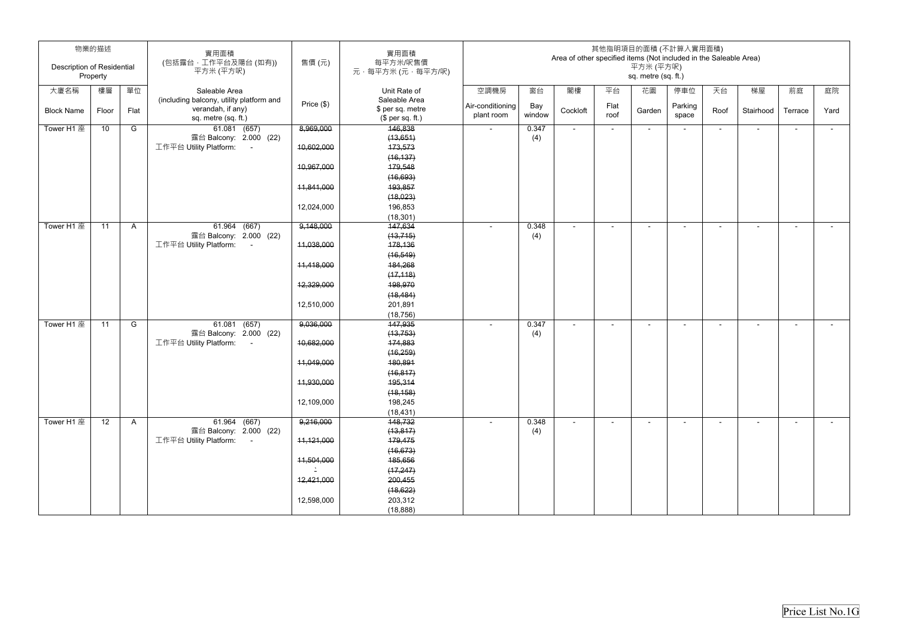| <b>Description of Residential</b> | 物業的描述    |              | 實用面積<br>(包括露台,工作平台及陽台(如有))                                     | 售價(元)        | 實用面積<br>每平方米/呎售價                  |                  |        | Area of other specified items (Not included in the Saleable Area) |        | 平方米 (平方呎)                | 其他指明項目的面積 (不計算入實用面積)     |                          |                          |                |        |
|-----------------------------------|----------|--------------|----------------------------------------------------------------|--------------|-----------------------------------|------------------|--------|-------------------------------------------------------------------|--------|--------------------------|--------------------------|--------------------------|--------------------------|----------------|--------|
|                                   | Property |              | 平方米 (平方呎)                                                      |              | 元·每平方米(元·每平方/呎)                   |                  |        |                                                                   |        | sq. metre (sq. ft.)      |                          |                          |                          |                |        |
| 大廈名稱                              | 樓層       | 單位           | Saleable Area                                                  |              | Unit Rate of                      | 空調機房             | 窗台     | 閣樓                                                                | 平台     | 花園                       | 停車位                      | 天台                       | 梯屋                       | 前庭             | 庭院     |
| <b>Block Name</b>                 | Floor    | Flat         | (including balcony, utility platform and<br>verandah, if any)  | Price $(\$)$ | Saleable Area<br>\$ per sq. metre | Air-conditioning | Bay    | Cockloft                                                          | Flat   | Garden                   | Parking                  | Roof                     | Stairhood                | Terrace        | Yard   |
|                                   |          |              | sq. metre (sq. ft.)                                            |              | $$$ per sq. ft.)                  | plant room       | window |                                                                   | roof   |                          | space                    |                          |                          |                |        |
| Tower H1 座                        | 10       | G            | 61.081 (657)                                                   | 8,969,000    | 146,838                           | $\sim$           | 0.347  | $\sim$                                                            | $\sim$ | $\sim$                   | $\sim$                   | $\overline{\phantom{0}}$ | $\blacksquare$           | $\sim$         | $\sim$ |
|                                   |          |              | 露台 Balcony: 2.000 (22)<br>工作平台 Utility Platform:<br>$\sim$ $-$ | 10,602,000   | (13,651)<br>173,573               |                  | (4)    |                                                                   |        |                          |                          |                          |                          |                |        |
|                                   |          |              |                                                                |              | (16, 137)                         |                  |        |                                                                   |        |                          |                          |                          |                          |                |        |
|                                   |          |              |                                                                | 10,967,000   | 179,548                           |                  |        |                                                                   |        |                          |                          |                          |                          |                |        |
|                                   |          |              |                                                                |              | (16, 693)                         |                  |        |                                                                   |        |                          |                          |                          |                          |                |        |
|                                   |          |              |                                                                | 11,841,000   | 193,857                           |                  |        |                                                                   |        |                          |                          |                          |                          |                |        |
|                                   |          |              |                                                                |              | (18, 023)                         |                  |        |                                                                   |        |                          |                          |                          |                          |                |        |
|                                   |          |              |                                                                | 12,024,000   | 196,853                           |                  |        |                                                                   |        |                          |                          |                          |                          |                |        |
|                                   |          |              |                                                                |              | (18, 301)                         |                  |        |                                                                   |        |                          |                          |                          |                          |                |        |
| Tower H1 座                        | 11       | $\mathsf{A}$ | $61.964$ (667)                                                 | 9,148,000    | 147,634                           |                  | 0.348  |                                                                   |        |                          |                          |                          | $\overline{\phantom{0}}$ |                | $\sim$ |
|                                   |          |              | 露台 Balcony: 2.000 (22)                                         |              | (13, 715)                         |                  | (4)    |                                                                   |        |                          |                          |                          |                          |                |        |
|                                   |          |              | 工作平台 Utility Platform:<br>$\sim$ $-$                           | 11,038,000   | 178,136                           |                  |        |                                                                   |        |                          |                          |                          |                          |                |        |
|                                   |          |              |                                                                |              | (16, 549)                         |                  |        |                                                                   |        |                          |                          |                          |                          |                |        |
|                                   |          |              |                                                                | 11,418,000   | 184,268                           |                  |        |                                                                   |        |                          |                          |                          |                          |                |        |
|                                   |          |              |                                                                | 12,329,000   | (17, 118)<br>198,970              |                  |        |                                                                   |        |                          |                          |                          |                          |                |        |
|                                   |          |              |                                                                |              | (18, 484)                         |                  |        |                                                                   |        |                          |                          |                          |                          |                |        |
|                                   |          |              |                                                                | 12,510,000   | 201,891                           |                  |        |                                                                   |        |                          |                          |                          |                          |                |        |
|                                   |          |              |                                                                |              | (18, 756)                         |                  |        |                                                                   |        |                          |                          |                          |                          |                |        |
| Tower H1 座                        | 11       | G            | $61.081$ $(657)$                                               | 9,036,000    | 147,935                           |                  | 0.347  | $\blacksquare$                                                    | $\sim$ | $\overline{\phantom{a}}$ | $\overline{\phantom{a}}$ | ۰                        | $\overline{\phantom{a}}$ | $\blacksquare$ | $\sim$ |
|                                   |          |              | 露台 Balcony: 2.000 (22)                                         |              | (13, 753)                         |                  | (4)    |                                                                   |        |                          |                          |                          |                          |                |        |
|                                   |          |              | 工作平台 Utility Platform:<br>$\sim 100$                           | 10,682,000   | 174,883                           |                  |        |                                                                   |        |                          |                          |                          |                          |                |        |
|                                   |          |              |                                                                |              | (16, 259)                         |                  |        |                                                                   |        |                          |                          |                          |                          |                |        |
|                                   |          |              |                                                                | 11,049,000   | 180,891                           |                  |        |                                                                   |        |                          |                          |                          |                          |                |        |
|                                   |          |              |                                                                |              | (16, 817)                         |                  |        |                                                                   |        |                          |                          |                          |                          |                |        |
|                                   |          |              |                                                                | 11,930,000   | 195,314                           |                  |        |                                                                   |        |                          |                          |                          |                          |                |        |
|                                   |          |              |                                                                |              | (18, 158)                         |                  |        |                                                                   |        |                          |                          |                          |                          |                |        |
|                                   |          |              |                                                                | 12,109,000   | 198,245                           |                  |        |                                                                   |        |                          |                          |                          |                          |                |        |
| Tower H1 座                        | 12       |              |                                                                | 9,216,000    | (18, 431)<br>148,732              |                  | 0.348  |                                                                   |        |                          |                          |                          |                          |                |        |
|                                   |          | $\mathsf{A}$ | 61.964 (667)<br>露台 Balcony: 2.000 (22)                         |              | (13, 817)                         |                  | (4)    | $\blacksquare$                                                    | $\sim$ | $\sim$                   | $\overline{\phantom{a}}$ | $\sim$                   | $\blacksquare$           | $\blacksquare$ | $\sim$ |
|                                   |          |              | 工作平台 Utility Platform:<br>$\sim 100$                           | 11,121,000   | 179,475                           |                  |        |                                                                   |        |                          |                          |                          |                          |                |        |
|                                   |          |              |                                                                |              | (16, 673)                         |                  |        |                                                                   |        |                          |                          |                          |                          |                |        |
|                                   |          |              |                                                                | 11,504,000   | 185,656                           |                  |        |                                                                   |        |                          |                          |                          |                          |                |        |
|                                   |          |              |                                                                |              | (17, 247)                         |                  |        |                                                                   |        |                          |                          |                          |                          |                |        |
|                                   |          |              |                                                                | 12,421,000   | 200,455                           |                  |        |                                                                   |        |                          |                          |                          |                          |                |        |
|                                   |          |              |                                                                |              | (18, 622)                         |                  |        |                                                                   |        |                          |                          |                          |                          |                |        |
|                                   |          |              |                                                                | 12,598,000   | 203,312                           |                  |        |                                                                   |        |                          |                          |                          |                          |                |        |
|                                   |          |              |                                                                |              | (18, 888)                         |                  |        |                                                                   |        |                          |                          |                          |                          |                |        |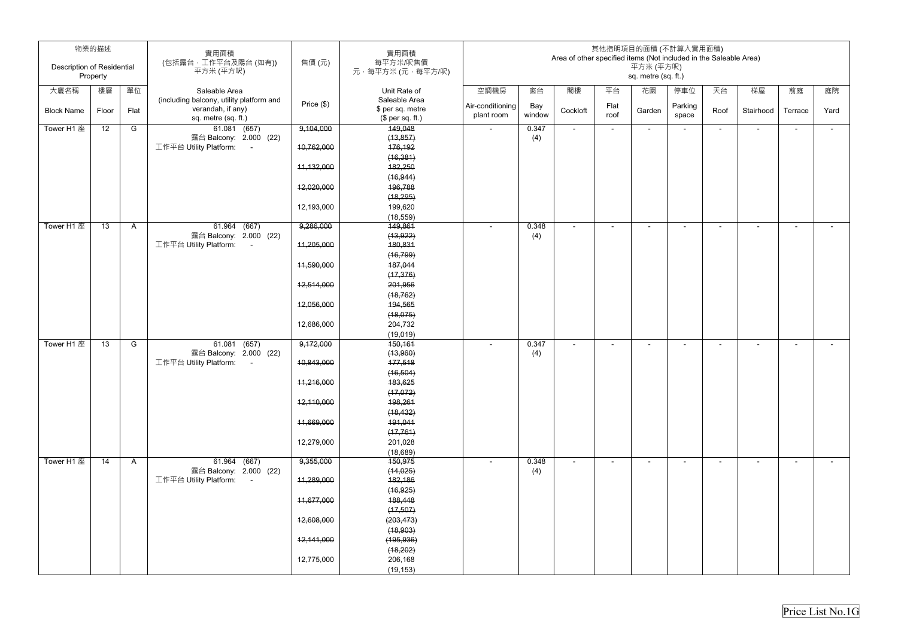| <b>Description of Residential</b> | 物業的描述    |              | 實用面積<br>(包括露台,工作平台及陽台(如有))<br>平方米 (平方呎)  | 售價(元)      | 實用面積<br>每平方米/呎售價<br>元·每平方米(元·每平方/呎)  |                  |        | Area of other specified items (Not included in the Saleable Area) |        | 平方米 (平方呎)                | 其他指明項目的面積 (不計算入實用面積)     |                          |                          |                          |        |
|-----------------------------------|----------|--------------|------------------------------------------|------------|--------------------------------------|------------------|--------|-------------------------------------------------------------------|--------|--------------------------|--------------------------|--------------------------|--------------------------|--------------------------|--------|
|                                   | Property |              |                                          |            |                                      |                  |        |                                                                   |        | sq. metre (sq. ft.)      |                          |                          |                          |                          |        |
| 大廈名稱                              | 樓層       | 單位           | Saleable Area                            |            | Unit Rate of                         | 空調機房             | 窗台     | 閣樓                                                                | 平台     | 花園                       | 停車位                      | 天台                       | 梯屋                       | 前庭                       | 庭院     |
|                                   |          |              | (including balcony, utility platform and | Price (\$) | Saleable Area                        | Air-conditioning | Bay    |                                                                   | Flat   |                          | Parking                  |                          |                          |                          |        |
| <b>Block Name</b>                 | Floor    | Flat         | verandah, if any)<br>sq. metre (sq. ft.) |            | \$ per sq. metre<br>$$$ per sq. ft.) | plant room       | window | Cockloft                                                          | roof   | Garden                   | space                    | Roof                     | Stairhood                | Terrace                  | Yard   |
| Tower H1 座                        | 12       | G            | 61.081 (657)                             | 9,104,000  | 149,048                              | $\sim$           | 0.347  | $\blacksquare$                                                    | $\sim$ | $\overline{\phantom{a}}$ | $\overline{\phantom{a}}$ | $\blacksquare$           | $\blacksquare$           | $\sim$                   | $\sim$ |
|                                   |          |              | 露台 Balcony: 2.000 (22)                   |            | (13, 857)                            |                  | (4)    |                                                                   |        |                          |                          |                          |                          |                          |        |
|                                   |          |              | 工作平台 Utility Platform:<br>$\sim 100$     | 10,762,000 | 176,192                              |                  |        |                                                                   |        |                          |                          |                          |                          |                          |        |
|                                   |          |              |                                          |            | (16, 381)                            |                  |        |                                                                   |        |                          |                          |                          |                          |                          |        |
|                                   |          |              |                                          | 11,132,000 | 182,250                              |                  |        |                                                                   |        |                          |                          |                          |                          |                          |        |
|                                   |          |              |                                          | 12,020,000 | (16, 944)<br>196,788                 |                  |        |                                                                   |        |                          |                          |                          |                          |                          |        |
|                                   |          |              |                                          |            | (18, 295)                            |                  |        |                                                                   |        |                          |                          |                          |                          |                          |        |
|                                   |          |              |                                          | 12,193,000 | 199,620                              |                  |        |                                                                   |        |                          |                          |                          |                          |                          |        |
|                                   |          |              |                                          |            | (18, 559)                            |                  |        |                                                                   |        |                          |                          |                          |                          |                          |        |
| Tower H1 座                        | 13       | $\mathsf{A}$ | $61.964$ (667)                           | 9,286,000  | 149,861                              |                  | 0.348  |                                                                   |        | $\overline{\phantom{0}}$ |                          | $\overline{\phantom{0}}$ | ۰                        |                          | $\sim$ |
|                                   |          |              | 露台 Balcony: 2.000 (22)                   |            | (13, 922)                            |                  | (4)    |                                                                   |        |                          |                          |                          |                          |                          |        |
|                                   |          |              | 工作平台 Utility Platform:<br>$\sim$         | 11,205,000 | 180,831                              |                  |        |                                                                   |        |                          |                          |                          |                          |                          |        |
|                                   |          |              |                                          |            | (16, 799)                            |                  |        |                                                                   |        |                          |                          |                          |                          |                          |        |
|                                   |          |              |                                          | 11,590,000 | 187,044                              |                  |        |                                                                   |        |                          |                          |                          |                          |                          |        |
|                                   |          |              |                                          |            | (17, 376)                            |                  |        |                                                                   |        |                          |                          |                          |                          |                          |        |
|                                   |          |              |                                          | 12,514,000 | 201,956                              |                  |        |                                                                   |        |                          |                          |                          |                          |                          |        |
|                                   |          |              |                                          |            | (18, 762)                            |                  |        |                                                                   |        |                          |                          |                          |                          |                          |        |
|                                   |          |              |                                          | 12,056,000 | 194,565                              |                  |        |                                                                   |        |                          |                          |                          |                          |                          |        |
|                                   |          |              |                                          |            | (18, 075)                            |                  |        |                                                                   |        |                          |                          |                          |                          |                          |        |
|                                   |          |              |                                          | 12,686,000 | 204,732                              |                  |        |                                                                   |        |                          |                          |                          |                          |                          |        |
|                                   |          |              |                                          |            | (19,019)                             |                  |        |                                                                   |        |                          |                          |                          |                          |                          |        |
| Tower H1 座                        | 13       | G            | $61.081$ (657)                           | 9,172,000  | 150,161                              |                  | 0.347  | $\overline{a}$                                                    |        | $\overline{\phantom{0}}$ |                          | ٠                        | $\overline{\phantom{a}}$ | $\overline{\phantom{0}}$ | $\sim$ |
|                                   |          |              | 露台 Balcony: 2.000 (22)                   |            | (13,960)                             |                  | (4)    |                                                                   |        |                          |                          |                          |                          |                          |        |
|                                   |          |              | 工作平台 Utility Platform:                   | 10,843,000 | 177,518                              |                  |        |                                                                   |        |                          |                          |                          |                          |                          |        |
|                                   |          |              |                                          | 11,216,000 | (16, 504)<br>183,625                 |                  |        |                                                                   |        |                          |                          |                          |                          |                          |        |
|                                   |          |              |                                          |            | (17, 072)                            |                  |        |                                                                   |        |                          |                          |                          |                          |                          |        |
|                                   |          |              |                                          | 12,110,000 | 198,261                              |                  |        |                                                                   |        |                          |                          |                          |                          |                          |        |
|                                   |          |              |                                          |            | (18, 432)                            |                  |        |                                                                   |        |                          |                          |                          |                          |                          |        |
|                                   |          |              |                                          | 11,669,000 | 191,041                              |                  |        |                                                                   |        |                          |                          |                          |                          |                          |        |
|                                   |          |              |                                          |            | (17, 761)                            |                  |        |                                                                   |        |                          |                          |                          |                          |                          |        |
|                                   |          |              |                                          | 12,279,000 | 201,028                              |                  |        |                                                                   |        |                          |                          |                          |                          |                          |        |
|                                   |          |              |                                          |            | (18, 689)                            |                  |        |                                                                   |        |                          |                          |                          |                          |                          |        |
| Tower H1 座                        | 14       | $\mathsf{A}$ | 61.964 (667)                             | 9,355,000  | 150,975                              | $\overline{a}$   | 0.348  |                                                                   |        | $\blacksquare$           |                          | $\blacksquare$           | $\sim$                   | $\blacksquare$           | $\sim$ |
|                                   |          |              | 露台 Balcony: 2.000 (22)                   |            | (14, 025)                            |                  | (4)    |                                                                   |        |                          |                          |                          |                          |                          |        |
|                                   |          |              | 工作平台 Utility Platform:                   | 11,289,000 | 182,186                              |                  |        |                                                                   |        |                          |                          |                          |                          |                          |        |
|                                   |          |              |                                          |            | (16, 925)                            |                  |        |                                                                   |        |                          |                          |                          |                          |                          |        |
|                                   |          |              |                                          | 11,677,000 | 188,448                              |                  |        |                                                                   |        |                          |                          |                          |                          |                          |        |
|                                   |          |              |                                          |            | (17, 507)                            |                  |        |                                                                   |        |                          |                          |                          |                          |                          |        |
|                                   |          |              |                                          | 12,608,000 | (203, 473)                           |                  |        |                                                                   |        |                          |                          |                          |                          |                          |        |
|                                   |          |              |                                          |            | (18, 903)                            |                  |        |                                                                   |        |                          |                          |                          |                          |                          |        |
|                                   |          |              |                                          | 12,141,000 | (195, 936)                           |                  |        |                                                                   |        |                          |                          |                          |                          |                          |        |
|                                   |          |              |                                          |            | (18, 202)                            |                  |        |                                                                   |        |                          |                          |                          |                          |                          |        |
|                                   |          |              |                                          | 12,775,000 | 206,168<br>(19, 153)                 |                  |        |                                                                   |        |                          |                          |                          |                          |                          |        |
|                                   |          |              |                                          |            |                                      |                  |        |                                                                   |        |                          |                          |                          |                          |                          |        |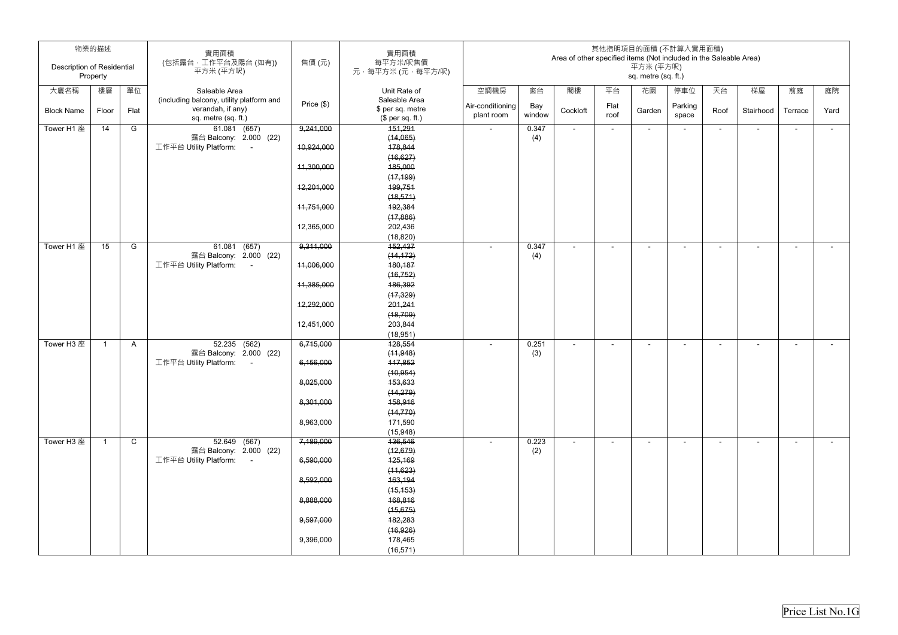| <b>Description of Residential</b> | 物業的描述<br>Property |              | 實用面積<br>(包括露台,工作平台及陽台(如有))<br>平方米 (平方呎)                        | 售價(元)      | 實用面積<br>每平方米/呎售價<br>元·每平方米(元·每平方/呎) |                  |              | Area of other specified items (Not included in the Saleable Area) |        | 平方米 (平方呎)<br>sq. metre (sq. ft.) | 其他指明項目的面積 (不計算入實用面積)     |                          |                          |                          |        |
|-----------------------------------|-------------------|--------------|----------------------------------------------------------------|------------|-------------------------------------|------------------|--------------|-------------------------------------------------------------------|--------|----------------------------------|--------------------------|--------------------------|--------------------------|--------------------------|--------|
| 大廈名稱                              | 樓層                | 單位           | Saleable Area                                                  |            | Unit Rate of                        | 空調機房             | 窗台           | 閣樓                                                                | 平台     | 花園                               | 停車位                      | 天台                       | 梯屋                       | 前庭                       | 庭院     |
|                                   |                   |              | (including balcony, utility platform and<br>verandah, if any)  | Price (\$) | Saleable Area<br>\$ per sq. metre   | Air-conditioning | Bay          |                                                                   | Flat   |                                  | Parking                  |                          |                          |                          |        |
| <b>Block Name</b>                 | Floor             | Flat         | sq. metre (sq. ft.)                                            |            | $$$ per sq. ft.)                    | plant room       | window       | Cockloft                                                          | roof   | Garden                           | space                    | Roof                     | Stairhood                | Terrace                  | Yard   |
| Tower H1 座                        | 14                | G            | 61.081 (657)                                                   | 9,241,000  | 151,291                             | $\sim$           | 0.347        | $\blacksquare$                                                    | $\sim$ | $\overline{\phantom{a}}$         | $\overline{\phantom{a}}$ | $\blacksquare$           | $\blacksquare$           | $\sim$                   | $\sim$ |
|                                   |                   |              | 露台 Balcony: 2.000 (22)                                         |            | (14,065)                            |                  | (4)          |                                                                   |        |                                  |                          |                          |                          |                          |        |
|                                   |                   |              | 工作平台 Utility Platform:<br>$\sim 100$                           | 10,924,000 | 178,844                             |                  |              |                                                                   |        |                                  |                          |                          |                          |                          |        |
|                                   |                   |              |                                                                |            | (16, 627)                           |                  |              |                                                                   |        |                                  |                          |                          |                          |                          |        |
|                                   |                   |              |                                                                | 11,300,000 | 185,000                             |                  |              |                                                                   |        |                                  |                          |                          |                          |                          |        |
|                                   |                   |              |                                                                |            | (17, 199)                           |                  |              |                                                                   |        |                                  |                          |                          |                          |                          |        |
|                                   |                   |              |                                                                | 12,201,000 | 199,751                             |                  |              |                                                                   |        |                                  |                          |                          |                          |                          |        |
|                                   |                   |              |                                                                |            | (18, 571)                           |                  |              |                                                                   |        |                                  |                          |                          |                          |                          |        |
|                                   |                   |              |                                                                | 11,751,000 | 192,384                             |                  |              |                                                                   |        |                                  |                          |                          |                          |                          |        |
|                                   |                   |              |                                                                | 12,365,000 | (17, 886)<br>202,436                |                  |              |                                                                   |        |                                  |                          |                          |                          |                          |        |
|                                   |                   |              |                                                                |            | (18, 820)                           |                  |              |                                                                   |        |                                  |                          |                          |                          |                          |        |
| Tower H1 座                        | 15                | G            | 61.081 (657)                                                   | 9,311,000  | 152,437                             |                  | 0.347        | $\overline{\phantom{a}}$                                          | $\sim$ | $\blacksquare$                   | ۰                        | $\overline{\phantom{a}}$ | $\blacksquare$           | $\overline{\phantom{a}}$ | $\sim$ |
|                                   |                   |              | 露台 Balcony: 2.000 (22)                                         |            | (14, 172)                           |                  | (4)          |                                                                   |        |                                  |                          |                          |                          |                          |        |
|                                   |                   |              | 工作平台 Utility Platform:<br>$\sim 100$                           | 11,006,000 | 180,187                             |                  |              |                                                                   |        |                                  |                          |                          |                          |                          |        |
|                                   |                   |              |                                                                |            | (16, 752)                           |                  |              |                                                                   |        |                                  |                          |                          |                          |                          |        |
|                                   |                   |              |                                                                | 11,385,000 | 186,392                             |                  |              |                                                                   |        |                                  |                          |                          |                          |                          |        |
|                                   |                   |              |                                                                |            | (17, 329)                           |                  |              |                                                                   |        |                                  |                          |                          |                          |                          |        |
|                                   |                   |              |                                                                | 12,292,000 | 201,241                             |                  |              |                                                                   |        |                                  |                          |                          |                          |                          |        |
|                                   |                   |              |                                                                |            | (18, 709)                           |                  |              |                                                                   |        |                                  |                          |                          |                          |                          |        |
|                                   |                   |              |                                                                | 12,451,000 | 203,844                             |                  |              |                                                                   |        |                                  |                          |                          |                          |                          |        |
|                                   |                   |              |                                                                |            | (18, 951)                           |                  |              |                                                                   |        |                                  |                          |                          |                          |                          |        |
| Tower H3 座                        |                   | $\mathsf{A}$ | $52.235$ $(562)$<br>露台 Balcony: 2.000 (22)                     | 6,715,000  | 128,554<br>(11, 948)                |                  | 0.251<br>(3) | $\overline{\phantom{a}}$                                          |        | $\overline{\phantom{0}}$         |                          | ٠                        | $\overline{\phantom{a}}$ | $\overline{\phantom{0}}$ | $\sim$ |
|                                   |                   |              | 工作平台 Utility Platform:                                         | 6,156,000  | 117,852                             |                  |              |                                                                   |        |                                  |                          |                          |                          |                          |        |
|                                   |                   |              |                                                                |            | (10, 954)                           |                  |              |                                                                   |        |                                  |                          |                          |                          |                          |        |
|                                   |                   |              |                                                                | 8,025,000  | 153,633                             |                  |              |                                                                   |        |                                  |                          |                          |                          |                          |        |
|                                   |                   |              |                                                                |            | (14, 279)                           |                  |              |                                                                   |        |                                  |                          |                          |                          |                          |        |
|                                   |                   |              |                                                                | 8,301,000  | 158,916                             |                  |              |                                                                   |        |                                  |                          |                          |                          |                          |        |
|                                   |                   |              |                                                                |            | (14, 770)                           |                  |              |                                                                   |        |                                  |                          |                          |                          |                          |        |
|                                   |                   |              |                                                                | 8,963,000  | 171,590                             |                  |              |                                                                   |        |                                  |                          |                          |                          |                          |        |
|                                   |                   |              |                                                                |            | (15, 948)                           |                  |              |                                                                   |        |                                  |                          |                          |                          |                          |        |
| Tower H3 座                        | -1                | $\mathsf{C}$ | 52.649 (567)                                                   | 7,189,000  | 136,546                             | $\sim$           | 0.223        | $\sim$                                                            | $\sim$ | $\blacksquare$                   | $\blacksquare$           | $\blacksquare$           | $\blacksquare$           | $\blacksquare$           | $\sim$ |
|                                   |                   |              | 露台 Balcony: 2.000 (22)<br>工作平台 Utility Platform:<br>$\sim 100$ | 6,590,000  | (12, 679)                           |                  | (2)          |                                                                   |        |                                  |                          |                          |                          |                          |        |
|                                   |                   |              |                                                                |            | <del>125,169</del><br>(11,623)      |                  |              |                                                                   |        |                                  |                          |                          |                          |                          |        |
|                                   |                   |              |                                                                | 8,592,000  | 163,194                             |                  |              |                                                                   |        |                                  |                          |                          |                          |                          |        |
|                                   |                   |              |                                                                |            | (15, 153)                           |                  |              |                                                                   |        |                                  |                          |                          |                          |                          |        |
|                                   |                   |              |                                                                | 8,888,000  | 168,816                             |                  |              |                                                                   |        |                                  |                          |                          |                          |                          |        |
|                                   |                   |              |                                                                |            | (15, 675)                           |                  |              |                                                                   |        |                                  |                          |                          |                          |                          |        |
|                                   |                   |              |                                                                | 9,597,000  | 182,283                             |                  |              |                                                                   |        |                                  |                          |                          |                          |                          |        |
|                                   |                   |              |                                                                |            | (16, 926)                           |                  |              |                                                                   |        |                                  |                          |                          |                          |                          |        |
|                                   |                   |              |                                                                | 9,396,000  | 178,465                             |                  |              |                                                                   |        |                                  |                          |                          |                          |                          |        |
|                                   |                   |              |                                                                |            | (16, 571)                           |                  |              |                                                                   |        |                                  |                          |                          |                          |                          |        |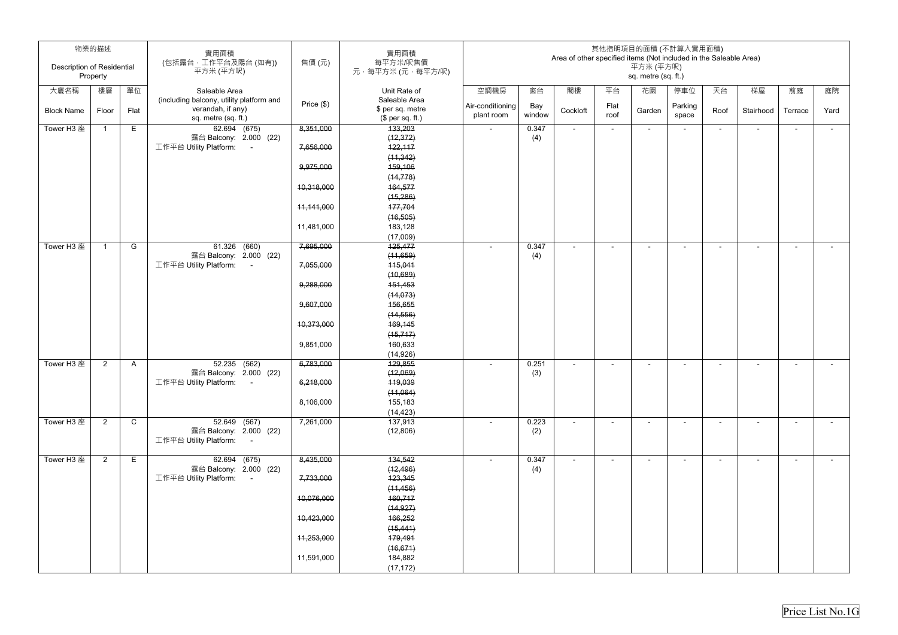| <b>Description of Residential</b> | 物業的描述<br>Property |              | 實用面積<br>(包括露台,工作平台及陽台(如有))<br>平方米 (平方呎)  | 售價(元)      | 實用面積<br>每平方米/呎售價<br>元·每平方米(元·每平方/呎) |                  |        | Area of other specified items (Not included in the Saleable Area) |                          | 平方米 (平方呎)<br>sq. metre (sq. ft.) | 其他指明項目的面積 (不計算入實用面積)     |                          |                          |                          |        |
|-----------------------------------|-------------------|--------------|------------------------------------------|------------|-------------------------------------|------------------|--------|-------------------------------------------------------------------|--------------------------|----------------------------------|--------------------------|--------------------------|--------------------------|--------------------------|--------|
| 大廈名稱                              | 樓層                | 單位           | Saleable Area                            |            | Unit Rate of                        | 空調機房             | 窗台     | 閣樓                                                                | 平台                       | 花園                               | 停車位                      | 天台                       | 梯屋                       | 前庭                       | 庭院     |
|                                   |                   |              | (including balcony, utility platform and |            | Saleable Area                       |                  |        |                                                                   |                          |                                  |                          |                          |                          |                          |        |
| <b>Block Name</b>                 | Floor             | Flat         | verandah, if any)                        | Price (\$) | \$ per sq. metre                    | Air-conditioning | Bay    | Cockloft                                                          | Flat                     | Garden                           | Parking                  | Roof                     | Stairhood                | Terrace                  | Yard   |
|                                   |                   |              | sq. metre (sq. ft.)                      |            | \$per sq. ft.)                      | plant room       | window |                                                                   | roof                     |                                  | space                    |                          |                          |                          |        |
| Tower H3 座                        |                   | Е            | $\overline{62.694}$ (675)                | 8,351,000  | 133,203                             | $\sim$           | 0.347  | $\blacksquare$                                                    | $\sim$                   | $\sim$                           | $\blacksquare$           | $\sim$                   | $\blacksquare$           | $\sim$                   | $\sim$ |
|                                   |                   |              | 露台 Balcony: 2.000 (22)                   |            | (12, 372)                           |                  | (4)    |                                                                   |                          |                                  |                          |                          |                          |                          |        |
|                                   |                   |              | 工作平台 Utility Platform:<br>$\sim 100$     | 7,656,000  | 122,117                             |                  |        |                                                                   |                          |                                  |                          |                          |                          |                          |        |
|                                   |                   |              |                                          |            | (11, 342)                           |                  |        |                                                                   |                          |                                  |                          |                          |                          |                          |        |
|                                   |                   |              |                                          | 9,975,000  | 159,106                             |                  |        |                                                                   |                          |                                  |                          |                          |                          |                          |        |
|                                   |                   |              |                                          |            | (14, 778)                           |                  |        |                                                                   |                          |                                  |                          |                          |                          |                          |        |
|                                   |                   |              |                                          | 10,318,000 | 164,577                             |                  |        |                                                                   |                          |                                  |                          |                          |                          |                          |        |
|                                   |                   |              |                                          |            | (15,286)                            |                  |        |                                                                   |                          |                                  |                          |                          |                          |                          |        |
|                                   |                   |              |                                          | 11,141,000 | 177,704                             |                  |        |                                                                   |                          |                                  |                          |                          |                          |                          |        |
|                                   |                   |              |                                          |            | (16, 505)                           |                  |        |                                                                   |                          |                                  |                          |                          |                          |                          |        |
|                                   |                   |              |                                          | 11,481,000 | 183,128                             |                  |        |                                                                   |                          |                                  |                          |                          |                          |                          |        |
|                                   |                   |              |                                          |            | (17,009)                            |                  |        |                                                                   |                          |                                  |                          |                          |                          |                          |        |
| Tower H3 座                        |                   | G            | 61.326 (660)<br>露台 Balcony: 2.000 (22)   | 7,695,000  | 125,477<br>(11,659)                 |                  | 0.347  | $\blacksquare$                                                    | $\overline{\phantom{a}}$ | $\blacksquare$                   |                          | $\overline{\phantom{a}}$ | $\blacksquare$           | $\overline{\phantom{a}}$ | $\sim$ |
|                                   |                   |              | 工作平台 Utility Platform:<br>$\sim$         | 7,055,000  | 115,041                             |                  | (4)    |                                                                   |                          |                                  |                          |                          |                          |                          |        |
|                                   |                   |              |                                          |            | (10,689)                            |                  |        |                                                                   |                          |                                  |                          |                          |                          |                          |        |
|                                   |                   |              |                                          | 9,288,000  | 151,453                             |                  |        |                                                                   |                          |                                  |                          |                          |                          |                          |        |
|                                   |                   |              |                                          |            | (14, 073)                           |                  |        |                                                                   |                          |                                  |                          |                          |                          |                          |        |
|                                   |                   |              |                                          | 9,607,000  | 156,655                             |                  |        |                                                                   |                          |                                  |                          |                          |                          |                          |        |
|                                   |                   |              |                                          |            | (14, 556)                           |                  |        |                                                                   |                          |                                  |                          |                          |                          |                          |        |
|                                   |                   |              |                                          | 10,373,000 | 169,145                             |                  |        |                                                                   |                          |                                  |                          |                          |                          |                          |        |
|                                   |                   |              |                                          |            | (15, 717)                           |                  |        |                                                                   |                          |                                  |                          |                          |                          |                          |        |
|                                   |                   |              |                                          | 9,851,000  | 160,633                             |                  |        |                                                                   |                          |                                  |                          |                          |                          |                          |        |
|                                   |                   |              |                                          |            | (14, 926)                           |                  |        |                                                                   |                          |                                  |                          |                          |                          |                          |        |
| Tower H3 座                        | $\overline{2}$    | A            | 52.235 (562)                             | 6,783,000  | 129,855                             | $\sim$           | 0.251  | $\blacksquare$                                                    | $\overline{\phantom{a}}$ | $\overline{\phantom{a}}$         | $\overline{\phantom{a}}$ | ۰                        | $\overline{\phantom{a}}$ | $\overline{\phantom{a}}$ | $\sim$ |
|                                   |                   |              | 露台 Balcony: 2.000 (22)                   |            | (12,069)                            |                  | (3)    |                                                                   |                          |                                  |                          |                          |                          |                          |        |
|                                   |                   |              | 工作平台 Utility Platform: -                 | 6,218,000  | 119,039                             |                  |        |                                                                   |                          |                                  |                          |                          |                          |                          |        |
|                                   |                   |              |                                          |            | (11,064)                            |                  |        |                                                                   |                          |                                  |                          |                          |                          |                          |        |
|                                   |                   |              |                                          | 8,106,000  | 155,183                             |                  |        |                                                                   |                          |                                  |                          |                          |                          |                          |        |
|                                   |                   |              |                                          |            | (14, 423)                           |                  |        |                                                                   |                          |                                  |                          |                          |                          |                          |        |
| Tower H3 座                        | $\overline{2}$    | $\mathsf{C}$ | $\overline{52.649}$ (567)                | 7,261,000  | 137,913                             |                  | 0.223  |                                                                   | $\sim$                   |                                  |                          |                          | $\overline{\phantom{a}}$ | ٠                        | $\sim$ |
|                                   |                   |              | 露台 Balcony: 2.000 (22)                   |            | (12,806)                            |                  | (2)    |                                                                   |                          |                                  |                          |                          |                          |                          |        |
|                                   |                   |              | 工作平台 Utility Platform: -                 |            |                                     |                  |        |                                                                   |                          |                                  |                          |                          |                          |                          |        |
| Tower H3 座                        | $2^{\circ}$       | Е            | 62.694 (675)                             | 8,435,000  | 134,542                             |                  | 0.347  |                                                                   |                          | $\sim$                           |                          | $\blacksquare$           | $\blacksquare$           | $\sim$                   | $\sim$ |
|                                   |                   |              | 露台 Balcony: 2.000 (22)                   |            | (12, 496)                           |                  | (4)    |                                                                   |                          |                                  |                          |                          |                          |                          |        |
|                                   |                   |              | 工作平台 Utility Platform: -                 | 7,733,000  | 123,345                             |                  |        |                                                                   |                          |                                  |                          |                          |                          |                          |        |
|                                   |                   |              |                                          |            | (11, 456)                           |                  |        |                                                                   |                          |                                  |                          |                          |                          |                          |        |
|                                   |                   |              |                                          | 10,076,000 | 160,717                             |                  |        |                                                                   |                          |                                  |                          |                          |                          |                          |        |
|                                   |                   |              |                                          |            | (14, 927)                           |                  |        |                                                                   |                          |                                  |                          |                          |                          |                          |        |
|                                   |                   |              |                                          | 10,423,000 | 166,252                             |                  |        |                                                                   |                          |                                  |                          |                          |                          |                          |        |
|                                   |                   |              |                                          |            | (15, 441)                           |                  |        |                                                                   |                          |                                  |                          |                          |                          |                          |        |
|                                   |                   |              |                                          | 11,253,000 | 179,491                             |                  |        |                                                                   |                          |                                  |                          |                          |                          |                          |        |
|                                   |                   |              |                                          |            | (16, 671)                           |                  |        |                                                                   |                          |                                  |                          |                          |                          |                          |        |
|                                   |                   |              |                                          | 11,591,000 | 184,882                             |                  |        |                                                                   |                          |                                  |                          |                          |                          |                          |        |
|                                   |                   |              |                                          |            | (17, 172)                           |                  |        |                                                                   |                          |                                  |                          |                          |                          |                          |        |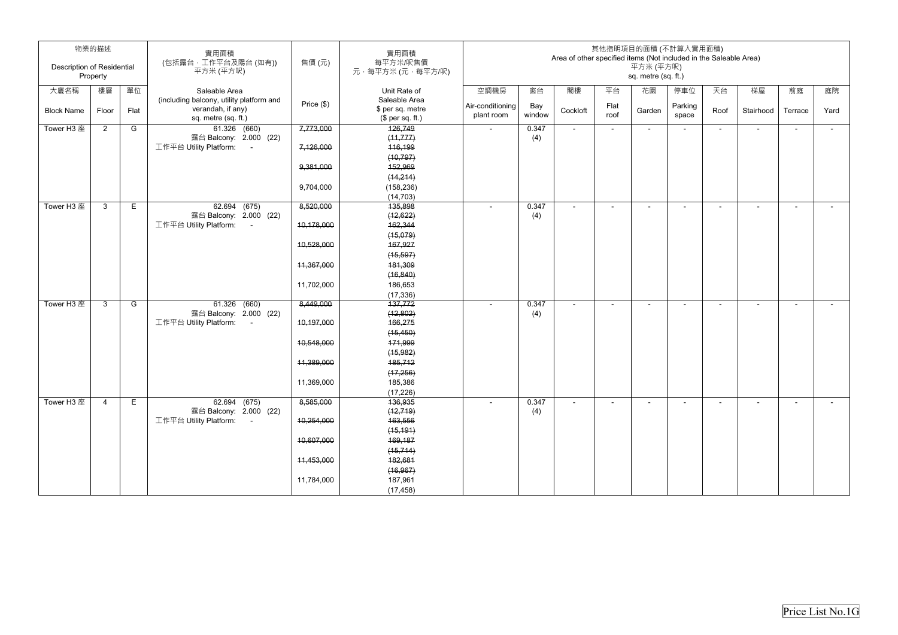| Description of Residential | 物業的描述<br>Property |      | 實用面積<br>(包括露台,工作平台及陽台(如有))<br>平方米 (平方呎)                       | 售價(元)        | 實用面積<br>每平方米/呎售價<br>元·每平方米(元·每平方/呎) |                  |        | Area of other specified items (Not included in the Saleable Area) |        | 平方米 (平方呎)<br>sq. metre (sq. ft.) | 其他指明項目的面積 (不計算入實用面積)     |                |                          |                |                 |
|----------------------------|-------------------|------|---------------------------------------------------------------|--------------|-------------------------------------|------------------|--------|-------------------------------------------------------------------|--------|----------------------------------|--------------------------|----------------|--------------------------|----------------|-----------------|
|                            |                   |      |                                                               |              |                                     |                  |        |                                                                   |        |                                  |                          |                |                          |                |                 |
| 大廈名稱                       | 樓層                | 單位   | Saleable Area                                                 |              | Unit Rate of                        | 空調機房             | 窗台     | 閣樓                                                                | 平台     | 花園                               | 停車位                      | 天台             | 梯屋                       | 前庭             | 庭院              |
|                            |                   |      | (including balcony, utility platform and<br>verandah, if any) | Price $(\$)$ | Saleable Area<br>\$ per sq. metre   | Air-conditioning | Bay    |                                                                   | Flat   |                                  | Parking                  |                |                          |                |                 |
| <b>Block Name</b>          | Floor             | Flat | sq. metre (sq. ft.)                                           |              | $$$ per sq. ft.)                    | plant room       | window | Cockloft                                                          | roof   | Garden                           | space                    | Roof           | Stairhood                | Terrace        | Yard            |
| Tower H3 座                 | $\overline{2}$    | G    | 61.326 (660)                                                  | 7,773,000    | 126,749                             | $\sim$           | 0.347  | $\blacksquare$                                                    | $\sim$ | $\sim$                           | $\blacksquare$           | $\blacksquare$ | $\overline{\phantom{a}}$ | $\blacksquare$ | $\sim$          |
|                            |                   |      | 露台 Balcony: 2.000 (22)                                        |              | (11, 777)                           |                  | (4)    |                                                                   |        |                                  |                          |                |                          |                |                 |
|                            |                   |      | 工作平台 Utility Platform:<br>$\sim 10$                           | 7,126,000    | 116,199                             |                  |        |                                                                   |        |                                  |                          |                |                          |                |                 |
|                            |                   |      |                                                               |              | (10, 797)                           |                  |        |                                                                   |        |                                  |                          |                |                          |                |                 |
|                            |                   |      |                                                               | 9,381,000    | 152,969                             |                  |        |                                                                   |        |                                  |                          |                |                          |                |                 |
|                            |                   |      |                                                               |              | (14, 214)                           |                  |        |                                                                   |        |                                  |                          |                |                          |                |                 |
|                            |                   |      |                                                               | 9,704,000    | (158, 236)                          |                  |        |                                                                   |        |                                  |                          |                |                          |                |                 |
|                            |                   |      |                                                               |              | (14, 703)                           |                  |        |                                                                   |        |                                  |                          |                |                          |                |                 |
| Tower H3 座                 | $\mathbf{3}$      | E    | 62.694 (675)                                                  | 8,520,000    | 135,898                             |                  | 0.347  | $\blacksquare$                                                    | $\sim$ | $\sim$                           | $\overline{\phantom{a}}$ | ٠              | $\overline{\phantom{a}}$ | $\blacksquare$ | $\sim$          |
|                            |                   |      | 露台 Balcony: 2.000 (22)                                        |              | (12, 622)                           |                  | (4)    |                                                                   |        |                                  |                          |                |                          |                |                 |
|                            |                   |      | 工作平台 Utility Platform:<br>$\sim 100$                          | 10,178,000   | 162,344                             |                  |        |                                                                   |        |                                  |                          |                |                          |                |                 |
|                            |                   |      |                                                               | 10,528,000   | (15,079)<br>167,927                 |                  |        |                                                                   |        |                                  |                          |                |                          |                |                 |
|                            |                   |      |                                                               |              | (15, 597)                           |                  |        |                                                                   |        |                                  |                          |                |                          |                |                 |
|                            |                   |      |                                                               | 11,367,000   | 181,309                             |                  |        |                                                                   |        |                                  |                          |                |                          |                |                 |
|                            |                   |      |                                                               |              | (16, 840)                           |                  |        |                                                                   |        |                                  |                          |                |                          |                |                 |
|                            |                   |      |                                                               | 11,702,000   | 186,653                             |                  |        |                                                                   |        |                                  |                          |                |                          |                |                 |
|                            |                   |      |                                                               |              | (17, 336)                           |                  |        |                                                                   |        |                                  |                          |                |                          |                |                 |
| Tower H3 座                 | $\mathbf{3}$      | G    | 61.326 (660)                                                  | 8,449,000    | 137,772                             |                  | 0.347  | $\sim$                                                            | $\sim$ | $\sim$                           | $\blacksquare$           | $\sim$         | $\blacksquare$           | $\blacksquare$ | $\sim$ 10 $\pm$ |
|                            |                   |      | 露台 Balcony: 2.000 (22)                                        |              | (12, 802)                           |                  | (4)    |                                                                   |        |                                  |                          |                |                          |                |                 |
|                            |                   |      | 工作平台 Utility Platform:<br>$\sim 100$                          | 10,197,000   | 166,275                             |                  |        |                                                                   |        |                                  |                          |                |                          |                |                 |
|                            |                   |      |                                                               |              | (15, 450)                           |                  |        |                                                                   |        |                                  |                          |                |                          |                |                 |
|                            |                   |      |                                                               | 10,548,000   | 171,999                             |                  |        |                                                                   |        |                                  |                          |                |                          |                |                 |
|                            |                   |      |                                                               |              | (15, 982)                           |                  |        |                                                                   |        |                                  |                          |                |                          |                |                 |
|                            |                   |      |                                                               | 11,389,000   | 185,712                             |                  |        |                                                                   |        |                                  |                          |                |                          |                |                 |
|                            |                   |      |                                                               |              | (17,256)                            |                  |        |                                                                   |        |                                  |                          |                |                          |                |                 |
|                            |                   |      |                                                               | 11,369,000   | 185,386                             |                  |        |                                                                   |        |                                  |                          |                |                          |                |                 |
| Tower H3 座                 | $\overline{4}$    | E.   | 62.694 (675)                                                  | 8,585,000    | (17, 226)<br>136,935                |                  | 0.347  |                                                                   |        |                                  |                          |                |                          |                |                 |
|                            |                   |      | 露台 Balcony: 2.000 (22)                                        |              | (12, 719)                           |                  | (4)    |                                                                   |        | $\overline{\phantom{a}}$         |                          |                | $\blacksquare$           |                | $\sim$          |
|                            |                   |      | 工作平台 Utility Platform: -                                      | 10,254,000   | 163,556                             |                  |        |                                                                   |        |                                  |                          |                |                          |                |                 |
|                            |                   |      |                                                               |              | (15, 191)                           |                  |        |                                                                   |        |                                  |                          |                |                          |                |                 |
|                            |                   |      |                                                               | 10,607,000   | 169,187                             |                  |        |                                                                   |        |                                  |                          |                |                          |                |                 |
|                            |                   |      |                                                               |              | (15, 714)                           |                  |        |                                                                   |        |                                  |                          |                |                          |                |                 |
|                            |                   |      |                                                               | 11,453,000   | 182,681                             |                  |        |                                                                   |        |                                  |                          |                |                          |                |                 |
|                            |                   |      |                                                               |              | (16, 967)                           |                  |        |                                                                   |        |                                  |                          |                |                          |                |                 |
|                            |                   |      |                                                               | 11,784,000   | 187,961                             |                  |        |                                                                   |        |                                  |                          |                |                          |                |                 |
|                            |                   |      |                                                               |              | (17, 458)                           |                  |        |                                                                   |        |                                  |                          |                |                          |                |                 |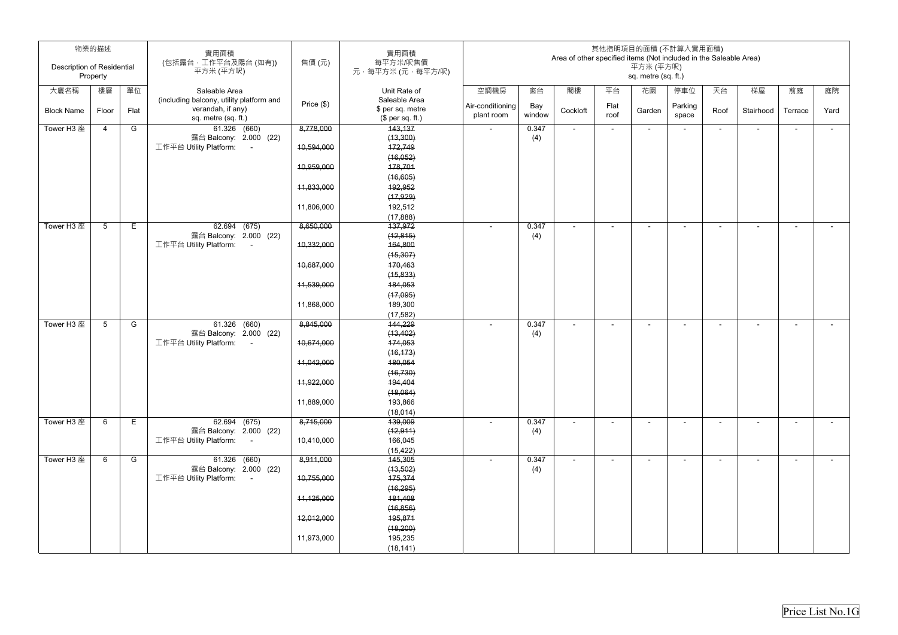| Description of Residential | 物業的描述<br>Property |      | 實用面積<br>(包括露台,工作平台及陽台(如有))<br>平方米 (平方呎)                                              | 售價(元)      | 實用面積<br>每平方米/呎售價<br>元,每平方米(元,每平方/呎)                   |                                |               | Area of other specified items (Not included in the Saleable Area) |              | 其他指明項目的面積 (不計算入實用面積)<br>平方米 (平方呎)<br>sq. metre (sq. ft.) |                  |                |                          |                |        |
|----------------------------|-------------------|------|--------------------------------------------------------------------------------------|------------|-------------------------------------------------------|--------------------------------|---------------|-------------------------------------------------------------------|--------------|----------------------------------------------------------|------------------|----------------|--------------------------|----------------|--------|
| 大廈名稱                       | 樓層                | 單位   | Saleable Area                                                                        |            | Unit Rate of                                          | 空調機房                           | 窗台            | 閣樓                                                                | 平台           | 花園                                                       | 停車位              | 天台             | 梯屋                       | 前庭             | 庭院     |
| <b>Block Name</b>          | Floor             | Flat | (including balcony, utility platform and<br>verandah, if any)<br>sq. metre (sq. ft.) | Price (\$) | Saleable Area<br>\$ per sq. metre<br>$$$ per sq. ft.) | Air-conditioning<br>plant room | Bay<br>window | Cockloft                                                          | Flat<br>roof | Garden                                                   | Parking<br>space | Roof           | Stairhood                | Terrace        | Yard   |
| Tower H3 座                 | $\overline{4}$    | G    | 61.326 (660)                                                                         | 8,778,000  | 143,137                                               | $\sim$                         | 0.347         | $\blacksquare$                                                    | $\sim$       | $\sim$                                                   | $\sim$           | $\sim$         | $\sim$                   | $\sim$         | $\sim$ |
|                            |                   |      | 露台 Balcony: 2.000 (22)                                                               |            | (13,300)                                              |                                | (4)           |                                                                   |              |                                                          |                  |                |                          |                |        |
|                            |                   |      | 工作平台 Utility Platform:<br>$\sim 100$                                                 | 10,594,000 | 172,749                                               |                                |               |                                                                   |              |                                                          |                  |                |                          |                |        |
|                            |                   |      |                                                                                      |            | (16, 052)                                             |                                |               |                                                                   |              |                                                          |                  |                |                          |                |        |
|                            |                   |      |                                                                                      | 10,959,000 | 178,701                                               |                                |               |                                                                   |              |                                                          |                  |                |                          |                |        |
|                            |                   |      |                                                                                      |            | (16, 605)                                             |                                |               |                                                                   |              |                                                          |                  |                |                          |                |        |
|                            |                   |      |                                                                                      | 11,833,000 | 192,952                                               |                                |               |                                                                   |              |                                                          |                  |                |                          |                |        |
|                            |                   |      |                                                                                      | 11,806,000 | (17, 929)<br>192,512                                  |                                |               |                                                                   |              |                                                          |                  |                |                          |                |        |
|                            |                   |      |                                                                                      |            | (17, 888)                                             |                                |               |                                                                   |              |                                                          |                  |                |                          |                |        |
| Tower H3 座                 | $5\overline{)}$   | Е    | 62.694 (675)                                                                         | 8,650,000  | 137,972                                               |                                | 0.347         | $\blacksquare$                                                    |              |                                                          |                  |                |                          |                |        |
|                            |                   |      | 露台 Balcony: 2.000 (22)                                                               |            | (12, 815)                                             |                                | (4)           |                                                                   |              |                                                          |                  |                |                          |                |        |
|                            |                   |      | 工作平台 Utility Platform:<br>$\sim 100$                                                 | 10,332,000 | 164,800                                               |                                |               |                                                                   |              |                                                          |                  |                |                          |                |        |
|                            |                   |      |                                                                                      |            | (15, 307)                                             |                                |               |                                                                   |              |                                                          |                  |                |                          |                |        |
|                            |                   |      |                                                                                      | 10,687,000 | 170,463                                               |                                |               |                                                                   |              |                                                          |                  |                |                          |                |        |
|                            |                   |      |                                                                                      |            | (15, 833)                                             |                                |               |                                                                   |              |                                                          |                  |                |                          |                |        |
|                            |                   |      |                                                                                      | 11,539,000 | 184,053                                               |                                |               |                                                                   |              |                                                          |                  |                |                          |                |        |
|                            |                   |      |                                                                                      |            | (17,095)                                              |                                |               |                                                                   |              |                                                          |                  |                |                          |                |        |
|                            |                   |      |                                                                                      | 11,868,000 | 189,300<br>(17, 582)                                  |                                |               |                                                                   |              |                                                          |                  |                |                          |                |        |
| Tower H3 座                 | $5\overline{)}$   | G    | 61.326 (660)                                                                         | 8,845,000  | 144,229                                               | $\overline{\phantom{a}}$       | 0.347         | $\overline{\phantom{a}}$                                          | $\sim$       |                                                          |                  | $\blacksquare$ | $\blacksquare$           | $\blacksquare$ | $\sim$ |
|                            |                   |      | 露台 Balcony: 2.000 (22)                                                               |            | (13, 402)                                             |                                | (4)           |                                                                   |              |                                                          |                  |                |                          |                |        |
|                            |                   |      | 工作平台 Utility Platform:<br>$\sim 100$                                                 | 10,674,000 | 174,053                                               |                                |               |                                                                   |              |                                                          |                  |                |                          |                |        |
|                            |                   |      |                                                                                      |            | (16, 173)                                             |                                |               |                                                                   |              |                                                          |                  |                |                          |                |        |
|                            |                   |      |                                                                                      | 11,042,000 | 180,054                                               |                                |               |                                                                   |              |                                                          |                  |                |                          |                |        |
|                            |                   |      |                                                                                      |            | (16, 730)                                             |                                |               |                                                                   |              |                                                          |                  |                |                          |                |        |
|                            |                   |      |                                                                                      | 11,922,000 | 194,404                                               |                                |               |                                                                   |              |                                                          |                  |                |                          |                |        |
|                            |                   |      |                                                                                      |            | (18,064)                                              |                                |               |                                                                   |              |                                                          |                  |                |                          |                |        |
|                            |                   |      |                                                                                      | 11,889,000 | 193,866                                               |                                |               |                                                                   |              |                                                          |                  |                |                          |                |        |
| Tower H3 座                 | 6                 | E    | 62.694 (675)                                                                         | 8,715,000  | (18, 014)<br>139,009                                  |                                | 0.347         |                                                                   |              |                                                          |                  |                |                          |                |        |
|                            |                   |      | 露台 Balcony: 2.000 (22)                                                               |            | (12, 911)                                             |                                | (4)           | $\blacksquare$                                                    | $\sim$       | $\overline{\phantom{a}}$                                 |                  | $\blacksquare$ | $\sim$                   | ۰.             | $\sim$ |
|                            |                   |      | 工作平台 Utility Platform: -                                                             | 10,410,000 | 166,045                                               |                                |               |                                                                   |              |                                                          |                  |                |                          |                |        |
|                            |                   |      |                                                                                      |            | (15, 422)                                             |                                |               |                                                                   |              |                                                          |                  |                |                          |                |        |
| Tower H3 座                 | $6\phantom{.}6$   | G    | 61.326 (660)                                                                         | 8,911,000  | 145,305                                               | $\overline{\phantom{a}}$       | 0.347         | $\blacksquare$                                                    |              |                                                          |                  | $\blacksquare$ | $\overline{\phantom{a}}$ | $\blacksquare$ | $\sim$ |
|                            |                   |      | 露台 Balcony: 2.000 (22)                                                               |            | (13, 502)                                             |                                | (4)           |                                                                   |              |                                                          |                  |                |                          |                |        |
|                            |                   |      | 工作平台 Utility Platform: -                                                             | 10,755,000 | 175,374                                               |                                |               |                                                                   |              |                                                          |                  |                |                          |                |        |
|                            |                   |      |                                                                                      |            | (16, 295)                                             |                                |               |                                                                   |              |                                                          |                  |                |                          |                |        |
|                            |                   |      |                                                                                      | 11,125,000 | 181,408                                               |                                |               |                                                                   |              |                                                          |                  |                |                          |                |        |
|                            |                   |      |                                                                                      | 12,012,000 | (16, 856)<br>195,871                                  |                                |               |                                                                   |              |                                                          |                  |                |                          |                |        |
|                            |                   |      |                                                                                      |            | (18, 200)                                             |                                |               |                                                                   |              |                                                          |                  |                |                          |                |        |
|                            |                   |      |                                                                                      | 11,973,000 | 195,235                                               |                                |               |                                                                   |              |                                                          |                  |                |                          |                |        |
|                            |                   |      |                                                                                      |            | (18, 141)                                             |                                |               |                                                                   |              |                                                          |                  |                |                          |                |        |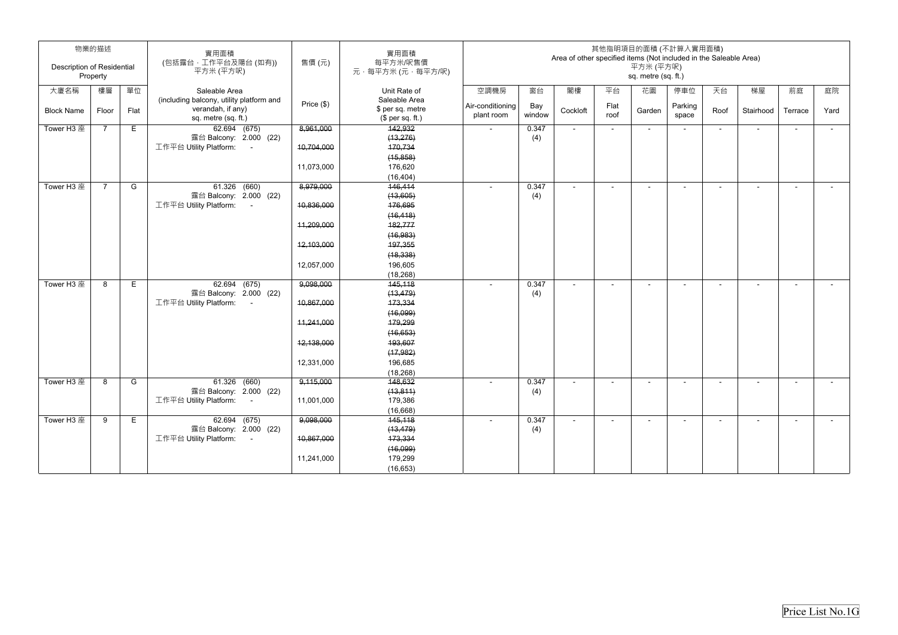| 物業的描述<br><b>Description of Residential</b><br>Property |                |      | 實用面積<br>(包括露台,工作平台及陽台(如有))<br>平方米 (平方呎)          | 售價(元)        | 實用面積<br>每平方米/呎售價<br>元·每平方米(元·每平方/呎) |                                |               | Area of other specified items (Not included in the Saleable Area) |              | 平方米 (平方呎)           | 其他指明項目的面積 (不計算入實用面積)     |                          |                |                          |        |
|--------------------------------------------------------|----------------|------|--------------------------------------------------|--------------|-------------------------------------|--------------------------------|---------------|-------------------------------------------------------------------|--------------|---------------------|--------------------------|--------------------------|----------------|--------------------------|--------|
|                                                        |                |      |                                                  |              |                                     |                                |               |                                                                   |              | sq. metre (sq. ft.) |                          |                          |                |                          |        |
| 大廈名稱                                                   | 樓層             | 單位   | Saleable Area                                    |              | Unit Rate of                        | 空調機房                           | 窗台            | 閣樓                                                                | 平台           | 花園                  | 停車位                      | 天台                       | 梯屋             | 前庭                       | 庭院     |
|                                                        |                |      | (including balcony, utility platform and         | Price $(\$)$ | Saleable Area                       |                                |               |                                                                   |              |                     |                          |                          |                |                          |        |
| <b>Block Name</b>                                      | Floor          | Flat | verandah, if any)                                |              | \$ per sq. metre                    | Air-conditioning<br>plant room | Bay<br>window | Cockloft                                                          | Flat<br>roof | Garden              | Parking<br>space         | Roof                     | Stairhood      | Terrace                  | Yard   |
|                                                        |                |      | sq. metre (sq. ft.)                              |              | $$$ per sq. ft.)                    |                                |               |                                                                   |              |                     |                          |                          |                |                          |        |
| Tower H3 座                                             | $\overline{7}$ | E.   | 62.694 (675)                                     | 8,961,000    | 142,932                             |                                | 0.347         | $\blacksquare$                                                    | $\sim$       | $\sim$              | $\overline{\phantom{a}}$ | $\overline{\phantom{a}}$ | $\sim$         | $\sim$                   | $\sim$ |
|                                                        |                |      | 露台 Balcony: 2.000 (22)<br>工作平台 Utility Platform: |              | (13, 276)                           |                                | (4)           |                                                                   |              |                     |                          |                          |                |                          |        |
|                                                        |                |      | $\sim$ $-$                                       | 10,704,000   | 170,734                             |                                |               |                                                                   |              |                     |                          |                          |                |                          |        |
|                                                        |                |      |                                                  | 11,073,000   | (15, 858)                           |                                |               |                                                                   |              |                     |                          |                          |                |                          |        |
|                                                        |                |      |                                                  |              | 176,620                             |                                |               |                                                                   |              |                     |                          |                          |                |                          |        |
| Tower H3 座                                             | $\overline{7}$ | G    | 61.326 (660)                                     | 8,979,000    | (16, 404)<br>146,414                |                                | 0.347         | $\blacksquare$                                                    | $\sim$       | $\sim$              | $\overline{a}$           | $\sim$                   | $\sim$         | $\sim$                   | $\sim$ |
|                                                        |                |      | 露台 Balcony: 2.000 (22)                           |              | (13,605)                            |                                | (4)           |                                                                   |              |                     |                          |                          |                |                          |        |
|                                                        |                |      | 工作平台 Utility Platform:<br>$\sim 100$             | 10,836,000   | 176,695                             |                                |               |                                                                   |              |                     |                          |                          |                |                          |        |
|                                                        |                |      |                                                  |              | (16, 418)                           |                                |               |                                                                   |              |                     |                          |                          |                |                          |        |
|                                                        |                |      |                                                  | 11,209,000   | 182,777                             |                                |               |                                                                   |              |                     |                          |                          |                |                          |        |
|                                                        |                |      |                                                  |              | (16, 983)                           |                                |               |                                                                   |              |                     |                          |                          |                |                          |        |
|                                                        |                |      |                                                  | 12,103,000   | 197,355                             |                                |               |                                                                   |              |                     |                          |                          |                |                          |        |
|                                                        |                |      |                                                  |              | (18, 338)                           |                                |               |                                                                   |              |                     |                          |                          |                |                          |        |
|                                                        |                |      |                                                  | 12,057,000   | 196,605                             |                                |               |                                                                   |              |                     |                          |                          |                |                          |        |
|                                                        |                |      |                                                  |              | (18, 268)                           |                                |               |                                                                   |              |                     |                          |                          |                |                          |        |
| Tower H3 座                                             | 8              | E    | 62.694 (675)                                     | 9,098,000    | 145,118                             |                                | 0.347         | $\blacksquare$                                                    | $\sim$       | $\blacksquare$      | $\blacksquare$           | $\overline{\phantom{a}}$ | $\blacksquare$ | $\overline{\phantom{a}}$ | $\sim$ |
|                                                        |                |      | 露台 Balcony: 2.000 (22)                           |              | (13, 479)                           |                                | (4)           |                                                                   |              |                     |                          |                          |                |                          |        |
|                                                        |                |      | 工作平台 Utility Platform:                           | 10,867,000   | 173,334                             |                                |               |                                                                   |              |                     |                          |                          |                |                          |        |
|                                                        |                |      |                                                  |              | (16,099)                            |                                |               |                                                                   |              |                     |                          |                          |                |                          |        |
|                                                        |                |      |                                                  | 11,241,000   | 179,299                             |                                |               |                                                                   |              |                     |                          |                          |                |                          |        |
|                                                        |                |      |                                                  |              | (16, 653)                           |                                |               |                                                                   |              |                     |                          |                          |                |                          |        |
|                                                        |                |      |                                                  | 12,138,000   | 193,607                             |                                |               |                                                                   |              |                     |                          |                          |                |                          |        |
|                                                        |                |      |                                                  |              | (17, 982)                           |                                |               |                                                                   |              |                     |                          |                          |                |                          |        |
|                                                        |                |      |                                                  | 12,331,000   | 196,685                             |                                |               |                                                                   |              |                     |                          |                          |                |                          |        |
|                                                        |                |      |                                                  |              | (18, 268)                           |                                |               |                                                                   |              |                     |                          |                          |                |                          |        |
| Tower H3 座                                             | 8              | G    | 61.326 (660)                                     | 9,115,000    | 148,632                             |                                | 0.347         |                                                                   |              |                     |                          |                          |                |                          |        |
|                                                        |                |      | 露台 Balcony: 2.000 (22)<br>工作平台 Utility Platform: |              | (13, 811)                           |                                | (4)           |                                                                   |              |                     |                          |                          |                |                          |        |
|                                                        |                |      | $\sim 100$                                       | 11,001,000   | 179,386                             |                                |               |                                                                   |              |                     |                          |                          |                |                          |        |
| Tower H3 座                                             | 9              | E.   | 62.694 (675)                                     | 9,098,000    | (16, 668)<br>145,118                |                                | 0.347         |                                                                   |              |                     |                          |                          | $\blacksquare$ |                          |        |
|                                                        |                |      | 露台 Balcony: 2.000 (22)                           |              | (13, 479)                           |                                | (4)           |                                                                   |              |                     |                          |                          |                |                          |        |
|                                                        |                |      | 工作平台 Utility Platform:<br>$\sim 100$             | 10,867,000   | 173,334                             |                                |               |                                                                   |              |                     |                          |                          |                |                          |        |
|                                                        |                |      |                                                  |              | (16,099)                            |                                |               |                                                                   |              |                     |                          |                          |                |                          |        |
|                                                        |                |      |                                                  | 11,241,000   | 179,299                             |                                |               |                                                                   |              |                     |                          |                          |                |                          |        |
|                                                        |                |      |                                                  |              | (16, 653)                           |                                |               |                                                                   |              |                     |                          |                          |                |                          |        |
|                                                        |                |      |                                                  |              |                                     |                                |               |                                                                   |              |                     |                          |                          |                |                          |        |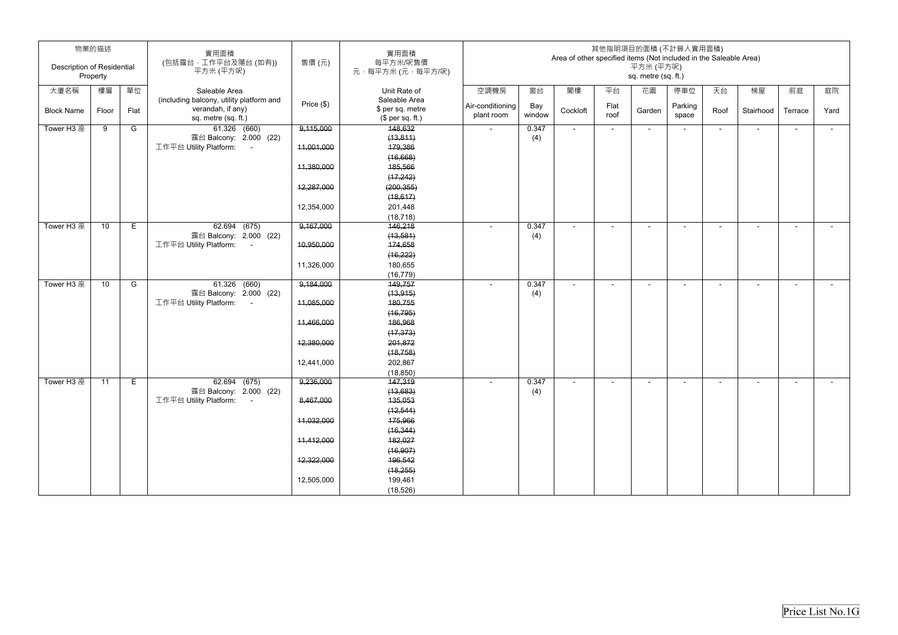|                                   | 物業的描述    |      | 實用面積                                     |              | 實用面積             | 其他指明項目的面積 (不計算入實用面積)                                              |        |                |        |                     |         |                |                          |         |        |
|-----------------------------------|----------|------|------------------------------------------|--------------|------------------|-------------------------------------------------------------------|--------|----------------|--------|---------------------|---------|----------------|--------------------------|---------|--------|
|                                   |          |      | (包括露台,工作平台及陽台(如有))                       | 售價(元)        | 每平方米/呎售價         | Area of other specified items (Not included in the Saleable Area) |        |                |        |                     |         |                |                          |         |        |
| <b>Description of Residential</b> |          |      | 平方米 (平方呎)                                |              | 元·每平方米(元·每平方/呎)  |                                                                   |        |                |        | 平方米 (平方呎)           |         |                |                          |         |        |
|                                   | Property |      |                                          |              |                  |                                                                   |        |                |        | sq. metre (sq. ft.) |         |                |                          |         |        |
| 大廈名稱                              | 樓層       | 單位   | Saleable Area                            |              | Unit Rate of     | 空調機房                                                              | 窗台     | 閣樓             | 平台     | 花園                  | 停車位     | 天台             | 梯屋                       | 前庭      | 庭院     |
|                                   |          |      | (including balcony, utility platform and |              | Saleable Area    |                                                                   |        |                |        |                     |         |                |                          |         |        |
| <b>Block Name</b>                 | Floor    | Flat | verandah, if any)                        | Price $(\$)$ | \$ per sq. metre | Air-conditioning                                                  | Bay    | Cockloft       | Flat   | Garden              | Parking | Roof           | Stairhood                | Terrace | Yard   |
|                                   |          |      | sq. metre (sq. ft.)                      |              | $$$ per sq. ft.) | plant room                                                        | window |                | roof   |                     | space   |                |                          |         |        |
| Tower H3 座                        | 9        | G    | 61.326 (660)                             | 9,115,000    | 148,632          | $\sim$                                                            | 0.347  | $\sim$         | $\sim$ | $\sim$              | $\sim$  | $\blacksquare$ | $\sim$                   | $\sim$  | $\sim$ |
|                                   |          |      | 露台 Balcony: 2.000 (22)                   |              | (13, 811)        |                                                                   | (4)    |                |        |                     |         |                |                          |         |        |
|                                   |          |      | 工作平台 Utility Platform:<br>$\sim 100$     | 11,001,000   | 179,386          |                                                                   |        |                |        |                     |         |                |                          |         |        |
|                                   |          |      |                                          |              | (16,668)         |                                                                   |        |                |        |                     |         |                |                          |         |        |
|                                   |          |      |                                          | 11,380,000   | 185,566          |                                                                   |        |                |        |                     |         |                |                          |         |        |
|                                   |          |      |                                          |              | (17, 242)        |                                                                   |        |                |        |                     |         |                |                          |         |        |
|                                   |          |      |                                          | 12,287,000   | (200, 355)       |                                                                   |        |                |        |                     |         |                |                          |         |        |
|                                   |          |      |                                          |              | (18, 617)        |                                                                   |        |                |        |                     |         |                |                          |         |        |
|                                   |          |      |                                          | 12,354,000   | 201,448          |                                                                   |        |                |        |                     |         |                |                          |         |        |
|                                   |          |      |                                          |              | (18, 718)        |                                                                   |        |                |        |                     |         |                |                          |         |        |
| Tower H3 座                        | 10       | E    | 62.694 (675)                             | 9,167,000    | 146,218          |                                                                   | 0.347  | $\blacksquare$ |        |                     |         |                | $\blacksquare$           |         | $\sim$ |
|                                   |          |      | 露台 Balcony: 2.000 (22)                   |              | (13, 581)        |                                                                   | (4)    |                |        |                     |         |                |                          |         |        |
|                                   |          |      | 工作平台 Utility Platform:<br>$\sim$         | 10,950,000   | 174,658          |                                                                   |        |                |        |                     |         |                |                          |         |        |
|                                   |          |      |                                          |              | (16, 222)        |                                                                   |        |                |        |                     |         |                |                          |         |        |
|                                   |          |      |                                          | 11,326,000   | 180,655          |                                                                   |        |                |        |                     |         |                |                          |         |        |
|                                   |          |      |                                          |              | (16, 779)        |                                                                   |        |                |        |                     |         |                |                          |         |        |
| Tower H3 座                        | 10       | G    | $61.326$ $(660)$                         | 9,184,000    | 149,757          |                                                                   | 0.347  |                |        |                     |         |                | $\overline{\phantom{a}}$ |         |        |
|                                   |          |      | 露台 Balcony: 2.000 (22)                   |              | (13, 915)        |                                                                   | (4)    |                |        |                     |         |                |                          |         |        |
|                                   |          |      | 工作平台 Utility Platform:                   | 11,085,000   | 180,755          |                                                                   |        |                |        |                     |         |                |                          |         |        |
|                                   |          |      |                                          |              | (16, 795)        |                                                                   |        |                |        |                     |         |                |                          |         |        |
|                                   |          |      |                                          | 11,466,000   | 186,968          |                                                                   |        |                |        |                     |         |                |                          |         |        |
|                                   |          |      |                                          |              | (17, 373)        |                                                                   |        |                |        |                     |         |                |                          |         |        |
|                                   |          |      |                                          | 12,380,000   | 201,872          |                                                                   |        |                |        |                     |         |                |                          |         |        |
|                                   |          |      |                                          |              | (18, 758)        |                                                                   |        |                |        |                     |         |                |                          |         |        |
|                                   |          |      |                                          | 12,441,000   | 202,867          |                                                                   |        |                |        |                     |         |                |                          |         |        |
|                                   |          |      |                                          |              | (18, 850)        |                                                                   |        |                |        |                     |         |                |                          |         |        |
| Tower H3 座                        | 11       | E    | 62.694 (675)                             | 9,236,000    | 147,319          |                                                                   | 0.347  |                |        |                     |         |                |                          |         |        |
|                                   |          |      | 露台 Balcony: 2.000 (22)                   |              | (13,683)         |                                                                   | (4)    |                |        |                     |         |                |                          |         |        |
|                                   |          |      | 工作平台 Utility Platform:<br>$\sim$ $-$     | 8,467,000    | 135,053          |                                                                   |        |                |        |                     |         |                |                          |         |        |
|                                   |          |      |                                          |              | (12, 544)        |                                                                   |        |                |        |                     |         |                |                          |         |        |
|                                   |          |      |                                          | 11,032,000   | 175,966          |                                                                   |        |                |        |                     |         |                |                          |         |        |
|                                   |          |      |                                          |              | (16, 344)        |                                                                   |        |                |        |                     |         |                |                          |         |        |
|                                   |          |      |                                          | 11,412,000   | 182,027          |                                                                   |        |                |        |                     |         |                |                          |         |        |
|                                   |          |      |                                          |              | (16, 907)        |                                                                   |        |                |        |                     |         |                |                          |         |        |
|                                   |          |      |                                          | 12,322,000   | 196,542          |                                                                   |        |                |        |                     |         |                |                          |         |        |
|                                   |          |      |                                          |              | (18, 255)        |                                                                   |        |                |        |                     |         |                |                          |         |        |
|                                   |          |      |                                          | 12,505,000   | 199,461          |                                                                   |        |                |        |                     |         |                |                          |         |        |
|                                   |          |      |                                          |              | (18, 526)        |                                                                   |        |                |        |                     |         |                |                          |         |        |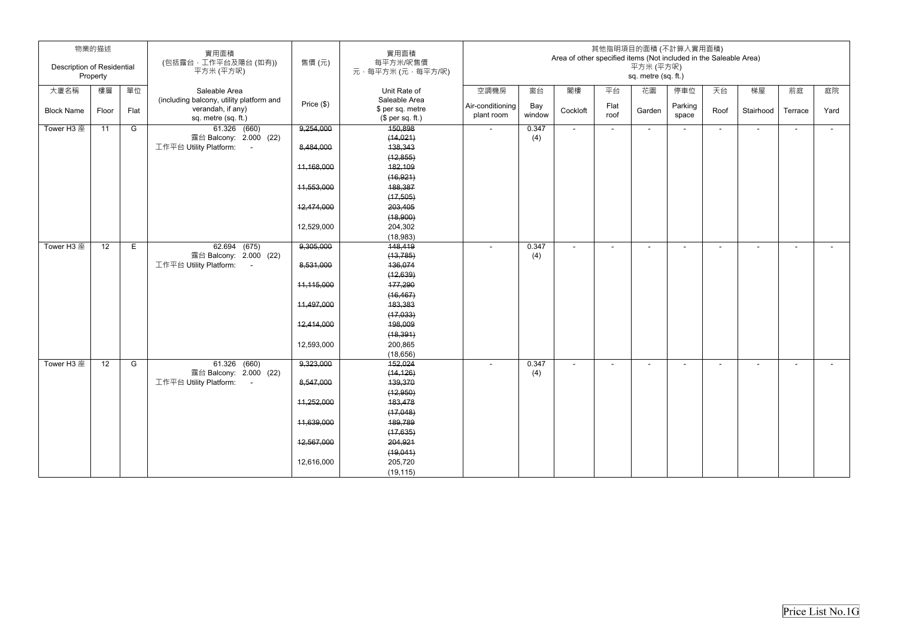|                                   | 物業的描述    |      | 實用面積                                                                                 |            | 實用面積                                                  |                                |               | Area of other specified items (Not included in the Saleable Area) |              |                                  | 其他指明項目的面積 (不計算入實用面積) |                          |                |                |        |
|-----------------------------------|----------|------|--------------------------------------------------------------------------------------|------------|-------------------------------------------------------|--------------------------------|---------------|-------------------------------------------------------------------|--------------|----------------------------------|----------------------|--------------------------|----------------|----------------|--------|
| <b>Description of Residential</b> | Property |      | (包括露台,工作平台及陽台(如有))<br>平方米 (平方呎)                                                      | 售價 (元)     | 每平方米/呎售價<br>元,每平方米(元,每平方/呎)                           |                                |               |                                                                   |              | 平方米 (平方呎)<br>sq. metre (sq. ft.) |                      |                          |                |                |        |
| 大廈名稱                              | 樓層       | 單位   | Saleable Area                                                                        |            | Unit Rate of                                          | 空調機房                           | 窗台            | 閣樓                                                                | 平台           | 花園                               | 停車位                  | 天台                       | 梯屋             | 前庭             | 庭院     |
| <b>Block Name</b>                 | Floor    | Flat | (including balcony, utility platform and<br>verandah, if any)<br>sq. metre (sq. ft.) | Price (\$) | Saleable Area<br>\$ per sq. metre<br>$$$ per sq. ft.) | Air-conditioning<br>plant room | Bay<br>window | Cockloft                                                          | Flat<br>roof | Garden                           | Parking<br>space     | Roof                     | Stairhood      | Terrace        | Yard   |
| Tower H3 座                        | 11       | G    | 61.326 (660)                                                                         | 9,254,000  | 150,898                                               | $\sim$                         | 0.347         | $\blacksquare$                                                    | $\sim$       | $\sim$                           | $\blacksquare$       | $\overline{\phantom{0}}$ | $\blacksquare$ | $\sim$         | $\sim$ |
|                                   |          |      | 露台 Balcony: 2.000 (22)<br>工作平台 Utility Platform:<br>$\sim 100$                       | 8,484,000  | (14, 021)<br>138,343                                  |                                | (4)           |                                                                   |              |                                  |                      |                          |                |                |        |
|                                   |          |      |                                                                                      |            | (12, 855)                                             |                                |               |                                                                   |              |                                  |                      |                          |                |                |        |
|                                   |          |      |                                                                                      | 11,168,000 | 182,109                                               |                                |               |                                                                   |              |                                  |                      |                          |                |                |        |
|                                   |          |      |                                                                                      |            | (16, 921)                                             |                                |               |                                                                   |              |                                  |                      |                          |                |                |        |
|                                   |          |      |                                                                                      | 11,553,000 | 188,387                                               |                                |               |                                                                   |              |                                  |                      |                          |                |                |        |
|                                   |          |      |                                                                                      |            | (17, 505)                                             |                                |               |                                                                   |              |                                  |                      |                          |                |                |        |
|                                   |          |      |                                                                                      | 12,474,000 | 203,405                                               |                                |               |                                                                   |              |                                  |                      |                          |                |                |        |
|                                   |          |      |                                                                                      |            | (18,900)                                              |                                |               |                                                                   |              |                                  |                      |                          |                |                |        |
|                                   |          |      |                                                                                      | 12,529,000 | 204,302<br>(18, 983)                                  |                                |               |                                                                   |              |                                  |                      |                          |                |                |        |
| Tower H3 座                        | 12       | E    | 62.694 (675)                                                                         | 9,305,000  | 148,419                                               |                                | 0.347         | ÷                                                                 | $\sim$       | $\blacksquare$                   |                      | $\blacksquare$           | $\blacksquare$ | $\blacksquare$ | $\sim$ |
|                                   |          |      | 露台 Balcony: 2.000 (22)                                                               |            | (13, 785)                                             |                                | (4)           |                                                                   |              |                                  |                      |                          |                |                |        |
|                                   |          |      | 工作平台 Utility Platform:<br>$\sim$ $-$                                                 | 8,531,000  | 136,074                                               |                                |               |                                                                   |              |                                  |                      |                          |                |                |        |
|                                   |          |      |                                                                                      |            | (12, 639)                                             |                                |               |                                                                   |              |                                  |                      |                          |                |                |        |
|                                   |          |      |                                                                                      | 11,115,000 | 177,290                                               |                                |               |                                                                   |              |                                  |                      |                          |                |                |        |
|                                   |          |      |                                                                                      |            | (16, 467)                                             |                                |               |                                                                   |              |                                  |                      |                          |                |                |        |
|                                   |          |      |                                                                                      | 11,497,000 | 183,383                                               |                                |               |                                                                   |              |                                  |                      |                          |                |                |        |
|                                   |          |      |                                                                                      |            | (17,033)                                              |                                |               |                                                                   |              |                                  |                      |                          |                |                |        |
|                                   |          |      |                                                                                      | 12,414,000 | 198,009                                               |                                |               |                                                                   |              |                                  |                      |                          |                |                |        |
|                                   |          |      |                                                                                      |            | (18, 391)                                             |                                |               |                                                                   |              |                                  |                      |                          |                |                |        |
|                                   |          |      |                                                                                      | 12,593,000 | 200,865<br>(18, 656)                                  |                                |               |                                                                   |              |                                  |                      |                          |                |                |        |
| Tower H3 座                        | 12       | G    | 61.326 (660)                                                                         | 9,323,000  | 152,024                                               | $\sim$                         | 0.347         | $\blacksquare$                                                    |              | $\blacksquare$                   |                      |                          | $\blacksquare$ | $\blacksquare$ | $\sim$ |
|                                   |          |      | 露台 Balcony: 2.000 (22)                                                               |            | (14, 126)                                             |                                | (4)           |                                                                   |              |                                  |                      |                          |                |                |        |
|                                   |          |      | 工作平台 Utility Platform: -                                                             | 8,547,000  | 139,370                                               |                                |               |                                                                   |              |                                  |                      |                          |                |                |        |
|                                   |          |      |                                                                                      |            | (12, 950)                                             |                                |               |                                                                   |              |                                  |                      |                          |                |                |        |
|                                   |          |      |                                                                                      | 11,252,000 | 183,478                                               |                                |               |                                                                   |              |                                  |                      |                          |                |                |        |
|                                   |          |      |                                                                                      |            | (17,048)                                              |                                |               |                                                                   |              |                                  |                      |                          |                |                |        |
|                                   |          |      |                                                                                      | 11,639,000 | 189,789                                               |                                |               |                                                                   |              |                                  |                      |                          |                |                |        |
|                                   |          |      |                                                                                      |            | (17, 635)                                             |                                |               |                                                                   |              |                                  |                      |                          |                |                |        |
|                                   |          |      |                                                                                      | 12,567,000 | 204,921                                               |                                |               |                                                                   |              |                                  |                      |                          |                |                |        |
|                                   |          |      |                                                                                      |            | (19,041)                                              |                                |               |                                                                   |              |                                  |                      |                          |                |                |        |
|                                   |          |      |                                                                                      | 12,616,000 | 205,720                                               |                                |               |                                                                   |              |                                  |                      |                          |                |                |        |
|                                   |          |      |                                                                                      |            | (19, 115)                                             |                                |               |                                                                   |              |                                  |                      |                          |                |                |        |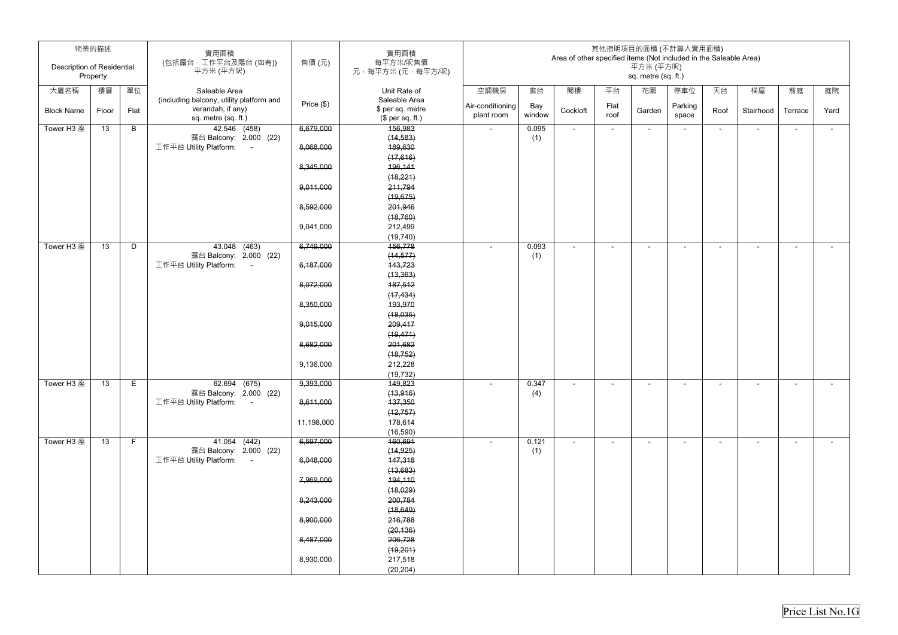| <b>Description of Residential</b> | 物業的描述           |      | 實用面積<br>(包括露台,工作平台及陽台(如有))                          | 售價(元)      | 實用面積<br>每平方米/呎售價     |                                |               | Area of other specified items (Not included in the Saleable Area) |              | 其他指明項目的面積 (不計算入實用面積)<br>平方米 (平方呎) |                          |                          |                          |                          |        |
|-----------------------------------|-----------------|------|-----------------------------------------------------|------------|----------------------|--------------------------------|---------------|-------------------------------------------------------------------|--------------|-----------------------------------|--------------------------|--------------------------|--------------------------|--------------------------|--------|
|                                   | Property        |      | 平方米 (平方呎)                                           |            | 元·每平方米(元·每平方/呎)      |                                |               |                                                                   |              | sq. metre (sq. ft.)               |                          |                          |                          |                          |        |
| 大廈名稱                              | 樓層              | 單位   | Saleable Area                                       |            | Unit Rate of         | 空調機房                           | 窗台            | 閣樓                                                                | 平台           | 花園                                | 停車位                      | 天台                       | 梯屋                       | 前庭                       | 庭院     |
|                                   |                 |      | (including balcony, utility platform and            | Price (\$) | Saleable Area        |                                |               |                                                                   |              |                                   |                          |                          |                          |                          |        |
| <b>Block Name</b>                 | Floor           | Flat | verandah, if any)                                   |            | \$ per sq. metre     | Air-conditioning<br>plant room | Bay<br>window | Cockloft                                                          | Flat<br>roof | Garden                            | Parking<br>space         | Roof                     | Stairhood                | Terrace                  | Yard   |
|                                   |                 |      | sq. metre (sq. ft.)                                 |            | (\$ per sq. ft.)     |                                |               |                                                                   |              |                                   |                          |                          |                          |                          |        |
| Tower H3 座                        | 13              | B    | 42.546 (458)<br>露台 Balcony: 2.000 (22)              | 6,679,000  | 156,983<br>(14, 583) | $\sim$                         | 0.095<br>(1)  | $\sim$                                                            | $\sim$       | $\sim$                            | $\overline{\phantom{a}}$ | $\sim$                   | $\overline{\phantom{a}}$ | $\sim$                   | $\sim$ |
|                                   |                 |      | 工作平台 Utility Platform:<br>$\sim 100$                | 8,068,000  | 189,630              |                                |               |                                                                   |              |                                   |                          |                          |                          |                          |        |
|                                   |                 |      |                                                     |            | (17,616)             |                                |               |                                                                   |              |                                   |                          |                          |                          |                          |        |
|                                   |                 |      |                                                     | 8,345,000  | 196,141              |                                |               |                                                                   |              |                                   |                          |                          |                          |                          |        |
|                                   |                 |      |                                                     |            | (18,221)             |                                |               |                                                                   |              |                                   |                          |                          |                          |                          |        |
|                                   |                 |      |                                                     | 9,011,000  | 211,794              |                                |               |                                                                   |              |                                   |                          |                          |                          |                          |        |
|                                   |                 |      |                                                     |            | (19, 675)            |                                |               |                                                                   |              |                                   |                          |                          |                          |                          |        |
|                                   |                 |      |                                                     | 8,592,000  | 201,946              |                                |               |                                                                   |              |                                   |                          |                          |                          |                          |        |
|                                   |                 |      |                                                     |            | (18, 760)            |                                |               |                                                                   |              |                                   |                          |                          |                          |                          |        |
|                                   |                 |      |                                                     | 9,041,000  | 212,499              |                                |               |                                                                   |              |                                   |                          |                          |                          |                          |        |
|                                   |                 |      |                                                     |            | (19, 740)            |                                |               |                                                                   |              |                                   |                          |                          |                          |                          |        |
| Tower H3 座                        | 13              | D    | $\overline{43.048}$ (463)<br>露台 Balcony: 2.000 (22) | 6,749,000  | 156,778              |                                | 0.093         | $\overline{\phantom{a}}$                                          | $\sim$       | $\overline{\phantom{a}}$          | ۰                        | $\overline{\phantom{a}}$ | $\overline{\phantom{a}}$ | $\overline{\phantom{a}}$ | $\sim$ |
|                                   |                 |      | 工作平台 Utility Platform:<br>$\sim$ $-$                | 6,187,000  | (14, 577)<br>143,723 |                                | (1)           |                                                                   |              |                                   |                          |                          |                          |                          |        |
|                                   |                 |      |                                                     |            | (13, 363)            |                                |               |                                                                   |              |                                   |                          |                          |                          |                          |        |
|                                   |                 |      |                                                     | 8,072,000  | 187,512              |                                |               |                                                                   |              |                                   |                          |                          |                          |                          |        |
|                                   |                 |      |                                                     |            | (17, 434)            |                                |               |                                                                   |              |                                   |                          |                          |                          |                          |        |
|                                   |                 |      |                                                     | 8,350,000  | 193,970              |                                |               |                                                                   |              |                                   |                          |                          |                          |                          |        |
|                                   |                 |      |                                                     |            | (18,035)             |                                |               |                                                                   |              |                                   |                          |                          |                          |                          |        |
|                                   |                 |      |                                                     | 9,015,000  | 209,417              |                                |               |                                                                   |              |                                   |                          |                          |                          |                          |        |
|                                   |                 |      |                                                     |            | (19, 471)            |                                |               |                                                                   |              |                                   |                          |                          |                          |                          |        |
|                                   |                 |      |                                                     | 8,682,000  | 201,682              |                                |               |                                                                   |              |                                   |                          |                          |                          |                          |        |
|                                   |                 |      |                                                     |            | (18, 752)            |                                |               |                                                                   |              |                                   |                          |                          |                          |                          |        |
|                                   |                 |      |                                                     | 9,136,000  | 212,228              |                                |               |                                                                   |              |                                   |                          |                          |                          |                          |        |
|                                   |                 |      |                                                     |            | (19, 732)            |                                |               |                                                                   |              |                                   |                          |                          |                          |                          |        |
| Tower H3 座                        | 13              | E    | 62.694 (675)<br>露台 Balcony: 2.000 (22)              | 9,393,000  | 149,823<br>(13, 916) | $\sim$                         | 0.347<br>(4)  | $\sim$                                                            |              | $\overline{\phantom{a}}$          | $\sim$                   | $\blacksquare$           | $\blacksquare$           | $\sim$                   | $\sim$ |
|                                   |                 |      | 工作平台 Utility Platform:<br>$\sim 100$ m $^{-1}$      | 8,611,000  | 137,350              |                                |               |                                                                   |              |                                   |                          |                          |                          |                          |        |
|                                   |                 |      |                                                     |            | (12, 757)            |                                |               |                                                                   |              |                                   |                          |                          |                          |                          |        |
|                                   |                 |      |                                                     | 11,198,000 | 178,614              |                                |               |                                                                   |              |                                   |                          |                          |                          |                          |        |
|                                   |                 |      |                                                     |            | (16, 590)            |                                |               |                                                                   |              |                                   |                          |                          |                          |                          |        |
| Tower H3 座                        | $\overline{13}$ | F    | 41.054 (442)                                        | 6,597,000  | 160,691              | $\sim$                         | 0.121         | $\sim$                                                            | $\sim$       | $\sim$                            | $\overline{\phantom{a}}$ | $\sim$                   | $\blacksquare$           | $\sim$                   | $\sim$ |
|                                   |                 |      | 露台 Balcony: 2.000 (22)                              |            | (14, 925)            |                                | (1)           |                                                                   |              |                                   |                          |                          |                          |                          |        |
|                                   |                 |      | 工作平台 Utility Platform: -                            | 6,048,000  | 147,318              |                                |               |                                                                   |              |                                   |                          |                          |                          |                          |        |
|                                   |                 |      |                                                     |            | (13,683)             |                                |               |                                                                   |              |                                   |                          |                          |                          |                          |        |
|                                   |                 |      |                                                     | 7,969,000  | 194,110              |                                |               |                                                                   |              |                                   |                          |                          |                          |                          |        |
|                                   |                 |      |                                                     | 8,243,000  | (18,029)<br>200,784  |                                |               |                                                                   |              |                                   |                          |                          |                          |                          |        |
|                                   |                 |      |                                                     |            | (18, 649)            |                                |               |                                                                   |              |                                   |                          |                          |                          |                          |        |
|                                   |                 |      |                                                     | 8,900,000  | 216,788              |                                |               |                                                                   |              |                                   |                          |                          |                          |                          |        |
|                                   |                 |      |                                                     |            | (20, 136)            |                                |               |                                                                   |              |                                   |                          |                          |                          |                          |        |
|                                   |                 |      |                                                     | 8,487,000  | 206,728              |                                |               |                                                                   |              |                                   |                          |                          |                          |                          |        |
|                                   |                 |      |                                                     |            | (19, 201)            |                                |               |                                                                   |              |                                   |                          |                          |                          |                          |        |
|                                   |                 |      |                                                     | 8,930,000  | 217,518              |                                |               |                                                                   |              |                                   |                          |                          |                          |                          |        |
|                                   |                 |      |                                                     |            | (20, 204)            |                                |               |                                                                   |              |                                   |                          |                          |                          |                          |        |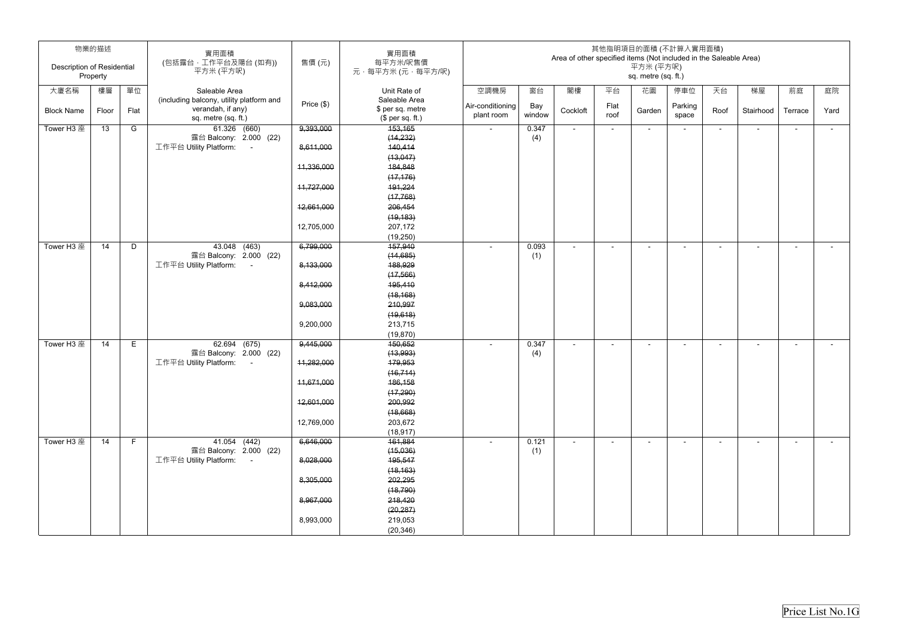| <b>Description of Residential</b> | 物業的描述<br>Property |      | 實用面積<br>(包括露台,工作平台及陽台(如有))<br>平方米 (平方呎)                                              | 售價 (元)     | 實用面積<br>每平方米/呎售價<br>元·每平方米(元·每平方/呎)                   |                                |               | Area of other specified items (Not included in the Saleable Area) |              | 平方米 (平方呎)<br>sq. metre (sq. ft.) | 其他指明項目的面積 (不計算入實用面積)     |                          |                          |                          |        |
|-----------------------------------|-------------------|------|--------------------------------------------------------------------------------------|------------|-------------------------------------------------------|--------------------------------|---------------|-------------------------------------------------------------------|--------------|----------------------------------|--------------------------|--------------------------|--------------------------|--------------------------|--------|
| 大廈名稱                              | 樓層                | 單位   | Saleable Area                                                                        |            | Unit Rate of                                          | 空調機房                           | 窗台            | 閣樓                                                                | 平台           | 花園                               | 停車位                      | 天台                       | 梯屋                       | 前庭                       | 庭院     |
| <b>Block Name</b>                 | Floor             | Flat | (including balcony, utility platform and<br>verandah, if any)<br>sq. metre (sq. ft.) | Price (\$) | Saleable Area<br>\$ per sq. metre<br>(\$ per sq. ft.) | Air-conditioning<br>plant room | Bay<br>window | Cockloft                                                          | Flat<br>roof | Garden                           | Parking<br>space         | Roof                     | Stairhood                | Terrace                  | Yard   |
| Tower H3 座                        | 13                | G    | 61.326 (660)                                                                         | 9,393,000  | 153,165                                               | $\sim$                         | 0.347         | $\blacksquare$                                                    | $\sim$       | $\sim$                           | $\overline{\phantom{a}}$ | ٠                        | $\overline{\phantom{a}}$ | $\sim$                   | $\sim$ |
|                                   |                   |      | 露台 Balcony: 2.000 (22)                                                               |            | (14, 232)                                             |                                | (4)           |                                                                   |              |                                  |                          |                          |                          |                          |        |
|                                   |                   |      | 工作平台 Utility Platform:<br>$\sim 100$                                                 | 8,611,000  | 140,414<br>(13,047)                                   |                                |               |                                                                   |              |                                  |                          |                          |                          |                          |        |
|                                   |                   |      |                                                                                      | 11,336,000 | 184,848                                               |                                |               |                                                                   |              |                                  |                          |                          |                          |                          |        |
|                                   |                   |      |                                                                                      |            | (17, 176)                                             |                                |               |                                                                   |              |                                  |                          |                          |                          |                          |        |
|                                   |                   |      |                                                                                      | 11,727,000 | 191,224                                               |                                |               |                                                                   |              |                                  |                          |                          |                          |                          |        |
|                                   |                   |      |                                                                                      |            | (17, 768)                                             |                                |               |                                                                   |              |                                  |                          |                          |                          |                          |        |
|                                   |                   |      |                                                                                      | 12,661,000 | 206,454                                               |                                |               |                                                                   |              |                                  |                          |                          |                          |                          |        |
|                                   |                   |      |                                                                                      |            | (19, 183)                                             |                                |               |                                                                   |              |                                  |                          |                          |                          |                          |        |
|                                   |                   |      |                                                                                      | 12,705,000 | 207,172                                               |                                |               |                                                                   |              |                                  |                          |                          |                          |                          |        |
|                                   |                   |      |                                                                                      |            | (19,250)                                              |                                |               |                                                                   |              |                                  |                          |                          |                          |                          |        |
| Tower H3 座                        | 14                | D    | 43.048 (463)                                                                         | 6,799,000  | 157,940                                               |                                | 0.093         | $\blacksquare$                                                    | $\sim$       | $\overline{\phantom{a}}$         | ۰                        | $\overline{\phantom{a}}$ | $\overline{\phantom{a}}$ | $\overline{\phantom{a}}$ | $\sim$ |
|                                   |                   |      | 露台 Balcony: 2.000 (22)                                                               |            | (14, 685)                                             |                                | (1)           |                                                                   |              |                                  |                          |                          |                          |                          |        |
|                                   |                   |      | 工作平台 Utility Platform:<br>$\sim$ $-$                                                 | 8,133,000  | 188,929                                               |                                |               |                                                                   |              |                                  |                          |                          |                          |                          |        |
|                                   |                   |      |                                                                                      | 8,412,000  | (17, 566)<br>195,410                                  |                                |               |                                                                   |              |                                  |                          |                          |                          |                          |        |
|                                   |                   |      |                                                                                      |            | (18, 168)                                             |                                |               |                                                                   |              |                                  |                          |                          |                          |                          |        |
|                                   |                   |      |                                                                                      | 9,083,000  | 210,997                                               |                                |               |                                                                   |              |                                  |                          |                          |                          |                          |        |
|                                   |                   |      |                                                                                      |            | (19,618)                                              |                                |               |                                                                   |              |                                  |                          |                          |                          |                          |        |
|                                   |                   |      |                                                                                      | 9,200,000  | 213,715                                               |                                |               |                                                                   |              |                                  |                          |                          |                          |                          |        |
|                                   |                   |      |                                                                                      |            | (19, 870)                                             |                                |               |                                                                   |              |                                  |                          |                          |                          |                          |        |
| Tower H3 座                        | 14                | E.   | 62.694 (675)                                                                         | 9,445,000  | 150,652                                               |                                | 0.347         |                                                                   |              | $\overline{\phantom{0}}$         |                          | ۰                        | $\overline{\phantom{a}}$ | $\overline{\phantom{0}}$ | $\sim$ |
|                                   |                   |      | 露台 Balcony: 2.000 (22)                                                               |            | (13,993)                                              |                                | (4)           |                                                                   |              |                                  |                          |                          |                          |                          |        |
|                                   |                   |      | 工作平台 Utility Platform:                                                               | 11,282,000 | 179,953                                               |                                |               |                                                                   |              |                                  |                          |                          |                          |                          |        |
|                                   |                   |      |                                                                                      |            | (16, 714)                                             |                                |               |                                                                   |              |                                  |                          |                          |                          |                          |        |
|                                   |                   |      |                                                                                      | 11,671,000 | 186,158                                               |                                |               |                                                                   |              |                                  |                          |                          |                          |                          |        |
|                                   |                   |      |                                                                                      |            | (17, 290)                                             |                                |               |                                                                   |              |                                  |                          |                          |                          |                          |        |
|                                   |                   |      |                                                                                      | 12,601,000 | 200,992<br>(18,668)                                   |                                |               |                                                                   |              |                                  |                          |                          |                          |                          |        |
|                                   |                   |      |                                                                                      | 12,769,000 | 203,672                                               |                                |               |                                                                   |              |                                  |                          |                          |                          |                          |        |
|                                   |                   |      |                                                                                      |            | (18, 917)                                             |                                |               |                                                                   |              |                                  |                          |                          |                          |                          |        |
| Tower H3 座                        | 14                | F.   | 41.054 (442)                                                                         | 6,646,000  | 161,884                                               | $\sim$                         | 0.121         | $\sim$                                                            | $\sim$       | $\sim$                           | $\blacksquare$           | $\blacksquare$           | $\blacksquare$           | $\sim$                   | $\sim$ |
|                                   |                   |      | 露台 Balcony: 2.000 (22)                                                               |            | (15,036)                                              |                                | (1)           |                                                                   |              |                                  |                          |                          |                          |                          |        |
|                                   |                   |      | 工作平台 Utility Platform:<br>$\sim 100$                                                 | 8,028,000  | 195,547                                               |                                |               |                                                                   |              |                                  |                          |                          |                          |                          |        |
|                                   |                   |      |                                                                                      |            | (18, 163)                                             |                                |               |                                                                   |              |                                  |                          |                          |                          |                          |        |
|                                   |                   |      |                                                                                      | 8,305,000  | 202,295                                               |                                |               |                                                                   |              |                                  |                          |                          |                          |                          |        |
|                                   |                   |      |                                                                                      |            | (18, 790)                                             |                                |               |                                                                   |              |                                  |                          |                          |                          |                          |        |
|                                   |                   |      |                                                                                      | 8,967,000  | 218,420                                               |                                |               |                                                                   |              |                                  |                          |                          |                          |                          |        |
|                                   |                   |      |                                                                                      |            | (20, 287)                                             |                                |               |                                                                   |              |                                  |                          |                          |                          |                          |        |
|                                   |                   |      |                                                                                      | 8,993,000  | 219,053<br>(20, 346)                                  |                                |               |                                                                   |              |                                  |                          |                          |                          |                          |        |
|                                   |                   |      |                                                                                      |            |                                                       |                                |               |                                                                   |              |                                  |                          |                          |                          |                          |        |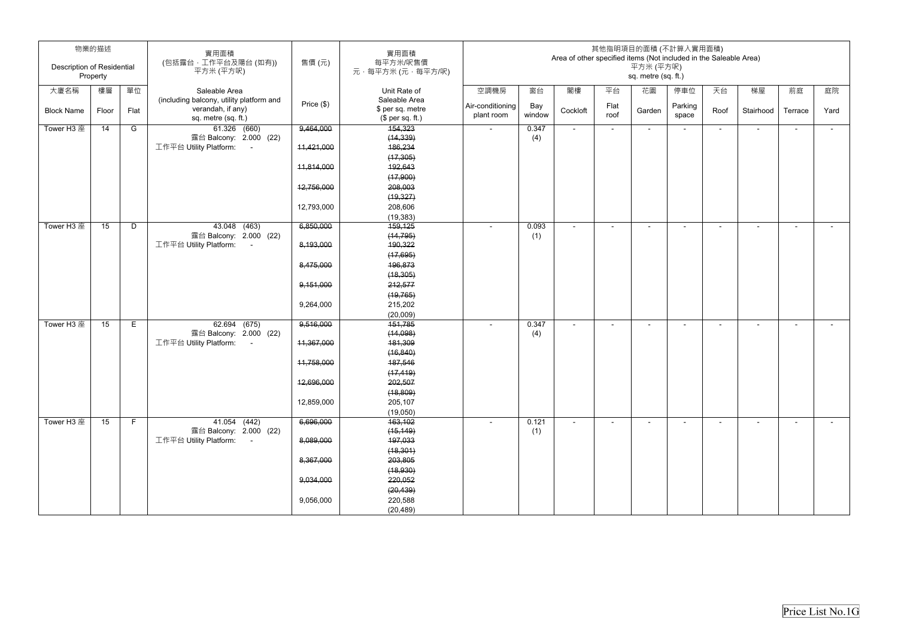| <b>Description of Residential</b> | 物業的描述    |      | 實用面積<br>(包括露台,工作平台及陽台(如有))                                     | 售價(元)        | 實用面積<br>每平方米/呎售價                     | 其他指明項目的面積 (不計算入實用面積)<br>Area of other specified items (Not included in the Saleable Area)<br>平方米 (平方呎) |               |                |              |                     |                          |                          |                          |                |        |
|-----------------------------------|----------|------|----------------------------------------------------------------|--------------|--------------------------------------|--------------------------------------------------------------------------------------------------------|---------------|----------------|--------------|---------------------|--------------------------|--------------------------|--------------------------|----------------|--------|
|                                   | Property |      | 平方米 (平方呎)                                                      |              | 元·每平方米(元·每平方/呎)                      |                                                                                                        |               |                |              | sq. metre (sq. ft.) |                          |                          |                          |                |        |
| 大廈名稱                              | 樓層       | 單位   | Saleable Area<br>(including balcony, utility platform and      |              | Unit Rate of<br>Saleable Area        | 空調機房                                                                                                   | 窗台            | 閣樓             | 平台           | 花園                  | 停車位                      | 天台                       | 梯屋                       | 前庭             | 庭院     |
| <b>Block Name</b>                 | Floor    | Flat | verandah, if any)<br>sq. metre (sq. ft.)                       | Price $(\$)$ | \$ per sq. metre<br>$$$ per sq. ft.) | Air-conditioning<br>plant room                                                                         | Bay<br>window | Cockloft       | Flat<br>roof | Garden              | Parking<br>space         | Roof                     | Stairhood                | Terrace        | Yard   |
| Tower H3 座                        | 14       | G    | 61.326 (660)                                                   | 9,464,000    | 154,323                              | $\sim$                                                                                                 | 0.347         | $\sim$         | $\sim$       | $\sim$              | $\sim$                   | $\overline{\phantom{0}}$ | $\blacksquare$           | $\sim$         | $\sim$ |
|                                   |          |      | 露台 Balcony: 2.000 (22)<br>工作平台 Utility Platform:<br>$\sim$ $-$ | 11,421,000   | (14, 339)<br>186,234                 |                                                                                                        | (4)           |                |              |                     |                          |                          |                          |                |        |
|                                   |          |      |                                                                |              | (17, 305)                            |                                                                                                        |               |                |              |                     |                          |                          |                          |                |        |
|                                   |          |      |                                                                | 11,814,000   | 192,643                              |                                                                                                        |               |                |              |                     |                          |                          |                          |                |        |
|                                   |          |      |                                                                |              | (17,900)                             |                                                                                                        |               |                |              |                     |                          |                          |                          |                |        |
|                                   |          |      |                                                                | 12,756,000   | 208,003                              |                                                                                                        |               |                |              |                     |                          |                          |                          |                |        |
|                                   |          |      |                                                                |              | (19, 327)                            |                                                                                                        |               |                |              |                     |                          |                          |                          |                |        |
|                                   |          |      |                                                                | 12,793,000   | 208,606                              |                                                                                                        |               |                |              |                     |                          |                          |                          |                |        |
|                                   |          |      |                                                                |              | (19, 383)                            |                                                                                                        |               |                |              |                     |                          |                          |                          |                |        |
| Tower H3 座                        | 15       | D    | $43.048$ $(463)$                                               | 6,850,000    | 159,125                              |                                                                                                        | 0.093         |                |              |                     |                          |                          | $\overline{\phantom{0}}$ |                | $\sim$ |
|                                   |          |      | 露台 Balcony: 2.000 (22)<br>工作平台 Utility Platform:<br>$\sim$ $-$ | 8,193,000    | (14, 795)<br>190,322                 |                                                                                                        | (1)           |                |              |                     |                          |                          |                          |                |        |
|                                   |          |      |                                                                |              | (17,695)                             |                                                                                                        |               |                |              |                     |                          |                          |                          |                |        |
|                                   |          |      |                                                                | 8,475,000    | 196,873                              |                                                                                                        |               |                |              |                     |                          |                          |                          |                |        |
|                                   |          |      |                                                                |              | (18, 305)                            |                                                                                                        |               |                |              |                     |                          |                          |                          |                |        |
|                                   |          |      |                                                                | 9,151,000    | 212,577                              |                                                                                                        |               |                |              |                     |                          |                          |                          |                |        |
|                                   |          |      |                                                                |              | (19, 765)                            |                                                                                                        |               |                |              |                     |                          |                          |                          |                |        |
|                                   |          |      |                                                                | 9,264,000    | 215,202                              |                                                                                                        |               |                |              |                     |                          |                          |                          |                |        |
|                                   |          |      |                                                                |              | (20,009)                             |                                                                                                        |               |                |              |                     |                          |                          |                          |                |        |
| Tower H3 座                        | 15       | E    | 62.694 (675)                                                   | 9,516,000    | 151,785                              |                                                                                                        | 0.347         | $\blacksquare$ | $\sim$       | $\blacksquare$      | $\overline{\phantom{a}}$ | ۰                        | $\sim$                   | $\blacksquare$ | $\sim$ |
|                                   |          |      | 露台 Balcony: 2.000 (22)                                         |              | (14,098)                             |                                                                                                        | (4)           |                |              |                     |                          |                          |                          |                |        |
|                                   |          |      | 工作平台 Utility Platform:<br>$\sim 100$                           | 11,367,000   | 181,309                              |                                                                                                        |               |                |              |                     |                          |                          |                          |                |        |
|                                   |          |      |                                                                |              | (16, 840)                            |                                                                                                        |               |                |              |                     |                          |                          |                          |                |        |
|                                   |          |      |                                                                | 11,758,000   | 187,546                              |                                                                                                        |               |                |              |                     |                          |                          |                          |                |        |
|                                   |          |      |                                                                | 12,696,000   | (17, 419)<br>202,507                 |                                                                                                        |               |                |              |                     |                          |                          |                          |                |        |
|                                   |          |      |                                                                |              | (18, 809)                            |                                                                                                        |               |                |              |                     |                          |                          |                          |                |        |
|                                   |          |      |                                                                | 12,859,000   | 205,107                              |                                                                                                        |               |                |              |                     |                          |                          |                          |                |        |
|                                   |          |      |                                                                |              | (19,050)                             |                                                                                                        |               |                |              |                     |                          |                          |                          |                |        |
| Tower H3 座                        | 15       | F    | 41.054 (442)                                                   | 6,696,000    | 163, 102                             |                                                                                                        | 0.121         | $\blacksquare$ | $\sim$       | $\sim$              | $\overline{\phantom{a}}$ | $\sim$                   | $\blacksquare$           | $\blacksquare$ | $\sim$ |
|                                   |          |      | 露台 Balcony: 2.000 (22)                                         |              | (15, 149)                            |                                                                                                        | (1)           |                |              |                     |                          |                          |                          |                |        |
|                                   |          |      | 工作平台 Utility Platform:<br>$\sim 100$                           | 8,089,000    | 197,033                              |                                                                                                        |               |                |              |                     |                          |                          |                          |                |        |
|                                   |          |      |                                                                |              | (18, 301)                            |                                                                                                        |               |                |              |                     |                          |                          |                          |                |        |
|                                   |          |      |                                                                | 8,367,000    | 203,805                              |                                                                                                        |               |                |              |                     |                          |                          |                          |                |        |
|                                   |          |      |                                                                |              | (18, 930)                            |                                                                                                        |               |                |              |                     |                          |                          |                          |                |        |
|                                   |          |      |                                                                | 9,034,000    | 220,052<br>(20, 439)                 |                                                                                                        |               |                |              |                     |                          |                          |                          |                |        |
|                                   |          |      |                                                                | 9,056,000    | 220,588                              |                                                                                                        |               |                |              |                     |                          |                          |                          |                |        |
|                                   |          |      |                                                                |              | (20, 489)                            |                                                                                                        |               |                |              |                     |                          |                          |                          |                |        |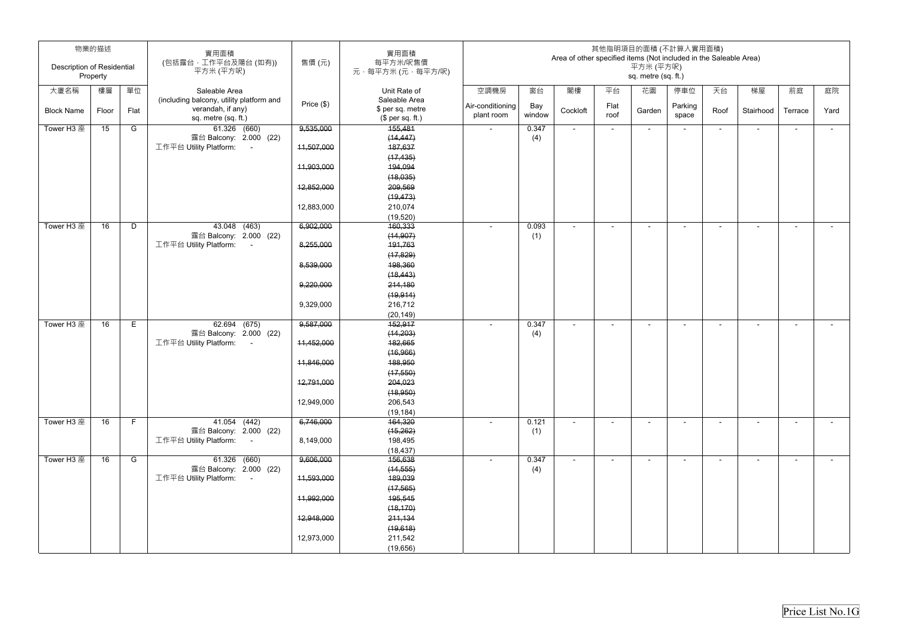| Description of Residential | 物業的描述<br>Property |      | 實用面積<br>(包括露台,工作平台及陽台(如有))<br>平方米 (平方呎)                        | 售價(元)      | 實用面積<br>每平方米/呎售價<br>元,每平方米(元,每平方/呎)  |                  |        | Area of other specified items (Not included in the Saleable Area) |        | 其他指明項目的面積 (不計算入實用面積)<br>平方米 (平方呎)<br>sq. metre (sq. ft.) |         |                |                          |                |        |
|----------------------------|-------------------|------|----------------------------------------------------------------|------------|--------------------------------------|------------------|--------|-------------------------------------------------------------------|--------|----------------------------------------------------------|---------|----------------|--------------------------|----------------|--------|
| 大廈名稱                       | 樓層                | 單位   | Saleable Area                                                  |            | Unit Rate of                         | 空調機房             | 窗台     | 閣樓                                                                | 平台     | 花園                                                       | 停車位     | 天台             | 梯屋                       | 前庭             | 庭院     |
|                            |                   |      | (including balcony, utility platform and                       | Price (\$) | Saleable Area                        | Air-conditioning | Bay    |                                                                   | Flat   |                                                          | Parking |                |                          |                |        |
| <b>Block Name</b>          | Floor             | Flat | verandah, if any)<br>sq. metre (sq. ft.)                       |            | \$ per sq. metre<br>$$$ per sq. ft.) | plant room       | window | Cockloft                                                          | roof   | Garden                                                   | space   | Roof           | Stairhood                | Terrace        | Yard   |
| Tower H3 座                 | 15                | G    | 61.326 (660)                                                   | 9,535,000  | 155,481                              | $\sim$           | 0.347  | $\sim$                                                            | $\sim$ | $\sim$                                                   | $\sim$  | $\sim$         | $\sim$                   | $\sim$         | $\sim$ |
|                            |                   |      | 露台 Balcony: 2.000 (22)                                         |            | (14, 447)                            |                  | (4)    |                                                                   |        |                                                          |         |                |                          |                |        |
|                            |                   |      | 工作平台 Utility Platform:<br>$\sim 100$                           | 11,507,000 | 187,637                              |                  |        |                                                                   |        |                                                          |         |                |                          |                |        |
|                            |                   |      |                                                                | 11,903,000 | (17, 435)<br>194,094                 |                  |        |                                                                   |        |                                                          |         |                |                          |                |        |
|                            |                   |      |                                                                |            | (18,035)                             |                  |        |                                                                   |        |                                                          |         |                |                          |                |        |
|                            |                   |      |                                                                | 12,852,000 | 209,569                              |                  |        |                                                                   |        |                                                          |         |                |                          |                |        |
|                            |                   |      |                                                                |            | (19, 473)                            |                  |        |                                                                   |        |                                                          |         |                |                          |                |        |
|                            |                   |      |                                                                | 12,883,000 | 210,074                              |                  |        |                                                                   |        |                                                          |         |                |                          |                |        |
|                            |                   |      |                                                                |            | (19, 520)                            |                  |        |                                                                   |        |                                                          |         |                |                          |                |        |
| Tower H3 座                 | 16                | D    | $43.048$ $(463)$                                               | 6,902,000  | 160,333                              |                  | 0.093  | $\blacksquare$                                                    |        |                                                          |         |                |                          |                |        |
|                            |                   |      | 露台 Balcony: 2.000 (22)                                         |            | (14, 907)                            |                  | (1)    |                                                                   |        |                                                          |         |                |                          |                |        |
|                            |                   |      | 工作平台 Utility Platform:<br>$\sim 100$                           | 8,255,000  | 191,763                              |                  |        |                                                                   |        |                                                          |         |                |                          |                |        |
|                            |                   |      |                                                                |            | (17, 829)                            |                  |        |                                                                   |        |                                                          |         |                |                          |                |        |
|                            |                   |      |                                                                | 8,539,000  | 198,360                              |                  |        |                                                                   |        |                                                          |         |                |                          |                |        |
|                            |                   |      |                                                                |            | (18, 443)                            |                  |        |                                                                   |        |                                                          |         |                |                          |                |        |
|                            |                   |      |                                                                | 9,220,000  | 214,180                              |                  |        |                                                                   |        |                                                          |         |                |                          |                |        |
|                            |                   |      |                                                                |            | (19, 914)                            |                  |        |                                                                   |        |                                                          |         |                |                          |                |        |
|                            |                   |      |                                                                | 9,329,000  | 216,712                              |                  |        |                                                                   |        |                                                          |         |                |                          |                |        |
|                            |                   |      |                                                                |            | (20, 149)                            |                  |        |                                                                   |        |                                                          |         |                |                          |                |        |
| Tower H3 座                 | 16                | E    | 62.694 (675)                                                   | 9,587,000  | 452,917                              |                  | 0.347  | $\overline{\phantom{a}}$                                          | $\sim$ |                                                          |         | $\blacksquare$ | $\blacksquare$           | $\blacksquare$ | $\sim$ |
|                            |                   |      | 露台 Balcony: 2.000 (22)<br>工作平台 Utility Platform:<br>$\sim 100$ | 11,452,000 | (14, 203)<br>182,665                 |                  | (4)    |                                                                   |        |                                                          |         |                |                          |                |        |
|                            |                   |      |                                                                |            | (16, 966)                            |                  |        |                                                                   |        |                                                          |         |                |                          |                |        |
|                            |                   |      |                                                                | 11,846,000 | 188,950                              |                  |        |                                                                   |        |                                                          |         |                |                          |                |        |
|                            |                   |      |                                                                |            | (17, 550)                            |                  |        |                                                                   |        |                                                          |         |                |                          |                |        |
|                            |                   |      |                                                                | 12,791,000 | 204,023                              |                  |        |                                                                   |        |                                                          |         |                |                          |                |        |
|                            |                   |      |                                                                |            | (18, 950)                            |                  |        |                                                                   |        |                                                          |         |                |                          |                |        |
|                            |                   |      |                                                                | 12,949,000 | 206,543                              |                  |        |                                                                   |        |                                                          |         |                |                          |                |        |
|                            |                   |      |                                                                |            | (19, 184)                            |                  |        |                                                                   |        |                                                          |         |                |                          |                |        |
| Tower H3 座                 | 16                | F.   | 41.054 (442)                                                   | 6,746,000  | 164,320                              |                  | 0.121  | $\blacksquare$                                                    | $\sim$ | $\sim$                                                   |         | $\blacksquare$ | $\sim$                   | ۰.             | $\sim$ |
|                            |                   |      | 露台 Balcony: 2.000 (22)                                         |            | (15, 262)                            |                  | (1)    |                                                                   |        |                                                          |         |                |                          |                |        |
|                            |                   |      | 工作平台 Utility Platform: -                                       | 8,149,000  | 198,495                              |                  |        |                                                                   |        |                                                          |         |                |                          |                |        |
|                            |                   |      |                                                                |            | (18, 437)                            |                  |        |                                                                   |        |                                                          |         |                |                          |                |        |
| Tower H3 座                 | 16                | G    | 61.326 (660)                                                   | 9,606,000  | 156,638                              | $\sim$           | 0.347  | $\blacksquare$                                                    |        |                                                          |         | $\blacksquare$ | $\overline{\phantom{a}}$ | $\blacksquare$ | $\sim$ |
|                            |                   |      | 露台 Balcony: 2.000 (22)<br>工作平台 Utility Platform: -             | 11,593,000 | (14, 555)<br>189,039                 |                  | (4)    |                                                                   |        |                                                          |         |                |                          |                |        |
|                            |                   |      |                                                                |            | (17, 565)                            |                  |        |                                                                   |        |                                                          |         |                |                          |                |        |
|                            |                   |      |                                                                | 11,992,000 | 195,545                              |                  |        |                                                                   |        |                                                          |         |                |                          |                |        |
|                            |                   |      |                                                                |            | (18, 170)                            |                  |        |                                                                   |        |                                                          |         |                |                          |                |        |
|                            |                   |      |                                                                | 12,948,000 | 211,134                              |                  |        |                                                                   |        |                                                          |         |                |                          |                |        |
|                            |                   |      |                                                                |            | (19,618)                             |                  |        |                                                                   |        |                                                          |         |                |                          |                |        |
|                            |                   |      |                                                                | 12,973,000 | 211,542                              |                  |        |                                                                   |        |                                                          |         |                |                          |                |        |
|                            |                   |      |                                                                |            | (19,656)                             |                  |        |                                                                   |        |                                                          |         |                |                          |                |        |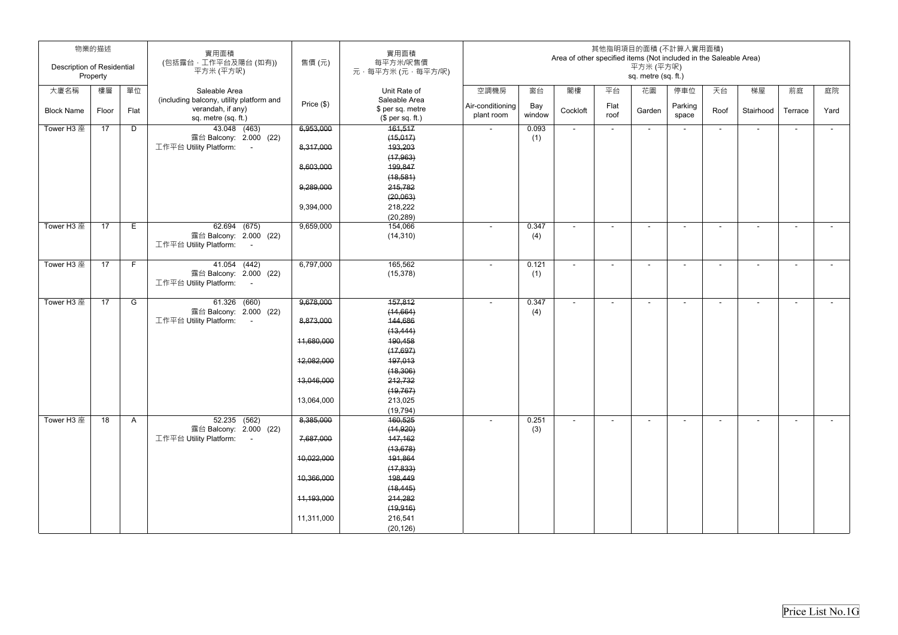| <b>Description of Residential</b> | 物業的描述<br>Property |              | 實用面積<br>(包括露台,工作平台及陽台(如有))<br>平方米 (平方呎)                                              | 售價(元)        | 實用面積<br>每平方米/呎售價<br>元·每平方米(元·每平方/呎)                   | 其他指明項目的面積 (不計算入實用面積)<br>Area of other specified items (Not included in the Saleable Area)<br>平方米 (平方呎)<br>sq. metre (sq. ft.) |               |                |              |                          |                          |                |                |                          |            |
|-----------------------------------|-------------------|--------------|--------------------------------------------------------------------------------------|--------------|-------------------------------------------------------|-------------------------------------------------------------------------------------------------------------------------------|---------------|----------------|--------------|--------------------------|--------------------------|----------------|----------------|--------------------------|------------|
| 大廈名稱                              | 樓層                | 單位           | Saleable Area                                                                        |              | Unit Rate of                                          | 空調機房                                                                                                                          | 窗台            | 閣樓             | 平台           | 花園                       | 停車位                      | 天台             | 梯屋             | 前庭                       | 庭院         |
| <b>Block Name</b>                 | Floor             | Flat         | (including balcony, utility platform and<br>verandah, if any)<br>sq. metre (sq. ft.) | Price $(\$)$ | Saleable Area<br>\$ per sq. metre<br>$$$ per sq. ft.) | Air-conditioning<br>plant room                                                                                                | Bay<br>window | Cockloft       | Flat<br>roof | Garden                   | Parking<br>space         | Roof           | Stairhood      | Terrace                  | Yard       |
| Tower H3 座                        | 17                | D            | 43.048 (463)                                                                         | 6,953,000    | 161,517                                               | $\sim$                                                                                                                        | 0.093         | $\sim$         | $\sim$       | $\sim$                   | $\overline{\phantom{a}}$ | $\sim$         | $\blacksquare$ | $\sim$                   | $\sim$ $-$ |
|                                   |                   |              | 露台 Balcony: 2.000 (22)                                                               |              | (15, 017)                                             |                                                                                                                               | (1)           |                |              |                          |                          |                |                |                          |            |
|                                   |                   |              | 工作平台 Utility Platform:<br>$\sim$ $-$                                                 | 8,317,000    | 193,203                                               |                                                                                                                               |               |                |              |                          |                          |                |                |                          |            |
|                                   |                   |              |                                                                                      | 8,603,000    | (17, 963)<br>199,847                                  |                                                                                                                               |               |                |              |                          |                          |                |                |                          |            |
|                                   |                   |              |                                                                                      |              | (18, 581)                                             |                                                                                                                               |               |                |              |                          |                          |                |                |                          |            |
|                                   |                   |              |                                                                                      | 9,289,000    | 215,782                                               |                                                                                                                               |               |                |              |                          |                          |                |                |                          |            |
|                                   |                   |              |                                                                                      |              | (20,063)                                              |                                                                                                                               |               |                |              |                          |                          |                |                |                          |            |
|                                   |                   |              |                                                                                      | 9,394,000    | 218,222                                               |                                                                                                                               |               |                |              |                          |                          |                |                |                          |            |
|                                   |                   |              |                                                                                      |              | (20, 289)                                             |                                                                                                                               |               |                |              |                          |                          |                |                |                          |            |
| Tower H3 座                        | 17                | E            | 62.694 (675)                                                                         | 9,659,000    | 154,066                                               |                                                                                                                               | 0.347         |                |              | $\overline{\phantom{0}}$ | ۰                        | ۰              | $\blacksquare$ | $\overline{\phantom{a}}$ | $\sim$     |
|                                   |                   |              | 露台 Balcony: 2.000 (22)<br>工作平台 Utility Platform:<br>$\sim 10$                        |              | (14, 310)                                             |                                                                                                                               | (4)           |                |              |                          |                          |                |                |                          |            |
|                                   |                   |              |                                                                                      |              |                                                       |                                                                                                                               |               |                |              |                          |                          |                |                |                          |            |
| Tower H3 座                        | 17                | F            | 41.054 (442)                                                                         | 6,797,000    | 165,562                                               | $\sim$                                                                                                                        | 0.121         | $\blacksquare$ | $\sim$       | $\sim$                   | $\overline{\phantom{a}}$ | $\blacksquare$ | $\blacksquare$ | $\sim$                   | $\sim$     |
|                                   |                   |              | 露台 Balcony: 2.000 (22)                                                               |              | (15, 378)                                             |                                                                                                                               | (1)           |                |              |                          |                          |                |                |                          |            |
|                                   |                   |              | 工作平台 Utility Platform:<br>$\sim 100$                                                 |              |                                                       |                                                                                                                               |               |                |              |                          |                          |                |                |                          |            |
| Tower H3 座                        | 17                | G            | $61.326$ $(660)$                                                                     | 9,678,000    | 157,812                                               |                                                                                                                               | 0.347         | $\blacksquare$ |              | $\overline{\phantom{a}}$ |                          |                | $\blacksquare$ |                          |            |
|                                   |                   |              | 露台 Balcony: 2.000 (22)                                                               |              | (14, 664)                                             |                                                                                                                               | (4)           |                |              |                          |                          |                |                |                          |            |
|                                   |                   |              | 工作平台 Utility Platform:<br>$\sim$ $-$                                                 | 8,873,000    | 144,686                                               |                                                                                                                               |               |                |              |                          |                          |                |                |                          |            |
|                                   |                   |              |                                                                                      |              | (13, 444)                                             |                                                                                                                               |               |                |              |                          |                          |                |                |                          |            |
|                                   |                   |              |                                                                                      | 11,680,000   | 190,458                                               |                                                                                                                               |               |                |              |                          |                          |                |                |                          |            |
|                                   |                   |              |                                                                                      |              | (17, 697)                                             |                                                                                                                               |               |                |              |                          |                          |                |                |                          |            |
|                                   |                   |              |                                                                                      | 12,082,000   | 197,013                                               |                                                                                                                               |               |                |              |                          |                          |                |                |                          |            |
|                                   |                   |              |                                                                                      | 13,046,000   | (18,306)<br>212,732                                   |                                                                                                                               |               |                |              |                          |                          |                |                |                          |            |
|                                   |                   |              |                                                                                      |              | (19, 767)                                             |                                                                                                                               |               |                |              |                          |                          |                |                |                          |            |
|                                   |                   |              |                                                                                      | 13,064,000   | 213,025                                               |                                                                                                                               |               |                |              |                          |                          |                |                |                          |            |
|                                   |                   |              |                                                                                      |              | (19, 794)                                             |                                                                                                                               |               |                |              |                          |                          |                |                |                          |            |
| Tower H3 座                        | $\overline{18}$   | $\mathsf{A}$ | $52.235$ $(562)$                                                                     | 8,385,000    | 160,525                                               |                                                                                                                               | 0.251         |                |              | $\overline{\phantom{a}}$ |                          | ٠              | $\blacksquare$ |                          | $\sim$     |
|                                   |                   |              | 露台 Balcony: 2.000 (22)                                                               |              | (14, 920)                                             |                                                                                                                               | (3)           |                |              |                          |                          |                |                |                          |            |
|                                   |                   |              | 工作平台 Utility Platform:<br>$\sim 100$                                                 | 7,687,000    | 147,162                                               |                                                                                                                               |               |                |              |                          |                          |                |                |                          |            |
|                                   |                   |              |                                                                                      | 10,022,000   | (13, 678)<br>191,864                                  |                                                                                                                               |               |                |              |                          |                          |                |                |                          |            |
|                                   |                   |              |                                                                                      |              | (17, 833)                                             |                                                                                                                               |               |                |              |                          |                          |                |                |                          |            |
|                                   |                   |              |                                                                                      | 10,366,000   | 198,449                                               |                                                                                                                               |               |                |              |                          |                          |                |                |                          |            |
|                                   |                   |              |                                                                                      |              | (18, 445)                                             |                                                                                                                               |               |                |              |                          |                          |                |                |                          |            |
|                                   |                   |              |                                                                                      | 11,193,000   | 214,282                                               |                                                                                                                               |               |                |              |                          |                          |                |                |                          |            |
|                                   |                   |              |                                                                                      |              | (19, 916)                                             |                                                                                                                               |               |                |              |                          |                          |                |                |                          |            |
|                                   |                   |              |                                                                                      | 11,311,000   | 216,541                                               |                                                                                                                               |               |                |              |                          |                          |                |                |                          |            |
|                                   |                   |              |                                                                                      |              | (20, 126)                                             |                                                                                                                               |               |                |              |                          |                          |                |                |                          |            |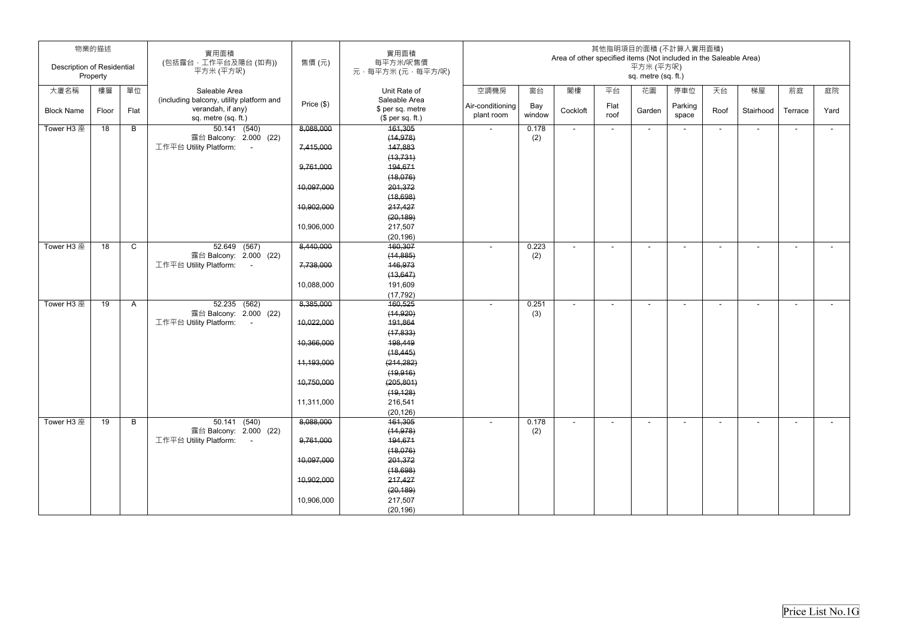| <b>Description of Residential</b> | 物業的描述<br>Property |              | 實用面積<br>(包括露台,工作平台及陽台(如有))<br>平方米 (平方呎)                                              | 售價(元)        | 實用面積<br>每平方米/呎售價<br>元·每平方米(元·每平方/呎)                   | 其他指明項目的面積 (不計算入實用面積)<br>Area of other specified items (Not included in the Saleable Area)<br>平方米 (平方呎)<br>sq. metre (sq. ft.) |               |                |              |        |                          |        |                |                |            |
|-----------------------------------|-------------------|--------------|--------------------------------------------------------------------------------------|--------------|-------------------------------------------------------|-------------------------------------------------------------------------------------------------------------------------------|---------------|----------------|--------------|--------|--------------------------|--------|----------------|----------------|------------|
| 大廈名稱                              | 樓層                | 單位           | Saleable Area                                                                        |              | Unit Rate of                                          | 空調機房                                                                                                                          | 窗台            | 閣樓             | 平台           | 花園     | 停車位                      | 天台     | 梯屋             | 前庭             | 庭院         |
| <b>Block Name</b>                 | Floor             | Flat         | (including balcony, utility platform and<br>verandah, if any)<br>sq. metre (sq. ft.) | Price $(\$)$ | Saleable Area<br>\$ per sq. metre<br>$$$ per sq. ft.) | Air-conditioning<br>plant room                                                                                                | Bay<br>window | Cockloft       | Flat<br>roof | Garden | Parking<br>space         | Roof   | Stairhood      | Terrace        | Yard       |
| Tower H3 座                        | 18                | B            | $50.141$ (540)                                                                       | 8,088,000    | 161,305                                               | $\sim$                                                                                                                        | 0.178         | $\blacksquare$ | $\sim$       | $\sim$ | $\overline{\phantom{a}}$ | $\sim$ | $\blacksquare$ | $\sim$         | $\sim$ $-$ |
|                                   |                   |              | 露台 Balcony: 2.000 (22)                                                               |              | (14, 978)                                             |                                                                                                                               | (2)           |                |              |        |                          |        |                |                |            |
|                                   |                   |              | 工作平台 Utility Platform:<br>$\sim 100$                                                 | 7,415,000    | 147,883                                               |                                                                                                                               |               |                |              |        |                          |        |                |                |            |
|                                   |                   |              |                                                                                      |              | (13, 731)                                             |                                                                                                                               |               |                |              |        |                          |        |                |                |            |
|                                   |                   |              |                                                                                      | 9,761,000    | 194,671                                               |                                                                                                                               |               |                |              |        |                          |        |                |                |            |
|                                   |                   |              |                                                                                      | 10,097,000   | (18,076)<br>201,372                                   |                                                                                                                               |               |                |              |        |                          |        |                |                |            |
|                                   |                   |              |                                                                                      |              | (18, 698)                                             |                                                                                                                               |               |                |              |        |                          |        |                |                |            |
|                                   |                   |              |                                                                                      | 10,902,000   | 217,427                                               |                                                                                                                               |               |                |              |        |                          |        |                |                |            |
|                                   |                   |              |                                                                                      |              | (20, 189)                                             |                                                                                                                               |               |                |              |        |                          |        |                |                |            |
|                                   |                   |              |                                                                                      | 10,906,000   | 217,507                                               |                                                                                                                               |               |                |              |        |                          |        |                |                |            |
|                                   |                   |              |                                                                                      |              | (20, 196)                                             |                                                                                                                               |               |                |              |        |                          |        |                |                |            |
| Tower H3 座                        | 18                | $\mathsf{C}$ | 52.649 (567)                                                                         | 8,440,000    | 160,307                                               | $\sim$                                                                                                                        | 0.223         | $\blacksquare$ | $\sim$       | $\sim$ | $\overline{\phantom{a}}$ | $\sim$ | $\blacksquare$ | $\blacksquare$ | $\sim$     |
|                                   |                   |              | 露台 Balcony: 2.000 (22)                                                               |              | (14, 885)                                             |                                                                                                                               | (2)           |                |              |        |                          |        |                |                |            |
|                                   |                   |              | 工作平台 Utility Platform:                                                               | 7,738,000    | 146,973                                               |                                                                                                                               |               |                |              |        |                          |        |                |                |            |
|                                   |                   |              |                                                                                      |              | (13, 647)                                             |                                                                                                                               |               |                |              |        |                          |        |                |                |            |
|                                   |                   |              |                                                                                      | 10,088,000   | 191,609<br>(17, 792)                                  |                                                                                                                               |               |                |              |        |                          |        |                |                |            |
| Tower H3 座                        | 19                | A            | $52.235$ $(562)$                                                                     | 8,385,000    | 160,525                                               | $\sim$                                                                                                                        | 0.251         | $\sim$         | $\sim$       | $\sim$ | $\blacksquare$           | $\sim$ | $\sim$         | $\sim$         | $\sim$     |
|                                   |                   |              | 露台 Balcony: 2.000 (22)                                                               |              | (14, 920)                                             |                                                                                                                               | (3)           |                |              |        |                          |        |                |                |            |
|                                   |                   |              | 工作平台 Utility Platform:<br>$\sim$ 100 $\pm$                                           | 10,022,000   | 191,864                                               |                                                                                                                               |               |                |              |        |                          |        |                |                |            |
|                                   |                   |              |                                                                                      |              | (17, 833)                                             |                                                                                                                               |               |                |              |        |                          |        |                |                |            |
|                                   |                   |              |                                                                                      | 10,366,000   | 198,449                                               |                                                                                                                               |               |                |              |        |                          |        |                |                |            |
|                                   |                   |              |                                                                                      |              | (18, 445)                                             |                                                                                                                               |               |                |              |        |                          |        |                |                |            |
|                                   |                   |              |                                                                                      | 11,193,000   | (214, 282)                                            |                                                                                                                               |               |                |              |        |                          |        |                |                |            |
|                                   |                   |              |                                                                                      |              | (19, 916)                                             |                                                                                                                               |               |                |              |        |                          |        |                |                |            |
|                                   |                   |              |                                                                                      | 10,750,000   | (205, 801)                                            |                                                                                                                               |               |                |              |        |                          |        |                |                |            |
|                                   |                   |              |                                                                                      | 11,311,000   | (19, 128)<br>216,541                                  |                                                                                                                               |               |                |              |        |                          |        |                |                |            |
|                                   |                   |              |                                                                                      |              | (20, 126)                                             |                                                                                                                               |               |                |              |        |                          |        |                |                |            |
| Tower H3 座                        | 19                | B            | 50.141 (540)                                                                         | 8,088,000    | 161,305                                               |                                                                                                                               | 0.178         | $\blacksquare$ | $\sim$       | $\sim$ | $\overline{\phantom{a}}$ | $\sim$ | $\blacksquare$ | $\sim$         | $\sim$     |
|                                   |                   |              | 露台 Balcony: 2.000 (22)                                                               |              | (14, 978)                                             |                                                                                                                               | (2)           |                |              |        |                          |        |                |                |            |
|                                   |                   |              | 工作平台 Utility Platform:<br>$\sim 100$                                                 | 9,761,000    | 194,671                                               |                                                                                                                               |               |                |              |        |                          |        |                |                |            |
|                                   |                   |              |                                                                                      |              | (18,076)                                              |                                                                                                                               |               |                |              |        |                          |        |                |                |            |
|                                   |                   |              |                                                                                      | 10,097,000   | 201,372                                               |                                                                                                                               |               |                |              |        |                          |        |                |                |            |
|                                   |                   |              |                                                                                      |              | (18, 698)                                             |                                                                                                                               |               |                |              |        |                          |        |                |                |            |
|                                   |                   |              |                                                                                      | 10,902,000   | 217,427                                               |                                                                                                                               |               |                |              |        |                          |        |                |                |            |
|                                   |                   |              |                                                                                      |              | (20, 189)                                             |                                                                                                                               |               |                |              |        |                          |        |                |                |            |
|                                   |                   |              |                                                                                      | 10,906,000   | 217,507                                               |                                                                                                                               |               |                |              |        |                          |        |                |                |            |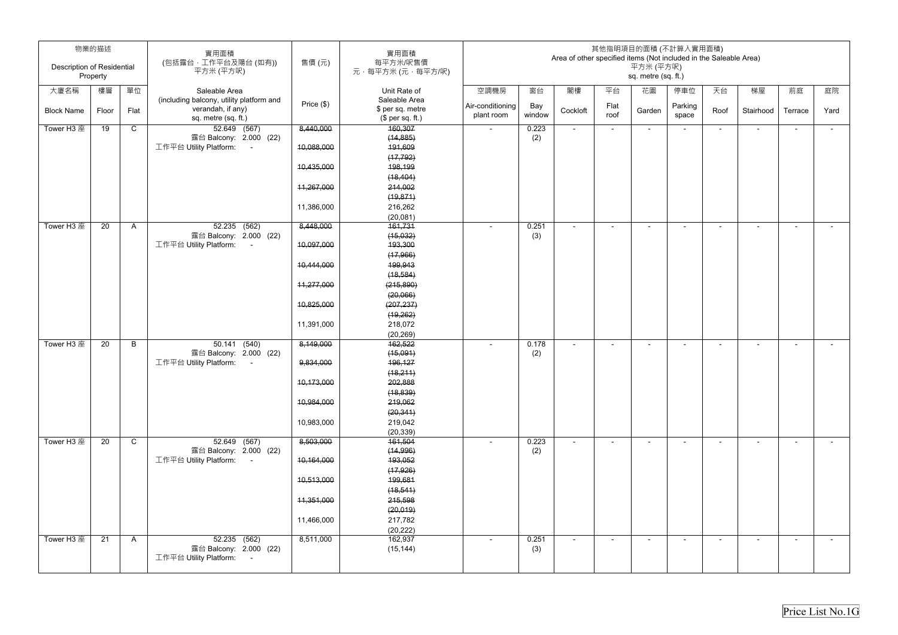| <b>Description of Residential</b> | 物業的描述    |              | 實用面積<br>(包括露台,工作平台及陽台(如有))<br>平方米 (平方呎)                                   | 售價 (元)     | 實用面積<br>每平方米/呎售價<br>元·每平方米(元·每平方/呎) | 其他指明項目的面積 (不計算入實用面積)<br>Area of other specified items (Not included in the Saleable Area)<br>平方米 (平方呎)<br>sq. metre (sq. ft.) |               |                          |              |                          |                          |                          |                          |                          |        |
|-----------------------------------|----------|--------------|---------------------------------------------------------------------------|------------|-------------------------------------|-------------------------------------------------------------------------------------------------------------------------------|---------------|--------------------------|--------------|--------------------------|--------------------------|--------------------------|--------------------------|--------------------------|--------|
|                                   | Property |              |                                                                           |            |                                     |                                                                                                                               |               |                          |              |                          |                          |                          |                          |                          |        |
| 大廈名稱                              | 樓層       | 單位           | Saleable Area                                                             |            | Unit Rate of                        | 空調機房                                                                                                                          | 窗台            | 閣樓                       | 平台           | 花園                       | 停車位                      | 天台                       | 梯屋                       | 前庭                       | 庭院     |
|                                   |          |              | (including balcony, utility platform and                                  | Price (\$) | Saleable Area                       |                                                                                                                               |               |                          |              |                          |                          |                          |                          |                          |        |
| <b>Block Name</b>                 | Floor    | Flat         | verandah, if any)                                                         |            | \$ per sq. metre                    | Air-conditioning<br>plant room                                                                                                | Bay<br>window | Cockloft                 | Flat<br>roof | Garden                   | Parking<br>space         | Roof                     | Stairhood                | Terrace                  | Yard   |
|                                   |          |              | sq. metre (sq. ft.)                                                       |            | (\$ per sq. ft.)                    |                                                                                                                               |               |                          |              |                          |                          |                          |                          |                          |        |
| Tower H3 座                        | 19       | $\mathsf{C}$ | 52.649 (567)                                                              | 8,440,000  | 160,307                             | $\sim$                                                                                                                        | 0.223         | $\overline{\phantom{a}}$ | $\sim$       | $\sim$                   | $\overline{\phantom{a}}$ | ٠                        | $\blacksquare$           | $\sim$                   | $\sim$ |
|                                   |          |              | 露台 Balcony: 2.000 (22)                                                    |            | (14, 885)                           |                                                                                                                               | (2)           |                          |              |                          |                          |                          |                          |                          |        |
|                                   |          |              | 工作平台 Utility Platform:<br>$\sim 100$                                      | 10,088,000 | 191,609                             |                                                                                                                               |               |                          |              |                          |                          |                          |                          |                          |        |
|                                   |          |              |                                                                           | 10,435,000 | (17, 792)<br>198,199                |                                                                                                                               |               |                          |              |                          |                          |                          |                          |                          |        |
|                                   |          |              |                                                                           |            | (18, 404)                           |                                                                                                                               |               |                          |              |                          |                          |                          |                          |                          |        |
|                                   |          |              |                                                                           | 11,267,000 | 214,002                             |                                                                                                                               |               |                          |              |                          |                          |                          |                          |                          |        |
|                                   |          |              |                                                                           |            | (19, 871)                           |                                                                                                                               |               |                          |              |                          |                          |                          |                          |                          |        |
|                                   |          |              |                                                                           | 11,386,000 | 216,262                             |                                                                                                                               |               |                          |              |                          |                          |                          |                          |                          |        |
|                                   |          |              |                                                                           |            | (20,081)                            |                                                                                                                               |               |                          |              |                          |                          |                          |                          |                          |        |
| Tower H3 座                        | 20       | A            | $52.235$ $(562)$                                                          | 8,448,000  | 161,731                             |                                                                                                                               | 0.251         |                          |              | $\overline{\phantom{0}}$ |                          | $\overline{\phantom{0}}$ | $\overline{\phantom{a}}$ |                          | $\sim$ |
|                                   |          |              | 露台 Balcony: 2.000 (22)                                                    |            | (15,032)                            |                                                                                                                               | (3)           |                          |              |                          |                          |                          |                          |                          |        |
|                                   |          |              | 工作平台 Utility Platform:<br>$\sim$                                          | 10,097,000 | 193,300                             |                                                                                                                               |               |                          |              |                          |                          |                          |                          |                          |        |
|                                   |          |              |                                                                           |            | (17,966)                            |                                                                                                                               |               |                          |              |                          |                          |                          |                          |                          |        |
|                                   |          |              |                                                                           | 10,444,000 | 199,943                             |                                                                                                                               |               |                          |              |                          |                          |                          |                          |                          |        |
|                                   |          |              |                                                                           |            | (18, 584)                           |                                                                                                                               |               |                          |              |                          |                          |                          |                          |                          |        |
|                                   |          |              |                                                                           | 11,277,000 | (215,890)                           |                                                                                                                               |               |                          |              |                          |                          |                          |                          |                          |        |
|                                   |          |              |                                                                           |            | (20,066)                            |                                                                                                                               |               |                          |              |                          |                          |                          |                          |                          |        |
|                                   |          |              |                                                                           | 10,825,000 | (207, 237)                          |                                                                                                                               |               |                          |              |                          |                          |                          |                          |                          |        |
|                                   |          |              |                                                                           |            | (19, 262)                           |                                                                                                                               |               |                          |              |                          |                          |                          |                          |                          |        |
|                                   |          |              |                                                                           | 11,391,000 | 218,072                             |                                                                                                                               |               |                          |              |                          |                          |                          |                          |                          |        |
|                                   |          |              |                                                                           |            | (20, 269)                           |                                                                                                                               |               |                          |              |                          |                          |                          |                          |                          |        |
| Tower H3 座                        | 20       | B            | $\overline{50.141}$ (540)                                                 | 8,149,000  | 162,522                             |                                                                                                                               | 0.178         |                          |              | $\overline{\phantom{0}}$ |                          | ۰                        | $\overline{\phantom{a}}$ | $\overline{\phantom{0}}$ | $\sim$ |
|                                   |          |              | 露台 Balcony: 2.000 (22)                                                    |            | (15,091)                            |                                                                                                                               | (2)           |                          |              |                          |                          |                          |                          |                          |        |
|                                   |          |              | 工作平台 Utility Platform:                                                    | 9,834,000  | 196,127                             |                                                                                                                               |               |                          |              |                          |                          |                          |                          |                          |        |
|                                   |          |              |                                                                           |            | (18,211)                            |                                                                                                                               |               |                          |              |                          |                          |                          |                          |                          |        |
|                                   |          |              |                                                                           | 10,173,000 | 202,888                             |                                                                                                                               |               |                          |              |                          |                          |                          |                          |                          |        |
|                                   |          |              |                                                                           | 10,984,000 | (18, 839)<br>219,062                |                                                                                                                               |               |                          |              |                          |                          |                          |                          |                          |        |
|                                   |          |              |                                                                           |            | (20, 341)                           |                                                                                                                               |               |                          |              |                          |                          |                          |                          |                          |        |
|                                   |          |              |                                                                           | 10,983,000 | 219,042                             |                                                                                                                               |               |                          |              |                          |                          |                          |                          |                          |        |
|                                   |          |              |                                                                           |            | (20, 339)                           |                                                                                                                               |               |                          |              |                          |                          |                          |                          |                          |        |
| Tower H3 座                        | 20       | $\mathsf{C}$ | 52.649 (567)                                                              | 8,503,000  | 161,504                             | $\sim$                                                                                                                        | 0.223         | $\sim$                   | $\sim$       | $\sim$                   | $\blacksquare$           | $\sim$                   | $\blacksquare$           | $\sim$                   | $\sim$ |
|                                   |          |              | 露台 Balcony: 2.000 (22)                                                    |            | (14, 996)                           |                                                                                                                               | (2)           |                          |              |                          |                          |                          |                          |                          |        |
|                                   |          |              | 工作平台 Utility Platform:<br>$\sim 100$                                      | 10,164,000 | 193,052                             |                                                                                                                               |               |                          |              |                          |                          |                          |                          |                          |        |
|                                   |          |              |                                                                           |            | (17, 926)                           |                                                                                                                               |               |                          |              |                          |                          |                          |                          |                          |        |
|                                   |          |              |                                                                           | 10,513,000 | 199,681                             |                                                                                                                               |               |                          |              |                          |                          |                          |                          |                          |        |
|                                   |          |              |                                                                           |            | (18, 541)                           |                                                                                                                               |               |                          |              |                          |                          |                          |                          |                          |        |
|                                   |          |              |                                                                           | 11,351,000 | 215,598                             |                                                                                                                               |               |                          |              |                          |                          |                          |                          |                          |        |
|                                   |          |              |                                                                           |            | (20, 019)                           |                                                                                                                               |               |                          |              |                          |                          |                          |                          |                          |        |
|                                   |          |              |                                                                           | 11,466,000 | 217,782                             |                                                                                                                               |               |                          |              |                          |                          |                          |                          |                          |        |
|                                   |          |              |                                                                           |            | (20, 222)                           |                                                                                                                               |               |                          |              |                          |                          |                          |                          |                          |        |
| Tower H3 座                        | 21       | $\mathsf{A}$ | 52.235 (562)                                                              | 8,511,000  | 162,937                             | $\sim$                                                                                                                        | 0.251         | $\blacksquare$           | $\sim$       | $\sim$                   | $\blacksquare$           | $\sim$                   | $\sim$                   | $\blacksquare$           | $\sim$ |
|                                   |          |              | 露台 Balcony: 2.000 (22)<br>工作平台 Utility Platform:<br>$\sim 100$ km $^{-1}$ |            | (15, 144)                           |                                                                                                                               | (3)           |                          |              |                          |                          |                          |                          |                          |        |
|                                   |          |              |                                                                           |            |                                     |                                                                                                                               |               |                          |              |                          |                          |                          |                          |                          |        |
|                                   |          |              |                                                                           |            |                                     |                                                                                                                               |               |                          |              |                          |                          |                          |                          |                          |        |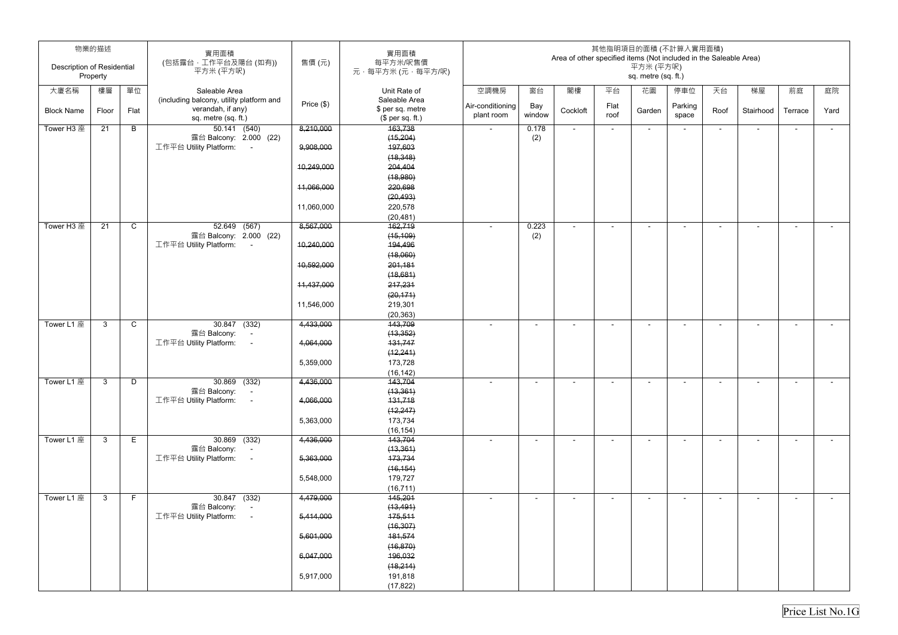| 物業的描述<br><b>Description of Residential</b><br>Property |              |              | 實用面積<br>(包括露台,工作平台及陽台(如有))<br>平方米 (平方呎)                        | 售價(元)      | 實用面積<br>每平方米/呎售價<br>元·每平方米(元·每平方/呎)  | 其他指明項目的面積 (不計算入實用面積)<br>Area of other specified items (Not included in the Saleable Area)<br>平方米 (平方呎)<br>sq. metre (sq. ft.) |                          |                |                          |                |                  |                |           |                |        |
|--------------------------------------------------------|--------------|--------------|----------------------------------------------------------------|------------|--------------------------------------|-------------------------------------------------------------------------------------------------------------------------------|--------------------------|----------------|--------------------------|----------------|------------------|----------------|-----------|----------------|--------|
| 大廈名稱                                                   | 樓層           | 單位           | Saleable Area                                                  |            | Unit Rate of                         | 空調機房                                                                                                                          | 窗台                       | 閣樓             | 平台                       | 花園             | 停車位              | 天台             | 梯屋        | 前庭             | 庭院     |
|                                                        |              |              | (including balcony, utility platform and                       | Price (\$) | Saleable Area                        |                                                                                                                               |                          |                |                          |                |                  |                |           |                |        |
| <b>Block Name</b>                                      | Floor        | Flat         | verandah, if any)<br>sq. metre (sq. ft.)                       |            | \$ per sq. metre<br>(\$ per sq. ft.) | Air-conditioning<br>plant room                                                                                                | Bay<br>window            | Cockloft       | Flat<br>roof             | Garden         | Parking<br>space | Roof           | Stairhood | Terrace        | Yard   |
| Tower H3 座                                             | 21           | B            | 50.141 (540)                                                   | 8,210,000  | 163,738                              | $\sim$                                                                                                                        | 0.178                    | $\sim$         | $\sim$                   | $\sim$         |                  | $\sim$         | $\sim$    | $\sim$         | $\sim$ |
|                                                        |              |              | 露台 Balcony: 2.000 (22)                                         |            | (15, 204)                            |                                                                                                                               | (2)                      |                |                          |                |                  |                |           |                |        |
|                                                        |              |              | 工作平台 Utility Platform:<br>$\sim 100$                           | 9,908,000  | 197,603                              |                                                                                                                               |                          |                |                          |                |                  |                |           |                |        |
|                                                        |              |              |                                                                | 10,249,000 | (18, 348)<br>204,404                 |                                                                                                                               |                          |                |                          |                |                  |                |           |                |        |
|                                                        |              |              |                                                                |            | (18,980)                             |                                                                                                                               |                          |                |                          |                |                  |                |           |                |        |
|                                                        |              |              |                                                                | 11,066,000 | 220,698                              |                                                                                                                               |                          |                |                          |                |                  |                |           |                |        |
|                                                        |              |              |                                                                |            | (20, 493)                            |                                                                                                                               |                          |                |                          |                |                  |                |           |                |        |
|                                                        |              |              |                                                                | 11,060,000 | 220,578                              |                                                                                                                               |                          |                |                          |                |                  |                |           |                |        |
|                                                        |              |              |                                                                |            | (20, 481)                            |                                                                                                                               |                          |                |                          |                |                  |                |           |                |        |
| Tower H3 座                                             | 21           | $\mathsf{C}$ | 52.649 (567)                                                   | 8,567,000  | 162,719                              |                                                                                                                               | 0.223                    | $\blacksquare$ |                          |                |                  | $\sim$         | ۰         |                | $\sim$ |
|                                                        |              |              | 露台 Balcony: 2.000 (22)<br>工作平台 Utility Platform:<br>$\sim$ $-$ | 10,240,000 | (15, 109)<br>194,496                 |                                                                                                                               | (2)                      |                |                          |                |                  |                |           |                |        |
|                                                        |              |              |                                                                |            | (18,060)                             |                                                                                                                               |                          |                |                          |                |                  |                |           |                |        |
|                                                        |              |              |                                                                | 10,592,000 | 201,181                              |                                                                                                                               |                          |                |                          |                |                  |                |           |                |        |
|                                                        |              |              |                                                                |            | (18,681)                             |                                                                                                                               |                          |                |                          |                |                  |                |           |                |        |
|                                                        |              |              |                                                                | 11,437,000 | 217,231                              |                                                                                                                               |                          |                |                          |                |                  |                |           |                |        |
|                                                        |              |              |                                                                |            | (20, 171)                            |                                                                                                                               |                          |                |                          |                |                  |                |           |                |        |
|                                                        |              |              |                                                                | 11,546,000 | 219,301                              |                                                                                                                               |                          |                |                          |                |                  |                |           |                |        |
|                                                        |              |              |                                                                |            | (20, 363)                            |                                                                                                                               |                          |                |                          |                |                  |                |           |                |        |
| Tower L1 座                                             | 3            | $\mathsf{C}$ | 30.847 (332)<br>露台 Balcony: -                                  | 4,433,000  | 143,709<br>(13, 352)                 | $\sim$                                                                                                                        | $\overline{\phantom{a}}$ | $\blacksquare$ | $\overline{\phantom{a}}$ | $\overline{a}$ |                  | $\blacksquare$ | $\sim$    | $\blacksquare$ | $\sim$ |
|                                                        |              |              | 工作平台 Utility Platform:<br>$\sim$ $-$                           | 4,064,000  | 131,747                              |                                                                                                                               |                          |                |                          |                |                  |                |           |                |        |
|                                                        |              |              |                                                                |            | (12, 241)                            |                                                                                                                               |                          |                |                          |                |                  |                |           |                |        |
|                                                        |              |              |                                                                | 5,359,000  | 173,728                              |                                                                                                                               |                          |                |                          |                |                  |                |           |                |        |
|                                                        |              |              |                                                                |            | (16, 142)                            |                                                                                                                               |                          |                |                          |                |                  |                |           |                |        |
| Tower L1 座                                             | $\mathbf{3}$ | D            | 30.869 (332)                                                   | 4,436,000  | 143,704                              |                                                                                                                               |                          | $\blacksquare$ |                          |                |                  |                | $\sim$    |                |        |
|                                                        |              |              | 露台 Balcony:<br>$\sim$<br>工作平台 Utility Platform:<br>$\sim 100$  | 4,066,000  | (13, 361)<br>131,718                 |                                                                                                                               |                          |                |                          |                |                  |                |           |                |        |
|                                                        |              |              |                                                                |            | (12, 247)                            |                                                                                                                               |                          |                |                          |                |                  |                |           |                |        |
|                                                        |              |              |                                                                | 5,363,000  | 173,734                              |                                                                                                                               |                          |                |                          |                |                  |                |           |                |        |
|                                                        |              |              |                                                                |            | (16, 154)                            |                                                                                                                               |                          |                |                          |                |                  |                |           |                |        |
| Tower L1 座                                             | $\mathbf{3}$ | E.           | $30.869$ (332)                                                 | 4,436,000  | 143,704                              |                                                                                                                               |                          |                |                          |                |                  |                | $\sim$    |                | $\sim$ |
|                                                        |              |              | 露台 Balcony:   -                                                |            | (13, 361)                            |                                                                                                                               |                          |                |                          |                |                  |                |           |                |        |
|                                                        |              |              | 工作平台 Utility Platform:<br>$\sim$ $\sim$                        | 5,363,000  | 173,734                              |                                                                                                                               |                          |                |                          |                |                  |                |           |                |        |
|                                                        |              |              |                                                                | 5,548,000  | (16, 154)<br>179,727                 |                                                                                                                               |                          |                |                          |                |                  |                |           |                |        |
|                                                        |              |              |                                                                |            | (16, 711)                            |                                                                                                                               |                          |                |                          |                |                  |                |           |                |        |
| Tower L1 座                                             | $\mathbf{3}$ | F            | $30.847$ (332)                                                 | 4,479,000  | 145,201                              |                                                                                                                               |                          |                |                          | $\sim$         |                  | $\sim$         | $\sim$    | $\sim$         | $\sim$ |
|                                                        |              |              | 露台 Balcony:<br>$\sim 100$                                      |            | (13, 491)                            |                                                                                                                               |                          |                |                          |                |                  |                |           |                |        |
|                                                        |              |              | 工作平台 Utility Platform:<br>$\sim$ $-$                           | 5,414,000  | 175,511                              |                                                                                                                               |                          |                |                          |                |                  |                |           |                |        |
|                                                        |              |              |                                                                |            | (16, 307)                            |                                                                                                                               |                          |                |                          |                |                  |                |           |                |        |
|                                                        |              |              |                                                                | 5,601,000  | 181,574                              |                                                                                                                               |                          |                |                          |                |                  |                |           |                |        |
|                                                        |              |              |                                                                | 6,047,000  | (16, 870)<br>196,032                 |                                                                                                                               |                          |                |                          |                |                  |                |           |                |        |
|                                                        |              |              |                                                                |            | (18,214)                             |                                                                                                                               |                          |                |                          |                |                  |                |           |                |        |
|                                                        |              |              |                                                                | 5,917,000  | 191,818                              |                                                                                                                               |                          |                |                          |                |                  |                |           |                |        |
|                                                        |              |              |                                                                |            | (17, 822)                            |                                                                                                                               |                          |                |                          |                |                  |                |           |                |        |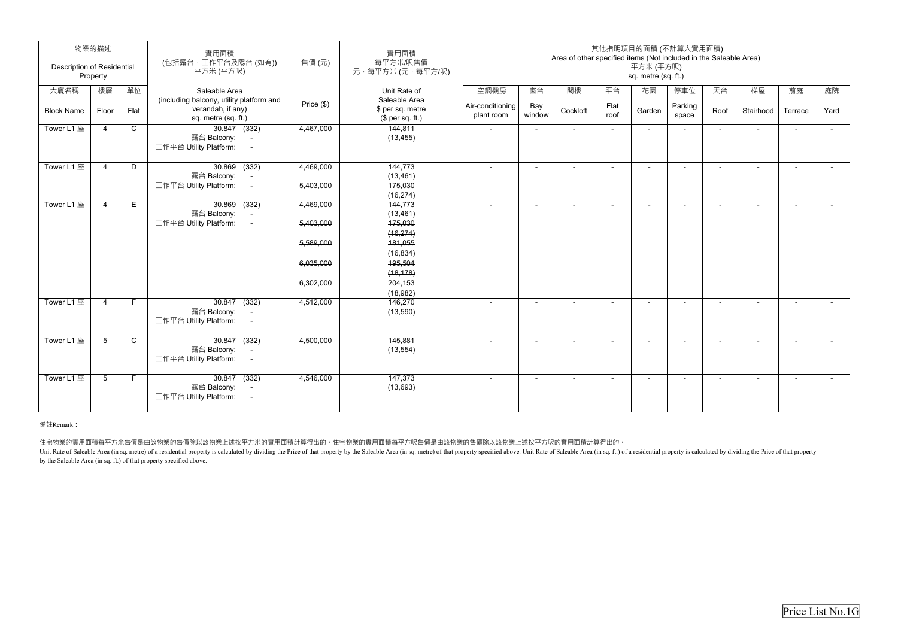| 物業的描述                                         |                 |              | 實用面積                                                                                |                        | 實用面積                                 | 其他指明項目的面積 (不計算入實用面積)<br>Area of other specified items (Not included in the Saleable Area) |                |          |                |        |                  |                          |           |         |                |  |
|-----------------------------------------------|-----------------|--------------|-------------------------------------------------------------------------------------|------------------------|--------------------------------------|-------------------------------------------------------------------------------------------|----------------|----------|----------------|--------|------------------|--------------------------|-----------|---------|----------------|--|
| <b>Description of Residential</b><br>Property |                 |              | (包括露台,工作平台及陽台(如有))<br>平方米 (平方呎)                                                     | 售價(元)                  | 每平方米/呎售價<br>元,每平方米 (元,每平方/呎)         | 平方米 (平方呎)<br>sq. metre (sq. ft.)                                                          |                |          |                |        |                  |                          |           |         |                |  |
| 大廈名稱                                          | 樓層              | 單位           | Saleable Area<br>(including balcony, utility platform and                           |                        | Unit Rate of<br>Saleable Area        | 空調機房                                                                                      | 窗台             | 閣樓       | 平台             | 花園     | 停車位              | 天台                       | 梯屋        | 前庭      | 庭院             |  |
| <b>Block Name</b>                             | Floor           | Flat         | verandah, if any)<br>sq. metre (sq. ft.)                                            | Price (\$)             | \$ per sq. metre<br>$$$ per sq. ft.) | Air-conditioning<br>plant room                                                            | Bay<br>window  | Cockloft | Flat<br>roof   | Garden | Parking<br>space | Roof                     | Stairhood | Terrace | Yard           |  |
| Tower L1 座                                    | $\overline{4}$  | $\mathsf C$  | $30.847$ (332)<br>露台 Balcony:<br>$\sim$<br>工作平台 Utility Platform:<br>$\sim$         | 4,467,000              | 144,811<br>(13, 455)                 | $\sim$                                                                                    | $\overline{a}$ | $\sim$   | $\blacksquare$ | $\sim$ | $\blacksquare$   | $\sim$                   | $\sim$    | $\sim$  | $\sim$         |  |
| Tower L1 座                                    | $\overline{4}$  | D            | $30.869$ $(332)$<br>露台 Balcony:<br>$\sim$                                           | 4,469,000              | 144,773<br>(13, 461)                 | $\sim$                                                                                    |                | $\sim$   |                | $\sim$ | $\sim$           | $\blacksquare$           |           |         |                |  |
|                                               |                 |              | 工作平台 Utility Platform:<br>$\sim$ $-$                                                | 5,403,000              | 175,030<br>(16, 274)                 |                                                                                           |                |          |                |        |                  |                          |           |         |                |  |
| Tower L1 座                                    | $\overline{a}$  | Е            | $30.869$ (332)<br>露台 Balcony:<br>$\sim$ $-$<br>工作平台 Utility Platform:<br>$\sim$     | 4,469,000<br>5,403,000 | 144,773<br>(13, 461)<br>175,030      | $\sim$                                                                                    |                | $\sim$   |                | $\sim$ | $\sim$           | $\overline{\phantom{a}}$ |           |         |                |  |
|                                               |                 |              |                                                                                     | 5,589,000              | (16, 274)<br>181,055                 |                                                                                           |                |          |                |        |                  |                          |           |         |                |  |
|                                               |                 |              |                                                                                     |                        | (16, 834)                            |                                                                                           |                |          |                |        |                  |                          |           |         |                |  |
|                                               |                 |              |                                                                                     | 6,035,000              | 195,504<br>(18, 178)                 |                                                                                           |                |          |                |        |                  |                          |           |         |                |  |
|                                               |                 |              |                                                                                     | 6,302,000              | 204,153<br>(18,982)                  |                                                                                           |                |          |                |        |                  |                          |           |         |                |  |
| Tower L1 座                                    | $\overline{4}$  | $\mathsf F$  | $30.847$ (332)<br>露台 Balcony:<br>$\sim$ $-$<br>工作平台 Utility Platform:<br>$\sim$ $-$ | 4,512,000              | 146,270<br>(13,590)                  |                                                                                           |                | $\sim$   |                | $\sim$ | $\sim$           |                          |           |         |                |  |
| Tower L1 座                                    | $5\overline{)}$ | $\mathsf{C}$ | 30.847 (332)<br>露台 Balcony:<br>$\sim$<br>工作平台 Utility Platform:<br>$\sim$           | 4,500,000              | 145,881<br>(13, 554)                 | $\sim$                                                                                    |                | $\sim$   |                | $\sim$ | $\sim$           | $\sim$                   |           |         |                |  |
| Tower L1 座                                    | 5               | F.           | 30.847 (332)<br>露台 Balcony:<br>$\sim$<br>工作平台 Utility Platform:<br>$\sim$           | 4,546,000              | 147,373<br>(13,693)                  | $\sim$                                                                                    |                | $\sim$   | $\blacksquare$ | $\sim$ | $\sim$           | $\overline{\phantom{a}}$ |           |         | $\overline{a}$ |  |

### 備註Remark:

住宅物業的實用面積每平方米售價是由該物業的售價除以該物業上述按平方米的實用面積計算得出的。住宅物業的實用面積每平方呎售價是由該物業的售價除以該物業上述按平方呎的實用面積計算得出的。 Unit Rate of Saleable Area (in sq. metre) of a residential property is calculated by dividing the Price of that property by the Saleable Area (in sq. metre) of that property specified above. Unit Rate of Saleable Area (in by the Saleable Area (in sq. ft.) of that property specified above.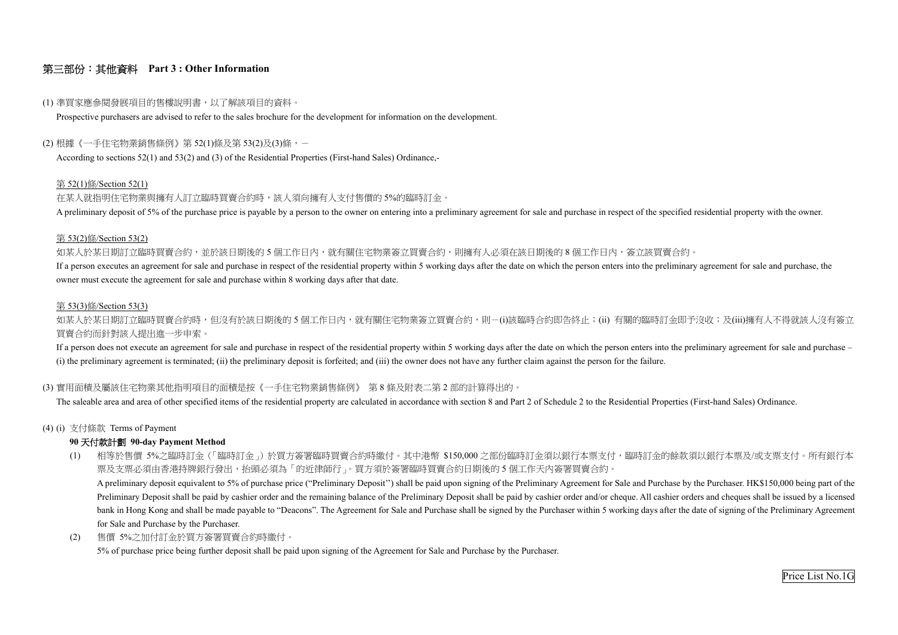## 第三部份:其他資料 **Part 3 : Other Information**

## (1) 準買家應參閱發展項目的售樓說明書,以了解該項目的資料。

Prospective purchasers are advised to refer to the sales brochure for the development for information on the development.

### (2) 根據《一手住宅物業銷售條例》第 52(1)條及第 53(2)及(3)條,-

According to sections 52(1) and 53(2) and (3) of the Residential Properties (First-hand Sales) Ordinance,-

### 第 52(1)條/Section 52(1)

在某人就指明住宅物業與擁有人訂立臨時買賣合約時,該人須向擁有人支付售價的 5%的臨時訂金。

A preliminary deposit of 5% of the purchase price is payable by a person to the owner on entering into a preliminary agreement for sale and purchase in respect of the specified residential property with the owner.

如某人於某日期訂立臨時買賣合約,並於該日期後的5個工作日內,就有關住宅物業簽立買賣合約,則擁有人必須在該日期後的8個工作日內,簽立該買賣合約。 If a person executes an agreement for sale and purchase in respect of the residential property within 5 working days after the date on which the person enters into the preliminary agreement for sale and purchase, the owner must execute the agreement for sale and purchase within 8 working days after that date.

如某人於某日期訂立臨時買賣合約時,但沒有於該日期後的 5 個工作日內,就有關住宅物業簽立買賣合約,則-(i)該臨時合約即告終止;(ii) 有關的臨時訂金即予沒收;及(iii)擁有人不得就該人沒有簽立 買賣合約而針對該人提出進一步申索。

### 第 53(2)條/Section 53(2)

If a person does not execute an agreement for sale and purchase in respect of the residential property within 5 working days after the date on which the person enters into the preliminary agreement for sale and purchase – (i) the preliminary agreement is terminated; (ii) the preliminary deposit is forfeited; and (iii) the owner does not have any further claim against the person for the failure.

### 第 53(3)條/Section 53(3)

## (3) 實用面積及屬該住宅物業其他指明項目的面積是按《一手住宅物業銷售條例》 第 8 條及附表二第 <sup>2</sup> 部的計算得出的。

The saleable area and area of other specified items of the residential property are calculated in accordance with section 8 and Part 2 of Schedule 2 to the Residential Properties (First-hand Sales) Ordinance.

## (4) (i) 支付條款 Terms of Payment

## **90** 天付款計劃 **90-day Payment Method**

- (1) 相等於售價 5%之臨時訂金(「臨時訂金」)於買方簽署臨時買賣合約時繳付。其中港幣 \$150,000 之部份臨時訂金須以銀行本票支付,臨時訂金的餘款須以銀行本票及/或支票支付。所有銀行本 票及支票必須由香港持牌銀行發出,抬頭必須為「的近律師行」。買方須於簽署臨時買賣合約日期後的 <sup>5</sup> 個工作天內簽署買賣合約。 A preliminary deposit equivalent to 5% of purchase price ("Preliminary Deposit'') shall be paid upon signing of the Preliminary Agreement for Sale and Purchase by the Purchaser. HK\$150,000 being part of the Preliminary Deposit shall be paid by cashier order and the remaining balance of the Preliminary Deposit shall be paid by cashier order and/or cheque. All cashier orders and cheques shall be issued by a licensed bank in Hong Kong and shall be made payable to "Deacons". The Agreement for Sale and Purchase shall be signed by the Purchaser within 5 working days after the date of signing of the Preliminary Agreement for Sale and Purchase by the Purchaser.
- (2) 售價 5%之加付訂金於買方簽署買賣合約時繳付。

5% of purchase price being further deposit shall be paid upon signing of the Agreement for Sale and Purchase by the Purchaser.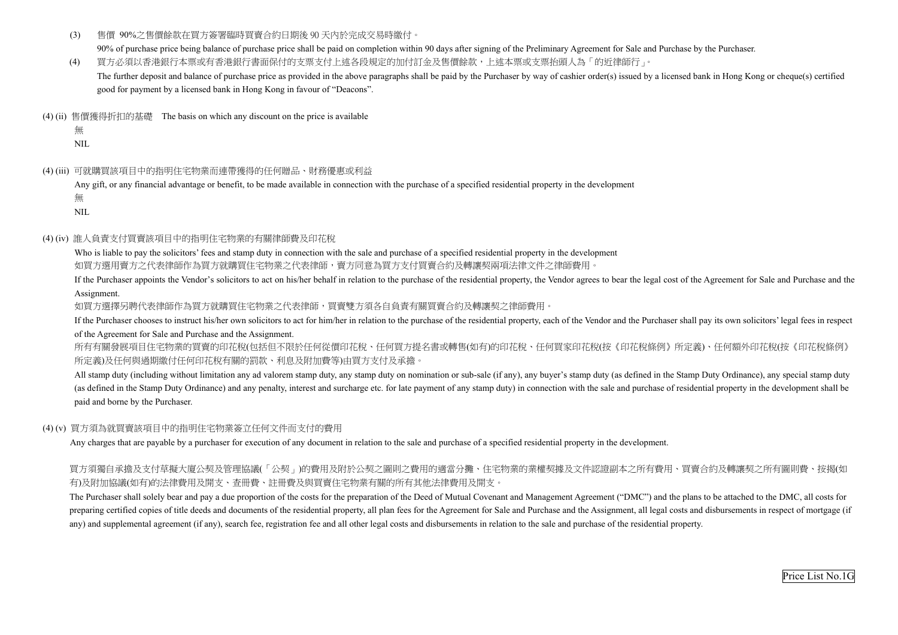- (3) 售價 90%之售價餘款在買方簽署臨時買賣合約日期後 90 天內於完成交易時繳付。 90% of purchase price being balance of purchase price shall be paid on completion within 90 days after signing of the Preliminary Agreement for Sale and Purchase by the Purchaser.
- (4) 買方必須以香港銀行本票或有香港銀行書面保付的支票支付上述各段規定的加付訂金及售價餘款,上述本票或支票抬頭人為「的近律師行」。 The further deposit and balance of purchase price as provided in the above paragraphs shall be paid by the Purchaser by way of cashier order(s) issued by a licensed bank in Hong Kong or cheque(s) certified good for payment by a licensed bank in Hong Kong in favour of "Deacons".
- (4) (ii) 售價獲得折扣的基礎 The basis on which any discount on the price is available
	- 無

 Who is liable to pay the solicitors' fees and stamp duty in connection with the sale and purchase of a specified residential property in the development 如買方選用賣方之代表律師程,有人主物業之代表律師,賣方同意為買方支付買賣合約及轉讓契兩項法律文件之律師費用。

NIL

(4) (iii) 可就購買該項目中的指明住宅物業而連帶獲得的任何贈品、財務優惠或利益

Any gift, or any financial advantage or benefit, to be made available in connection with the purchase of a specified residential property in the development 無

NIL

## (4) (iv) 誰人負責支付買賣該項目中的指明住宅物業的有關律師費及印花稅

All stamp duty (including without limitation any ad valorem stamp duty, any stamp duty on nomination or sub-sale (if any), any buyer's stamp duty (as defined in the Stamp Duty Ordinance), any special stamp duty (as defined in the Stamp Duty Ordinance) and any penalty, interest and surcharge etc. for late payment of any stamp duty) in connection with the sale and purchase of residential property in the development shall be paid and borne by the Purchaser.

If the Purchaser appoints the Vendor's solicitors to act on his/her behalf in relation to the purchase of the residential property, the Vendor agrees to bear the legal cost of the Agreement for Sale and Purchase and the Assignment.

如買方選擇另聘代表律師作為買方就購買住宅物業之代表律師,買賣雙方須各自負責有關買賣合約及轉讓契之律師費用。

 If the Purchaser chooses to instruct his/her own solicitors to act for him/her in relation to the purchase of the residential property, each of the Vendor and the Purchaser shall pay its own solicitors' legal fees in respect of the Agreement for Sale and Purchase and the Assignment.

The Purchaser shall solely bear and pay a due proportion of the costs for the preparation of the Deed of Mutual Covenant and Management Agreement ("DMC") and the plans to be attached to the DMC, all costs for preparing certified copies of title deeds and documents of the residential property, all plan fees for the Agreement for Sale and Purchase and the Assignment, all legal costs and disbursements in respect of mortgage (if any) and supplemental agreement (if any), search fee, registration fee and all other legal costs and disbursements in relation to the sale and purchase of the residential property.

所有有關發展項目住宅物業的買賣的印花稅(包括但不限於任何從價印花稅、任何買方提名書或轉售(如有)的印花稅、任何買家印花稅(按《印花稅條例》所定義)、任何額外印花稅(按《印花稅條例》 所定義)及任何與過期繳付任何印花稅有關的罰款、利息及附加費等)由買方支付及承擔。

## (4) (v) 買方須為就買賣該項目中的指明住宅物業簽立任何文件而支付的費用

Any charges that are payable by a purchaser for execution of any document in relation to the sale and purchase of a specified residential property in the development.

買方須獨自承擔及支付草擬大廈公契及管理協議(「公契」)的費用及附於公契之圖則之費用的適當分攤、住宅物業的業權契據及文件認證副本之所有費用、買賣合約及轉讓契之所有圖則費、按揭(如 有)及附加協議(如有)的法律費用及開支、查冊費、註冊費及與買賣住宅物業有關的所有其他法律費用及開支。